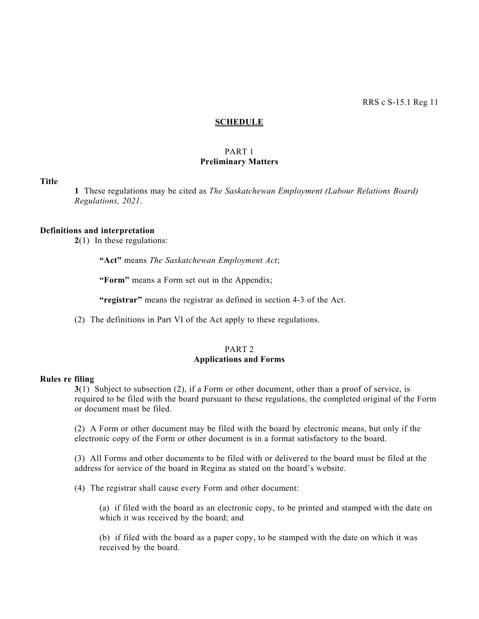#### **SCHEDULE**

## PART 1 **Preliminary Matters**

#### **Title**

**1** These regulations may be cited as *The Saskatchewan Employment (Labour Relations Board) Regulations, 2021*.

#### **Definitions and interpretation**

**2**(1) In these regulations:

**"Act"** means *The Saskatchewan Employment Act*;

**"Form"** means a Form set out in the Appendix;

**"registrar"** means the registrar as defined in section 4-3 of the Act.

(2) The definitions in Part VI of the Act apply to these regulations.

## PART 2 **Applications and Forms**

## **Rules re filing**

**3**(1) Subject to subsection (2), if a Form or other document, other than a proof of service, is required to be filed with the board pursuant to these regulations, the completed original of the Form or document must be filed.

(2) A Form or other document may be filed with the board by electronic means, but only if the electronic copy of the Form or other document is in a format satisfactory to the board.

(3) All Forms and other documents to be filed with or delivered to the board must be filed at the address for service of the board in Regina as stated on the board's website.

(4) The registrar shall cause every Form and other document:

(a) if filed with the board as an electronic copy, to be printed and stamped with the date on which it was received by the board; and

(b) if filed with the board as a paper copy, to be stamped with the date on which it was received by the board.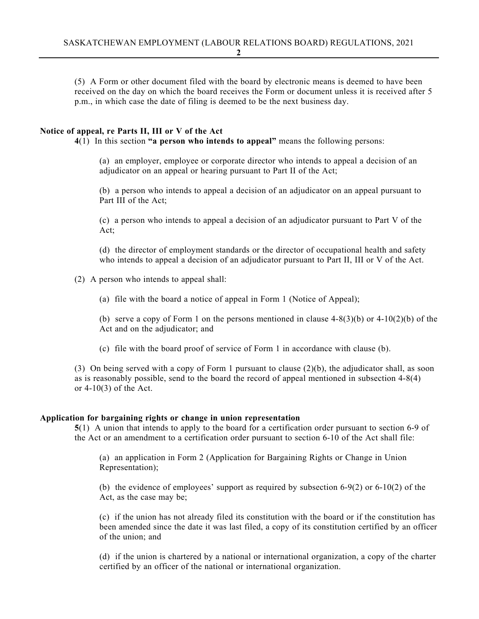(5) A Form or other document filed with the board by electronic means is deemed to have been received on the day on which the board receives the Form or document unless it is received after 5 p.m., in which case the date of filing is deemed to be the next business day.

## **Notice of appeal, re Parts II, III or V of the Act**

**4**(1) In this section **"a person who intends to appeal"** means the following persons:

(a) an employer, employee or corporate director who intends to appeal a decision of an adjudicator on an appeal or hearing pursuant to Part II of the Act;

(b) a person who intends to appeal a decision of an adjudicator on an appeal pursuant to Part III of the Act;

(c) a person who intends to appeal a decision of an adjudicator pursuant to Part V of the Act;

(d) the director of employment standards or the director of occupational health and safety who intends to appeal a decision of an adjudicator pursuant to Part II, III or V of the Act.

(2) A person who intends to appeal shall:

(a) file with the board a notice of appeal in Form 1 (Notice of Appeal);

(b) serve a copy of Form 1 on the persons mentioned in clause  $4-8(3)(b)$  or  $4-10(2)(b)$  of the Act and on the adjudicator; and

(c) file with the board proof of service of Form 1 in accordance with clause (b).

(3) On being served with a copy of Form 1 pursuant to clause (2)(b), the adjudicator shall, as soon as is reasonably possible, send to the board the record of appeal mentioned in subsection 4-8(4) or 4-10(3) of the Act.

## **Application for bargaining rights or change in union representation**

**5**(1) A union that intends to apply to the board for a certification order pursuant to section 6-9 of the Act or an amendment to a certification order pursuant to section 6-10 of the Act shall file:

(a) an application in Form 2 (Application for Bargaining Rights or Change in Union Representation);

(b) the evidence of employees' support as required by subsection 6-9(2) or 6-10(2) of the Act, as the case may be;

(c) if the union has not already filed its constitution with the board or if the constitution has been amended since the date it was last filed, a copy of its constitution certified by an officer of the union; and

(d) if the union is chartered by a national or international organization, a copy of the charter certified by an officer of the national or international organization.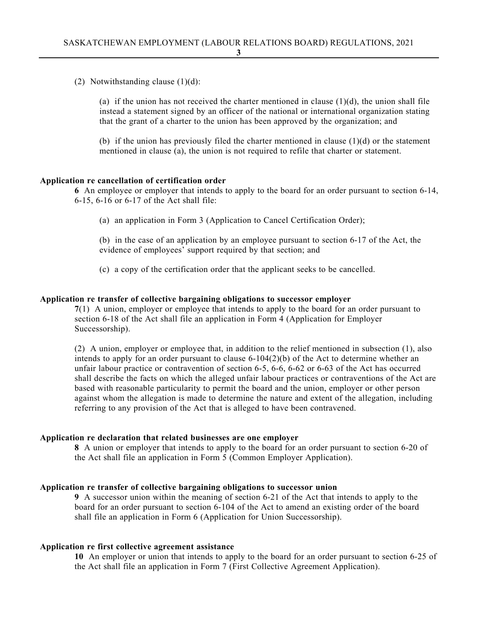(2) Notwithstanding clause  $(1)(d)$ :

(a) if the union has not received the charter mentioned in clause  $(1)(d)$ , the union shall file instead a statement signed by an officer of the national or international organization stating that the grant of a charter to the union has been approved by the organization; and

(b) if the union has previously filed the charter mentioned in clause  $(1)(d)$  or the statement mentioned in clause (a), the union is not required to refile that charter or statement.

## **Application re cancellation of certification order**

**6** An employee or employer that intends to apply to the board for an order pursuant to section 6-14, 6-15, 6-16 or 6-17 of the Act shall file:

(a) an application in Form 3 (Application to Cancel Certification Order);

(b) in the case of an application by an employee pursuant to section 6-17 of the Act, the evidence of employees' support required by that section; and

(c) a copy of the certification order that the applicant seeks to be cancelled.

#### **Application re transfer of collective bargaining obligations to successor employer**

**7**(1) A union, employer or employee that intends to apply to the board for an order pursuant to section 6-18 of the Act shall file an application in Form 4 (Application for Employer Successorship).

(2) A union, employer or employee that, in addition to the relief mentioned in subsection (1), also intends to apply for an order pursuant to clause 6-104(2)(b) of the Act to determine whether an unfair labour practice or contravention of section 6-5, 6-6, 6-62 or 6-63 of the Act has occurred shall describe the facts on which the alleged unfair labour practices or contraventions of the Act are based with reasonable particularity to permit the board and the union, employer or other person against whom the allegation is made to determine the nature and extent of the allegation, including referring to any provision of the Act that is alleged to have been contravened.

## **Application re declaration that related businesses are one employer**

**8** A union or employer that intends to apply to the board for an order pursuant to section 6-20 of the Act shall file an application in Form 5 (Common Employer Application).

## **Application re transfer of collective bargaining obligations to successor union**

**9** A successor union within the meaning of section 6-21 of the Act that intends to apply to the board for an order pursuant to section 6-104 of the Act to amend an existing order of the board shall file an application in Form 6 (Application for Union Successorship).

#### **Application re first collective agreement assistance**

**10** An employer or union that intends to apply to the board for an order pursuant to section 6-25 of the Act shall file an application in Form 7 (First Collective Agreement Application).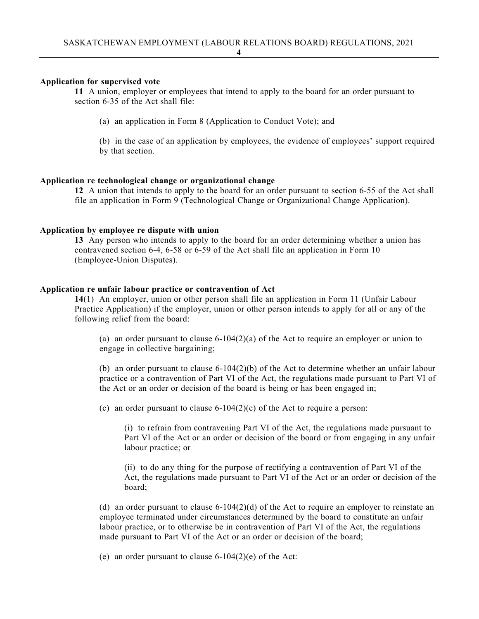#### **Application for supervised vote**

**11** A union, employer or employees that intend to apply to the board for an order pursuant to section 6-35 of the Act shall file:

(a) an application in Form 8 (Application to Conduct Vote); and

(b) in the case of an application by employees, the evidence of employees' support required by that section.

## **Application re technological change or organizational change**

**12** A union that intends to apply to the board for an order pursuant to section 6-55 of the Act shall file an application in Form 9 (Technological Change or Organizational Change Application).

#### **Application by employee re dispute with union**

**13** Any person who intends to apply to the board for an order determining whether a union has contravened section 6-4, 6-58 or 6-59 of the Act shall file an application in Form 10 (Employee-Union Disputes).

## **Application re unfair labour practice or contravention of Act**

**14**(1) An employer, union or other person shall file an application in Form 11 (Unfair Labour Practice Application) if the employer, union or other person intends to apply for all or any of the following relief from the board:

(a) an order pursuant to clause  $6-104(2)(a)$  of the Act to require an employer or union to engage in collective bargaining;

(b) an order pursuant to clause  $6-104(2)$ (b) of the Act to determine whether an unfair labour practice or a contravention of Part VI of the Act, the regulations made pursuant to Part VI of the Act or an order or decision of the board is being or has been engaged in;

(c) an order pursuant to clause  $6-104(2)(c)$  of the Act to require a person:

(i) to refrain from contravening Part VI of the Act, the regulations made pursuant to Part VI of the Act or an order or decision of the board or from engaging in any unfair labour practice; or

(ii) to do any thing for the purpose of rectifying a contravention of Part VI of the Act, the regulations made pursuant to Part VI of the Act or an order or decision of the board;

(d) an order pursuant to clause  $6-104(2)(d)$  of the Act to require an employer to reinstate an employee terminated under circumstances determined by the board to constitute an unfair labour practice, or to otherwise be in contravention of Part VI of the Act, the regulations made pursuant to Part VI of the Act or an order or decision of the board;

(e) an order pursuant to clause  $6-104(2)$ (e) of the Act: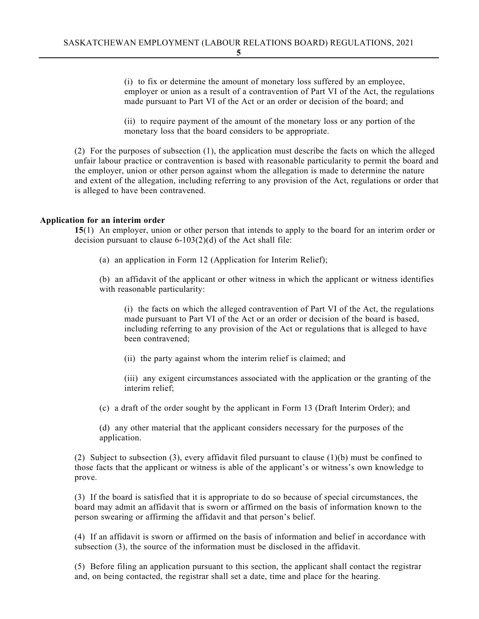(i) to fix or determine the amount of monetary loss suffered by an employee, employer or union as a result of a contravention of Part VI of the Act, the regulations made pursuant to Part VI of the Act or an order or decision of the board; and

(ii) to require payment of the amount of the monetary loss or any portion of the monetary loss that the board considers to be appropriate.

(2) For the purposes of subsection (1), the application must describe the facts on which the alleged unfair labour practice or contravention is based with reasonable particularity to permit the board and the employer, union or other person against whom the allegation is made to determine the nature and extent of the allegation, including referring to any provision of the Act, regulations or order that is alleged to have been contravened.

## **Application for an interim order**

**15**(1) An employer, union or other person that intends to apply to the board for an interim order or decision pursuant to clause 6-103(2)(d) of the Act shall file:

(a) an application in Form 12 (Application for Interim Relief);

(b) an affidavit of the applicant or other witness in which the applicant or witness identifies with reasonable particularity:

(i) the facts on which the alleged contravention of Part VI of the Act, the regulations made pursuant to Part VI of the Act or an order or decision of the board is based, including referring to any provision of the Act or regulations that is alleged to have been contravened;

(ii) the party against whom the interim relief is claimed; and

(iii) any exigent circumstances associated with the application or the granting of the interim relief;

(c) a draft of the order sought by the applicant in Form 13 (Draft Interim Order); and

(d) any other material that the applicant considers necessary for the purposes of the application.

(2) Subject to subsection (3), every affidavit filed pursuant to clause (1)(b) must be confined to those facts that the applicant or witness is able of the applicant's or witness's own knowledge to prove.

(3) If the board is satisfied that it is appropriate to do so because of special circumstances, the board may admit an affidavit that is sworn or affirmed on the basis of information known to the person swearing or affirming the affidavit and that person's belief.

(4) If an affidavit is sworn or affirmed on the basis of information and belief in accordance with subsection (3), the source of the information must be disclosed in the affidavit.

(5) Before filing an application pursuant to this section, the applicant shall contact the registrar and, on being contacted, the registrar shall set a date, time and place for the hearing.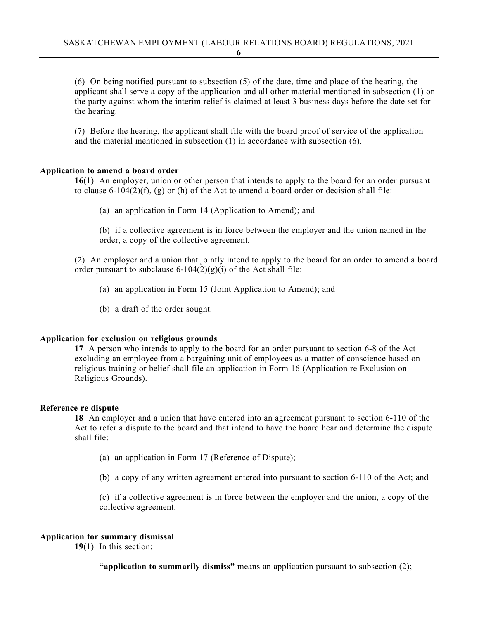(6) On being notified pursuant to subsection (5) of the date, time and place of the hearing, the applicant shall serve a copy of the application and all other material mentioned in subsection (1) on the party against whom the interim relief is claimed at least 3 business days before the date set for the hearing.

(7) Before the hearing, the applicant shall file with the board proof of service of the application and the material mentioned in subsection (1) in accordance with subsection (6).

## **Application to amend a board order**

**16**(1) An employer, union or other person that intends to apply to the board for an order pursuant to clause 6-104(2)(f), (g) or (h) of the Act to amend a board order or decision shall file:

(a) an application in Form 14 (Application to Amend); and

(b) if a collective agreement is in force between the employer and the union named in the order, a copy of the collective agreement.

(2) An employer and a union that jointly intend to apply to the board for an order to amend a board order pursuant to subclause  $6-104(2)(g)(i)$  of the Act shall file:

- (a) an application in Form 15 (Joint Application to Amend); and
- (b) a draft of the order sought.

#### **Application for exclusion on religious grounds**

**17** A person who intends to apply to the board for an order pursuant to section 6-8 of the Act excluding an employee from a bargaining unit of employees as a matter of conscience based on religious training or belief shall file an application in Form 16 (Application re Exclusion on Religious Grounds).

#### **Reference re dispute**

**18** An employer and a union that have entered into an agreement pursuant to section 6-110 of the Act to refer a dispute to the board and that intend to have the board hear and determine the dispute shall file:

- (a) an application in Form 17 (Reference of Dispute);
- (b) a copy of any written agreement entered into pursuant to section 6-110 of the Act; and

(c) if a collective agreement is in force between the employer and the union, a copy of the collective agreement.

## **Application for summary dismissal**

**19**(1) In this section:

**"application to summarily dismiss"** means an application pursuant to subsection (2);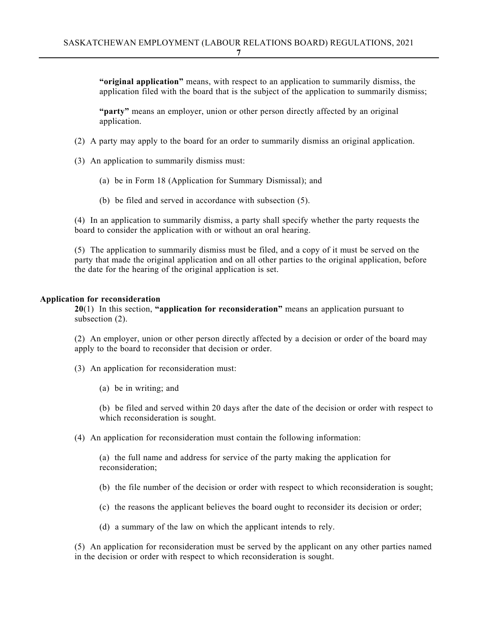**"original application"** means, with respect to an application to summarily dismiss, the application filed with the board that is the subject of the application to summarily dismiss;

**"party"** means an employer, union or other person directly affected by an original application.

- (2) A party may apply to the board for an order to summarily dismiss an original application.
- (3) An application to summarily dismiss must:
	- (a) be in Form 18 (Application for Summary Dismissal); and
	- (b) be filed and served in accordance with subsection (5).

(4) In an application to summarily dismiss, a party shall specify whether the party requests the board to consider the application with or without an oral hearing.

(5) The application to summarily dismiss must be filed, and a copy of it must be served on the party that made the original application and on all other parties to the original application, before the date for the hearing of the original application is set.

## **Application for reconsideration**

**20**(1) In this section, **"application for reconsideration"** means an application pursuant to subsection  $(2)$ .

(2) An employer, union or other person directly affected by a decision or order of the board may apply to the board to reconsider that decision or order.

- (3) An application for reconsideration must:
	- (a) be in writing; and

(b) be filed and served within 20 days after the date of the decision or order with respect to which reconsideration is sought.

(4) An application for reconsideration must contain the following information:

(a) the full name and address for service of the party making the application for reconsideration;

- (b) the file number of the decision or order with respect to which reconsideration is sought;
- (c) the reasons the applicant believes the board ought to reconsider its decision or order;
- (d) a summary of the law on which the applicant intends to rely.

(5) An application for reconsideration must be served by the applicant on any other parties named in the decision or order with respect to which reconsideration is sought.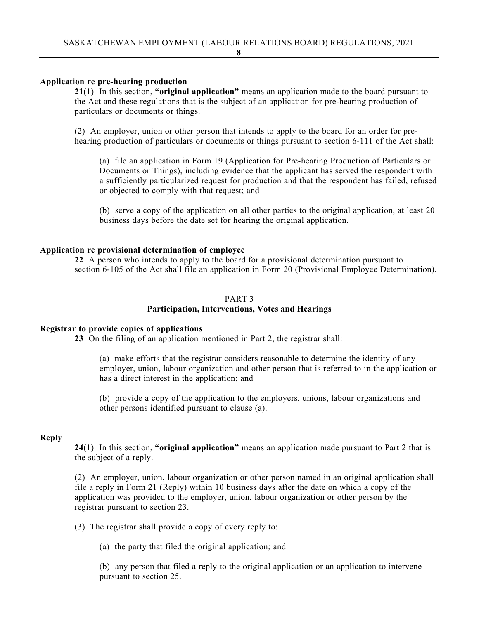## **Application re pre-hearing production**

**21**(1) In this section, **"original application"** means an application made to the board pursuant to the Act and these regulations that is the subject of an application for pre-hearing production of particulars or documents or things.

(2) An employer, union or other person that intends to apply to the board for an order for prehearing production of particulars or documents or things pursuant to section 6-111 of the Act shall:

(a) file an application in Form 19 (Application for Pre-hearing Production of Particulars or Documents or Things), including evidence that the applicant has served the respondent with a sufficiently particularized request for production and that the respondent has failed, refused or objected to comply with that request; and

(b) serve a copy of the application on all other parties to the original application, at least 20 business days before the date set for hearing the original application.

## **Application re provisional determination of employee**

**22** A person who intends to apply to the board for a provisional determination pursuant to section 6-105 of the Act shall file an application in Form 20 (Provisional Employee Determination).

#### PART 3

## **Participation, Interventions, Votes and Hearings**

#### **Registrar to provide copies of applications**

**23** On the filing of an application mentioned in Part 2, the registrar shall:

(a) make efforts that the registrar considers reasonable to determine the identity of any employer, union, labour organization and other person that is referred to in the application or has a direct interest in the application; and

(b) provide a copy of the application to the employers, unions, labour organizations and other persons identified pursuant to clause (a).

#### **Reply**

**24**(1) In this section, **"original application"** means an application made pursuant to Part 2 that is the subject of a reply.

(2) An employer, union, labour organization or other person named in an original application shall file a reply in Form 21 (Reply) within 10 business days after the date on which a copy of the application was provided to the employer, union, labour organization or other person by the registrar pursuant to section 23.

(3) The registrar shall provide a copy of every reply to:

(a) the party that filed the original application; and

(b) any person that filed a reply to the original application or an application to intervene pursuant to section 25.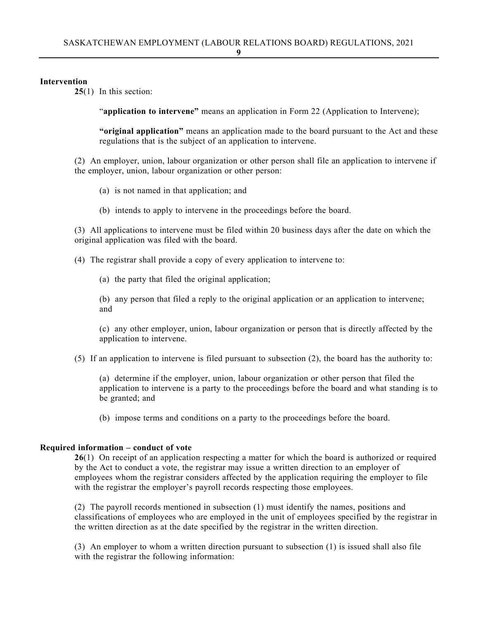## **Intervention**

**25**(1) In this section:

"**application to intervene**" means an application in Form 22 (Application to Intervene);

**"original application"** means an application made to the board pursuant to the Act and these regulations that is the subject of an application to intervene.

(2) An employer, union, labour organization or other person shall file an application to intervene if the employer, union, labour organization or other person:

- (a) is not named in that application; and
- (b) intends to apply to intervene in the proceedings before the board.

(3) All applications to intervene must be filed within 20 business days after the date on which the original application was filed with the board.

(4) The registrar shall provide a copy of every application to intervene to:

(a) the party that filed the original application;

(b) any person that filed a reply to the original application or an application to intervene; and

(c) any other employer, union, labour organization or person that is directly affected by the application to intervene.

(5) If an application to intervene is filed pursuant to subsection (2), the board has the authority to:

(a) determine if the employer, union, labour organization or other person that filed the application to intervene is a party to the proceedings before the board and what standing is to be granted; and

(b) impose terms and conditions on a party to the proceedings before the board.

#### **Required information – conduct of vote**

**26**(1) On receipt of an application respecting a matter for which the board is authorized or required by the Act to conduct a vote, the registrar may issue a written direction to an employer of employees whom the registrar considers affected by the application requiring the employer to file with the registrar the employer's payroll records respecting those employees.

(2) The payroll records mentioned in subsection (1) must identify the names, positions and classifications of employees who are employed in the unit of employees specified by the registrar in the written direction as at the date specified by the registrar in the written direction.

(3) An employer to whom a written direction pursuant to subsection (1) is issued shall also file with the registrar the following information: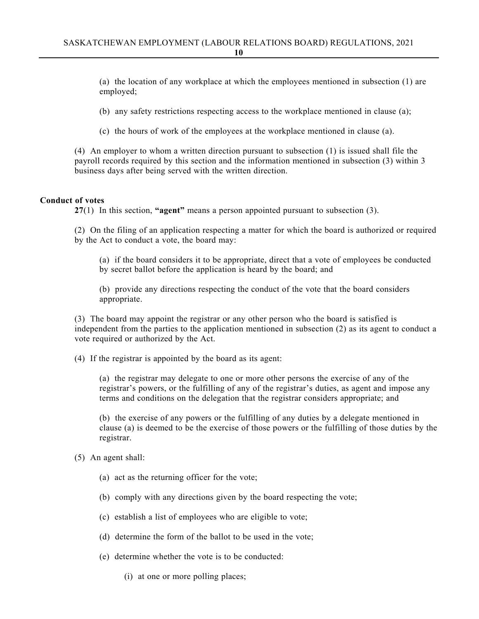(a) the location of any workplace at which the employees mentioned in subsection (1) are employed;

(b) any safety restrictions respecting access to the workplace mentioned in clause (a);

(c) the hours of work of the employees at the workplace mentioned in clause (a).

(4) An employer to whom a written direction pursuant to subsection (1) is issued shall file the payroll records required by this section and the information mentioned in subsection (3) within 3 business days after being served with the written direction.

## **Conduct of votes**

**27**(1) In this section, **"agent"** means a person appointed pursuant to subsection (3).

(2) On the filing of an application respecting a matter for which the board is authorized or required by the Act to conduct a vote, the board may:

(a) if the board considers it to be appropriate, direct that a vote of employees be conducted by secret ballot before the application is heard by the board; and

(b) provide any directions respecting the conduct of the vote that the board considers appropriate.

(3) The board may appoint the registrar or any other person who the board is satisfied is independent from the parties to the application mentioned in subsection (2) as its agent to conduct a vote required or authorized by the Act.

(4) If the registrar is appointed by the board as its agent:

(a) the registrar may delegate to one or more other persons the exercise of any of the registrar's powers, or the fulfilling of any of the registrar's duties, as agent and impose any terms and conditions on the delegation that the registrar considers appropriate; and

(b) the exercise of any powers or the fulfilling of any duties by a delegate mentioned in clause (a) is deemed to be the exercise of those powers or the fulfilling of those duties by the registrar.

(5) An agent shall:

- (a) act as the returning officer for the vote;
- (b) comply with any directions given by the board respecting the vote;
- (c) establish a list of employees who are eligible to vote;
- (d) determine the form of the ballot to be used in the vote;
- (e) determine whether the vote is to be conducted:
	- (i) at one or more polling places;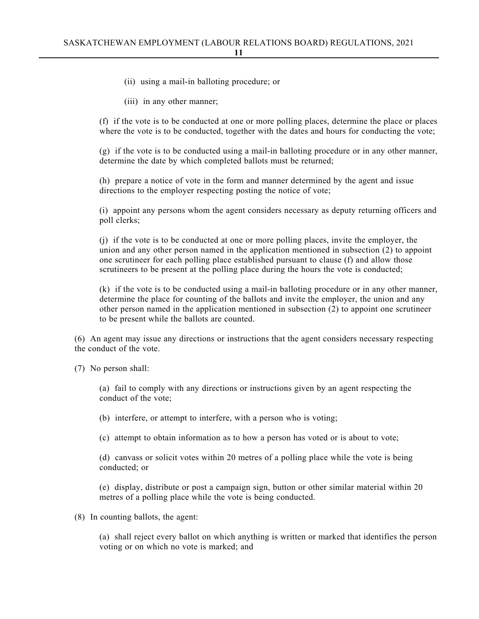- (ii) using a mail-in balloting procedure; or
- (iii) in any other manner;

(f) if the vote is to be conducted at one or more polling places, determine the place or places where the vote is to be conducted, together with the dates and hours for conducting the vote;

(g) if the vote is to be conducted using a mail-in balloting procedure or in any other manner, determine the date by which completed ballots must be returned;

(h) prepare a notice of vote in the form and manner determined by the agent and issue directions to the employer respecting posting the notice of vote;

(i) appoint any persons whom the agent considers necessary as deputy returning officers and poll clerks;

(j) if the vote is to be conducted at one or more polling places, invite the employer, the union and any other person named in the application mentioned in subsection (2) to appoint one scrutineer for each polling place established pursuant to clause (f) and allow those scrutineers to be present at the polling place during the hours the vote is conducted;

(k) if the vote is to be conducted using a mail-in balloting procedure or in any other manner, determine the place for counting of the ballots and invite the employer, the union and any other person named in the application mentioned in subsection (2) to appoint one scrutineer to be present while the ballots are counted.

(6) An agent may issue any directions or instructions that the agent considers necessary respecting the conduct of the vote.

(7) No person shall:

(a) fail to comply with any directions or instructions given by an agent respecting the conduct of the vote;

(b) interfere, or attempt to interfere, with a person who is voting;

(c) attempt to obtain information as to how a person has voted or is about to vote;

(d) canvass or solicit votes within 20 metres of a polling place while the vote is being conducted; or

(e) display, distribute or post a campaign sign, button or other similar material within 20 metres of a polling place while the vote is being conducted.

(8) In counting ballots, the agent:

(a) shall reject every ballot on which anything is written or marked that identifies the person voting or on which no vote is marked; and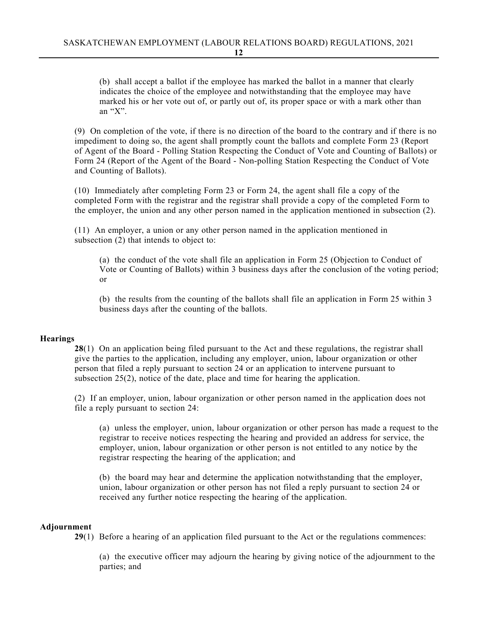(b) shall accept a ballot if the employee has marked the ballot in a manner that clearly indicates the choice of the employee and notwithstanding that the employee may have marked his or her vote out of, or partly out of, its proper space or with a mark other than an "X".

(9) On completion of the vote, if there is no direction of the board to the contrary and if there is no impediment to doing so, the agent shall promptly count the ballots and complete Form 23 (Report of Agent of the Board - Polling Station Respecting the Conduct of Vote and Counting of Ballots) or Form 24 (Report of the Agent of the Board - Non-polling Station Respecting the Conduct of Vote and Counting of Ballots).

(10) Immediately after completing Form 23 or Form 24, the agent shall file a copy of the completed Form with the registrar and the registrar shall provide a copy of the completed Form to the employer, the union and any other person named in the application mentioned in subsection (2).

(11) An employer, a union or any other person named in the application mentioned in subsection (2) that intends to object to:

(a) the conduct of the vote shall file an application in Form 25 (Objection to Conduct of Vote or Counting of Ballots) within 3 business days after the conclusion of the voting period; or

(b) the results from the counting of the ballots shall file an application in Form 25 within 3 business days after the counting of the ballots.

## **Hearings**

**28**(1) On an application being filed pursuant to the Act and these regulations, the registrar shall give the parties to the application, including any employer, union, labour organization or other person that filed a reply pursuant to section 24 or an application to intervene pursuant to subsection 25(2), notice of the date, place and time for hearing the application.

(2) If an employer, union, labour organization or other person named in the application does not file a reply pursuant to section 24:

(a) unless the employer, union, labour organization or other person has made a request to the registrar to receive notices respecting the hearing and provided an address for service, the employer, union, labour organization or other person is not entitled to any notice by the registrar respecting the hearing of the application; and

(b) the board may hear and determine the application notwithstanding that the employer, union, labour organization or other person has not filed a reply pursuant to section 24 or received any further notice respecting the hearing of the application.

## **Adjournment**

**29**(1) Before a hearing of an application filed pursuant to the Act or the regulations commences:

(a) the executive officer may adjourn the hearing by giving notice of the adjournment to the parties; and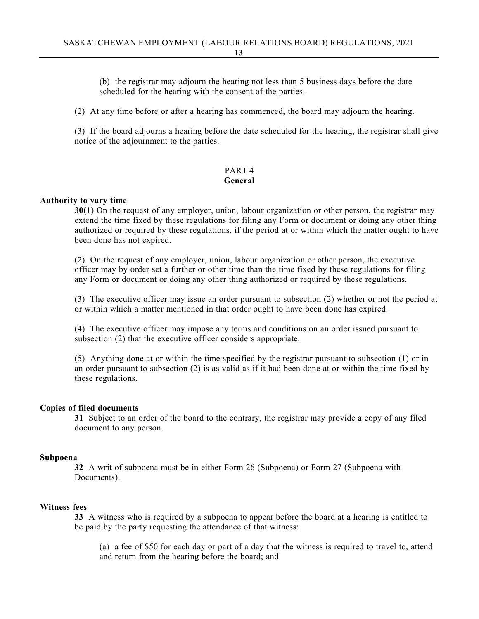(b) the registrar may adjourn the hearing not less than 5 business days before the date scheduled for the hearing with the consent of the parties.

(2) At any time before or after a hearing has commenced, the board may adjourn the hearing.

(3) If the board adjourns a hearing before the date scheduled for the hearing, the registrar shall give notice of the adjournment to the parties.

## PART 4 **General**

## **Authority to vary time**

**30**(1) On the request of any employer, union, labour organization or other person, the registrar may extend the time fixed by these regulations for filing any Form or document or doing any other thing authorized or required by these regulations, if the period at or within which the matter ought to have been done has not expired.

(2) On the request of any employer, union, labour organization or other person, the executive officer may by order set a further or other time than the time fixed by these regulations for filing any Form or document or doing any other thing authorized or required by these regulations.

(3) The executive officer may issue an order pursuant to subsection (2) whether or not the period at or within which a matter mentioned in that order ought to have been done has expired.

(4) The executive officer may impose any terms and conditions on an order issued pursuant to subsection (2) that the executive officer considers appropriate.

(5) Anything done at or within the time specified by the registrar pursuant to subsection (1) or in an order pursuant to subsection (2) is as valid as if it had been done at or within the time fixed by these regulations.

#### **Copies of filed documents**

**31** Subject to an order of the board to the contrary, the registrar may provide a copy of any filed document to any person.

#### **Subpoena**

**32** A writ of subpoena must be in either Form 26 (Subpoena) or Form 27 (Subpoena with Documents).

## **Witness fees**

**33** A witness who is required by a subpoena to appear before the board at a hearing is entitled to be paid by the party requesting the attendance of that witness:

(a) a fee of \$50 for each day or part of a day that the witness is required to travel to, attend and return from the hearing before the board; and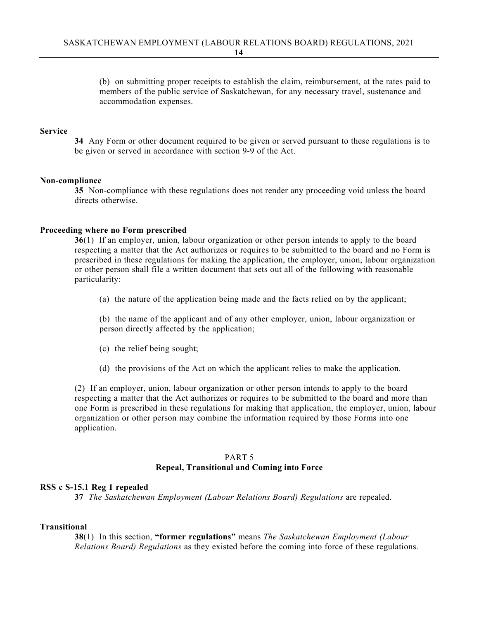(b) on submitting proper receipts to establish the claim, reimbursement, at the rates paid to members of the public service of Saskatchewan, for any necessary travel, sustenance and accommodation expenses.

#### **Service**

**34** Any Form or other document required to be given or served pursuant to these regulations is to be given or served in accordance with section 9-9 of the Act.

#### **Non-compliance**

**35** Non-compliance with these regulations does not render any proceeding void unless the board directs otherwise.

#### **Proceeding where no Form prescribed**

**36**(1) If an employer, union, labour organization or other person intends to apply to the board respecting a matter that the Act authorizes or requires to be submitted to the board and no Form is prescribed in these regulations for making the application, the employer, union, labour organization or other person shall file a written document that sets out all of the following with reasonable particularity:

(a) the nature of the application being made and the facts relied on by the applicant;

(b) the name of the applicant and of any other employer, union, labour organization or person directly affected by the application;

- (c) the relief being sought;
- (d) the provisions of the Act on which the applicant relies to make the application.

(2) If an employer, union, labour organization or other person intends to apply to the board respecting a matter that the Act authorizes or requires to be submitted to the board and more than one Form is prescribed in these regulations for making that application, the employer, union, labour organization or other person may combine the information required by those Forms into one application.

## PART 5 **Repeal, Transitional and Coming into Force**

#### **RSS c S-15.1 Reg 1 repealed**

**37** *The Saskatchewan Employment (Labour Relations Board) Regulations* are repealed.

#### **Transitional**

**38**(1) In this section, **"former regulations"** means *The Saskatchewan Employment (Labour Relations Board) Regulations* as they existed before the coming into force of these regulations.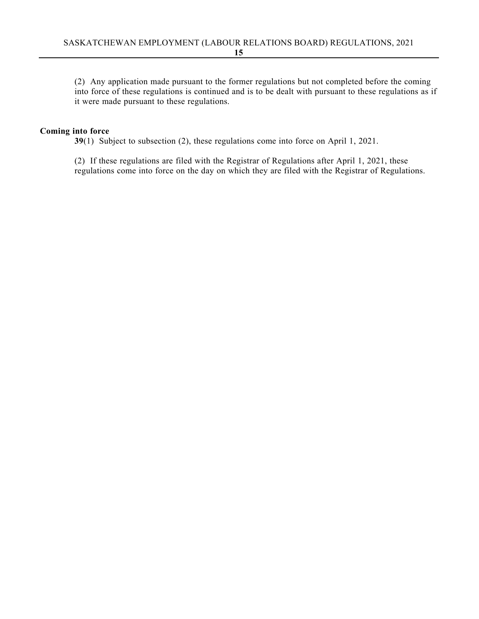(2) Any application made pursuant to the former regulations but not completed before the coming into force of these regulations is continued and is to be dealt with pursuant to these regulations as if it were made pursuant to these regulations.

## **Coming into force**

**39**(1) Subject to subsection (2), these regulations come into force on April 1, 2021.

(2) If these regulations are filed with the Registrar of Regulations after April 1, 2021, these regulations come into force on the day on which they are filed with the Registrar of Regulations.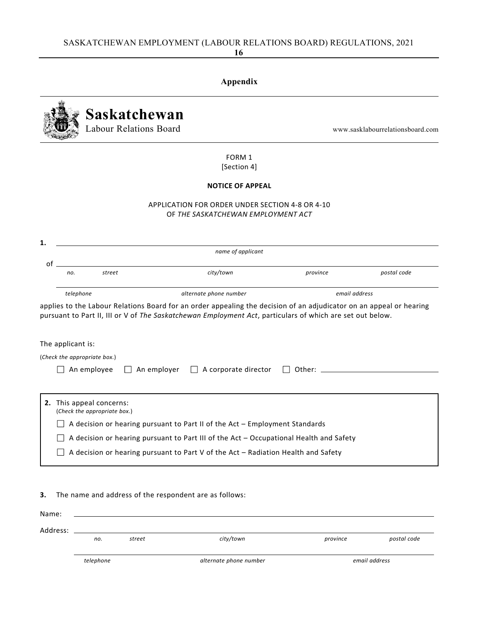# **Appendix Saskatchewan** Labour Relations Board and the community of the www.sasklabourrelationsboard.com FORM 1 [Section 4] **NOTICE OF APPEAL** APPLICATION FOR ORDER UNDER SECTION 4‐8 OR 4‐10 OF *THE SASKATCHEWAN EMPLOYMENT ACT name of applicant* of  *no. street city/town province postal code* telephone example and the contract of the contract phone number and the contract of the contract of the contract of the contract of the contract of the contract of the contract of the contract of the contract of the contra applies to the Labour Relations Board for an order appealing the decision of an adjudicator on an appeal or hearing pursuant to Part II, III or V of *The Saskatchewan Employment Act*, particulars of which are set out below. The applicant is: (*Check the appropriate box.*) An employee An employer A corporate director Other: **2.** This appeal concerns: (*Check the appropriate box.*)  $\Box$  A decision or hearing pursuant to Part II of the Act – Employment Standards  $\Box$  A decision or hearing pursuant to Part III of the Act – Occupational Health and Safety  $\Box$  A decision or hearing pursuant to Part V of the Act – Radiation Health and Safety

**3.** The name and address of the respondent are as follows:

**1.**

| Name:    |           |        |                        |          |               |
|----------|-----------|--------|------------------------|----------|---------------|
|          |           |        |                        |          |               |
| Address: |           |        |                        |          |               |
|          | no.       | street | city/town              | province | postal code   |
|          |           |        |                        |          |               |
|          | telephone |        | alternate phone number |          | email address |

**16**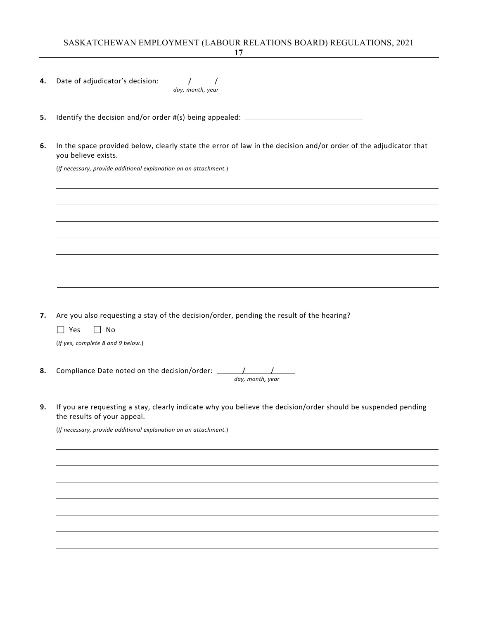## SASKATCHEWAN EMPLOYMENT (LABOUR RELATIONS BOARD) REGULATIONS, 2021

|                | day, month, year                                                                                                                                                                                                                                                                                                                                                                                           |
|----------------|------------------------------------------------------------------------------------------------------------------------------------------------------------------------------------------------------------------------------------------------------------------------------------------------------------------------------------------------------------------------------------------------------------|
|                | Identify the decision and/or order #(s) being appealed: _________________________                                                                                                                                                                                                                                                                                                                          |
| 6.             | In the space provided below, clearly state the error of law in the decision and/or order of the adjudicator that<br>you believe exists.                                                                                                                                                                                                                                                                    |
|                | (If necessary, provide additional explanation on an attachment.)                                                                                                                                                                                                                                                                                                                                           |
|                | <u> 1989 - Johann Stoff, deutscher Stoffen und der Stoffen und der Stoffen und der Stoffen und der Stoffen und de</u>                                                                                                                                                                                                                                                                                      |
|                | ,我们也不会有什么。""我们的人,我们也不会有什么?""我们的人,我们也不会有什么?""我们的人,我们也不会有什么?""我们的人,我们也不会有什么?""我们的人                                                                                                                                                                                                                                                                                                                           |
|                |                                                                                                                                                                                                                                                                                                                                                                                                            |
|                | <u> 1989 - Johann Stoff, amerikansk politiker (d. 1989)</u>                                                                                                                                                                                                                                                                                                                                                |
|                |                                                                                                                                                                                                                                                                                                                                                                                                            |
|                | Are you also requesting a stay of the decision/order, pending the result of the hearing?                                                                                                                                                                                                                                                                                                                   |
|                | $\Box$ Yes<br>$\Box$ No<br>(If yes, complete 8 and 9 below.)                                                                                                                                                                                                                                                                                                                                               |
|                | Compliance Date noted on the decision/order: $\frac{1}{\sqrt{1-\frac{1}{2}}}\frac{1}{\sqrt{1-\frac{1}{2}}}\frac{1}{\sqrt{1-\frac{1}{2}}}\frac{1}{\sqrt{1-\frac{1}{2}}}\frac{1}{\sqrt{1-\frac{1}{2}}}\frac{1}{\sqrt{1-\frac{1}{2}}}\frac{1}{\sqrt{1-\frac{1}{2}}}\frac{1}{\sqrt{1-\frac{1}{2}}}\frac{1}{\sqrt{1-\frac{1}{2}}}\frac{1}{\sqrt{1-\frac{1}{2}}}\frac{1}{\sqrt{1-\frac{1}{2$<br>day, month, year |
|                | If you are requesting a stay, clearly indicate why you believe the decision/order should be suspended pending<br>the results of your appeal.                                                                                                                                                                                                                                                               |
|                | (If necessary, provide additional explanation on an attachment.)                                                                                                                                                                                                                                                                                                                                           |
|                |                                                                                                                                                                                                                                                                                                                                                                                                            |
|                |                                                                                                                                                                                                                                                                                                                                                                                                            |
| 7.<br>8.<br>9. |                                                                                                                                                                                                                                                                                                                                                                                                            |

**17**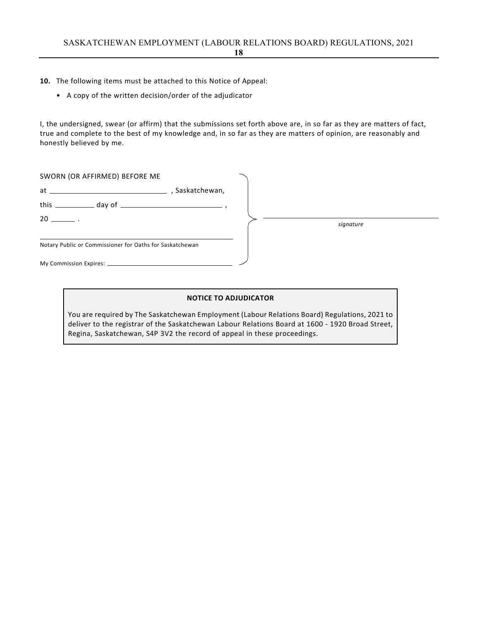- **10.** The following items must be attached to this Notice of Appeal:
	- A copy of the written decision/order of the adjudicator

I, the undersigned, swear (or affirm) that the submissions set forth above are, in so far as they are matters of fact, true and complete to the best of my knowledge and, in so far as they are matters of opinion, are reasonably and honestly believed by me.

| SWORN (OR AFFIRMED) BEFORE ME                            |  |           |
|----------------------------------------------------------|--|-----------|
|                                                          |  |           |
|                                                          |  |           |
| $20$ $\qquad$                                            |  | signature |
| Notary Public or Commissioner for Oaths for Saskatchewan |  |           |
|                                                          |  |           |

#### **NOTICE TO ADJUDICATOR**

You are required by The Saskatchewan Employment (Labour Relations Board) Regulations, 2021 to deliver to the registrar of the Saskatchewan Labour Relations Board at 1600 ‐ 1920 Broad Street, Regina, Saskatchewan, S4P 3V2 the record of appeal in these proceedings.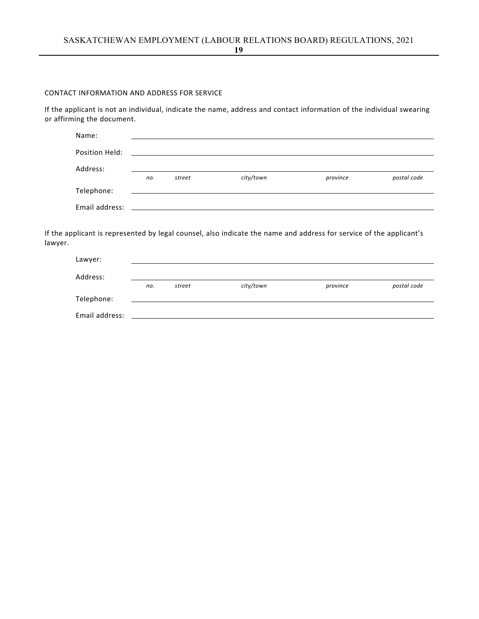#### CONTACT INFORMATION AND ADDRESS FOR SERVICE

If the applicant is not an individual, indicate the name, address and contact information of the individual swearing or affirming the document.

| Name:          |     |        |           |          |             |
|----------------|-----|--------|-----------|----------|-------------|
| Position Held: |     |        |           |          |             |
| Address:       |     |        |           |          |             |
|                | no. | street | city/town | province | postal code |
| Telephone:     |     |        |           |          |             |
| Email address: |     |        |           |          |             |

If the applicant is represented by legal counsel, also indicate the name and address for service of the applicant's lawyer.

| Lawyer:        |     |        |           |          |             |
|----------------|-----|--------|-----------|----------|-------------|
| Address:       |     |        |           |          |             |
|                | no. | street | city/town | province | postal code |
| Telephone:     |     |        |           |          |             |
| Email address: |     |        |           |          |             |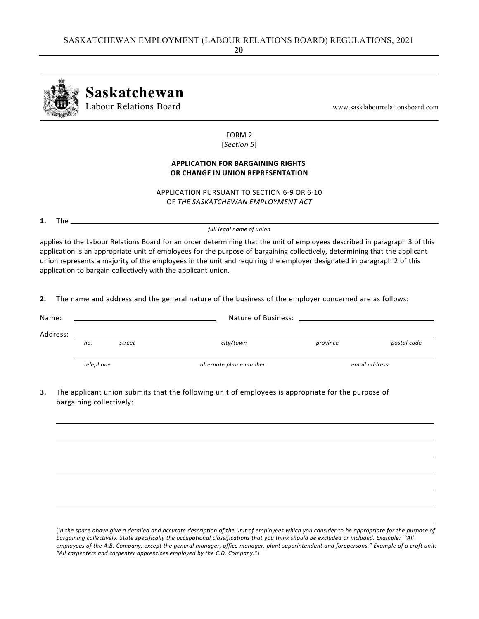

FORM 2 [*Section 5*]

## **APPLICATION FOR BARGAINING RIGHTS OR CHANGE IN UNION REPRESENTATION**

APPLICATION PURSUANT TO SECTION 6‐9 OR 6‐10 OF *THE SASKATCHEWAN EMPLOYMENT ACT*

**1.** The

*full legal name of union*

applies to the Labour Relations Board for an order determining that the unit of employees described in paragraph 3 of this application is an appropriate unit of employees for the purpose of bargaining collectively, determining that the applicant union represents a majority of the employees in the unit and requiring the employer designated in paragraph 2 of this application to bargain collectively with the applicant union.

**2.** The name and address and the general nature of the business of the employer concerned are as follows:

| Name:    |               |  |                        |          |               |  |  |
|----------|---------------|--|------------------------|----------|---------------|--|--|
| Address: |               |  |                        |          |               |  |  |
|          | street<br>no. |  | city/town              | province | postal code   |  |  |
|          | telephone     |  | alternate phone number |          | email address |  |  |

**3.** The applicant union submits that the following unit of employees is appropriate for the purpose of bargaining collectively:

(In the space above give a detailed and accurate description of the unit of employees which you consider to be appropriate for the purpose of bargaining collectively. State specifically the occupational classifications that you think should be excluded or included. Example: "All employees of the A.B. Company, except the general manager, office manager, plant superintendent and forepersons." Example of a craft unit: *"All carpenters and carpenter apprentices employed by the C.D. Company."*)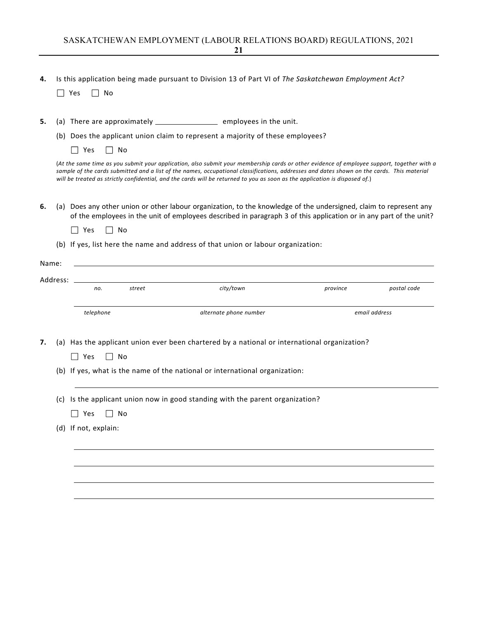**4.** Is this application being made pursuant to Division 13 of Part VI of *The Saskatchewan Employment Act?*

 $\Box$  Yes  $\Box$  No

**5.** (a) There are approximately \_\_\_\_\_\_\_\_\_\_\_\_\_\_\_\_\_\_\_\_\_\_\_ employees in the unit.

(b) Does the applicant union claim to represent a majority of these employees?

 $\Box$  Yes  $\Box$  No

(At the same time as you submit your application, also submit your membership cards or other evidence of employee support, together with a sample of the cards submitted and a list of the names, occupational classifications, addresses and dates shown on the cards. This material will be treated as strictly confidential, and the cards will be returned to you as soon as the application is disposed of.)

- **6.** (a) Does any other union or other labour organization, to the knowledge of the undersigned, claim to represent any of the employees in the unit of employees described in paragraph 3 of this application or in any part of the unit?
	- $\Box$  Yes  $\Box$  No
	- (b) If yes, list here the name and address of that union or labour organization:

|     | no.                  | street | city/town                                                                                    | province | postal code   |
|-----|----------------------|--------|----------------------------------------------------------------------------------------------|----------|---------------|
|     | telephone            |        | alternate phone number                                                                       |          | email address |
|     | Yes                  | No     | (a) Has the applicant union ever been chartered by a national or international organization? |          |               |
|     |                      |        | (b) If yes, what is the name of the national or international organization:                  |          |               |
| (c) | Yes                  | No     | Is the applicant union now in good standing with the parent organization?                    |          |               |
|     | (d) If not, explain: |        |                                                                                              |          |               |
|     |                      |        |                                                                                              |          |               |
|     |                      |        |                                                                                              |          |               |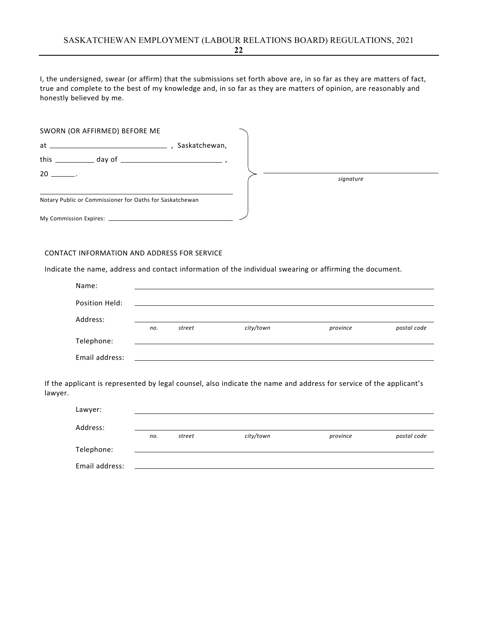I, the undersigned, swear (or affirm) that the submissions set forth above are, in so far as they are matters of fact, true and complete to the best of my knowledge and, in so far as they are matters of opinion, are reasonably and honestly believed by me.

| SWORN (OR AFFIRMED) BEFORE ME                            |               |  |           |
|----------------------------------------------------------|---------------|--|-----------|
| $at \underline{\hspace{1cm}}$                            | Saskatchewan, |  |           |
| this $\_\_$ day of $\_\_$                                |               |  |           |
|                                                          |               |  | signature |
| Notary Public or Commissioner for Oaths for Saskatchewan |               |  |           |
|                                                          |               |  |           |

#### CONTACT INFORMATION AND ADDRESS FOR SERVICE

Indicate the name, address and contact information of the individual swearing or affirming the document.

| Name:          |     |        |           |          |             |
|----------------|-----|--------|-----------|----------|-------------|
| Position Held: |     |        |           |          |             |
| Address:       |     |        |           |          |             |
|                | no. | street | city/town | province | postal code |
| Telephone:     |     |        |           |          |             |
| Email address: |     |        |           |          |             |

If the applicant is represented by legal counsel, also indicate the name and address for service of the applicant's lawyer.

| Lawyer:        |     |        |           |          |             |
|----------------|-----|--------|-----------|----------|-------------|
|                |     |        |           |          |             |
| Address:       |     |        |           |          |             |
|                | no. | street | city/town | province | postal code |
| Telephone:     |     |        |           |          |             |
|                |     |        |           |          |             |
| Email address: |     |        |           |          |             |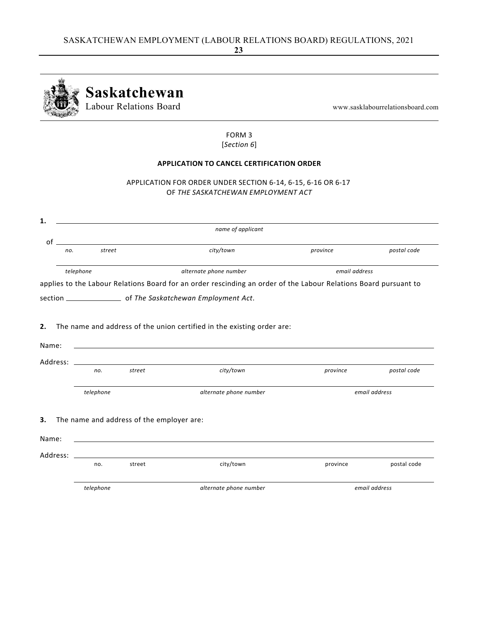

#### FORM 3 [*Section 6*]

## **APPLICATION TO CANCEL CERTIFICATION ORDER**

APPLICATION FOR ORDER UNDER SECTION 6‐14, 6‐15, 6‐16 OR 6‐17 OF *THE SASKATCHEWAN EMPLOYMENT ACT*

|       |           |                                           | name of applicant                                                                                                                                                                                                                           |          |               |               |
|-------|-----------|-------------------------------------------|---------------------------------------------------------------------------------------------------------------------------------------------------------------------------------------------------------------------------------------------|----------|---------------|---------------|
|       |           | $\circ$ f                                 |                                                                                                                                                                                                                                             |          |               |               |
|       | no.       | street                                    | city/town                                                                                                                                                                                                                                   | province |               | postal code   |
|       | telephone |                                           | alternate phone number                                                                                                                                                                                                                      |          | email address |               |
|       |           |                                           | applies to the Labour Relations Board for an order rescinding an order of the Labour Relations Board pursuant to                                                                                                                            |          |               |               |
|       |           |                                           |                                                                                                                                                                                                                                             |          |               |               |
|       |           |                                           |                                                                                                                                                                                                                                             |          |               |               |
|       |           |                                           |                                                                                                                                                                                                                                             |          |               |               |
|       |           |                                           |                                                                                                                                                                                                                                             |          |               |               |
|       |           |                                           | The name and address of the union certified in the existing order are:                                                                                                                                                                      |          |               |               |
|       |           |                                           |                                                                                                                                                                                                                                             |          |               |               |
| Name: |           |                                           |                                                                                                                                                                                                                                             |          |               |               |
|       | no.       | street                                    | Address: the contract of the contract of the contract of the contract of the contract of the contract of the contract of the contract of the contract of the contract of the contract of the contract of the contract of the c<br>city/town |          | province      | postal code   |
|       |           |                                           |                                                                                                                                                                                                                                             |          |               |               |
|       | telephone |                                           | alternate phone number                                                                                                                                                                                                                      |          |               | email address |
|       |           |                                           |                                                                                                                                                                                                                                             |          |               |               |
|       |           | The name and address of the employer are: |                                                                                                                                                                                                                                             |          |               |               |
|       |           |                                           | <u> 1980 - Johann Stoff, deutscher Stoff, der Stoff, der Stoff, der Stoff, der Stoff, der Stoff, der Stoff, der S</u>                                                                                                                       |          |               |               |
| Name: |           |                                           | Address: Address: Address: Address: Address: Address: Address: Address: Address: Address: Address: A                                                                                                                                        |          |               |               |

 *telephone alternate phone number email address*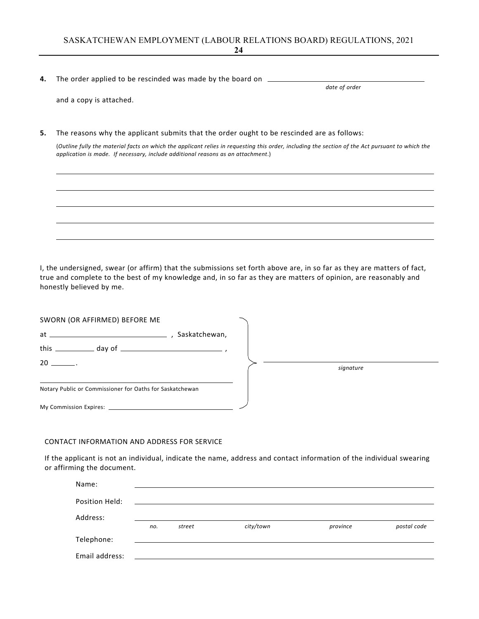SASKATCHEWAN EMPLOYMENT (LABOUR RELATIONS BOARD) REGULATIONS, 2021 **24**

**4.** The order applied to be rescinded was made by the board on  $\qquad$ 

*date of order*

|  |  |  |  | and a copy is attached. |
|--|--|--|--|-------------------------|
|--|--|--|--|-------------------------|

**5.** The reasons why the applicant submits that the order ought to be rescinded are as follows:

(Outline fully the material facts on which the applicant relies in requesting this order, including the section of the Act pursuant to which the *application is made. If necessary, include additional reasons as an attachment*.)

I, the undersigned, swear (or affirm) that the submissions set forth above are, in so far as they are matters of fact, true and complete to the best of my knowledge and, in so far as they are matters of opinion, are reasonably and honestly believed by me.

| SWORN (OR AFFIRMED) BEFORE ME                            |               |  |           |  |
|----------------------------------------------------------|---------------|--|-----------|--|
| $at \underline{\hspace{2cm}}$                            | Saskatchewan, |  |           |  |
|                                                          |               |  |           |  |
| $20$ $\qquad$ .                                          |               |  | signature |  |
| Notary Public or Commissioner for Oaths for Saskatchewan |               |  |           |  |
|                                                          |               |  |           |  |

#### CONTACT INFORMATION AND ADDRESS FOR SERVICE

If the applicant is not an individual, indicate the name, address and contact information of the individual swearing or affirming the document.

| Name:          |     |        |           |          |             |
|----------------|-----|--------|-----------|----------|-------------|
| Position Held: |     |        |           |          |             |
| Address:       |     |        |           |          |             |
|                | no. | street | city/town | province | postal code |
| Telephone:     |     |        |           |          |             |
|                |     |        |           |          |             |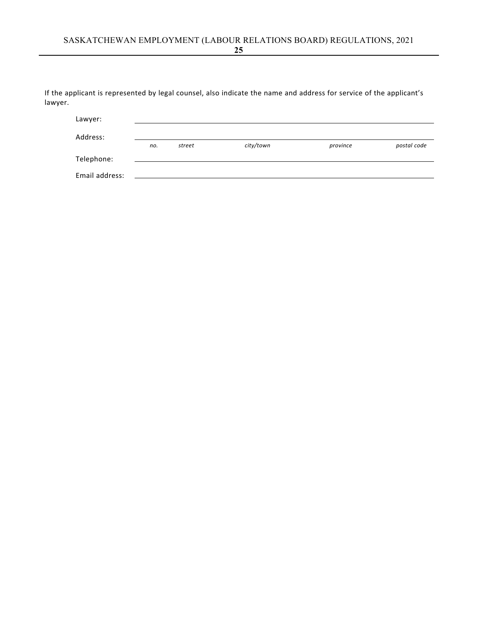If the applicant is represented by legal counsel, also indicate the name and address for service of the applicant's lawyer.

| Lawyer:        |     |        |           |          |             |
|----------------|-----|--------|-----------|----------|-------------|
| Address:       |     |        |           |          |             |
|                | no. | street | city/town | province | postal code |
| Telephone:     |     |        |           |          |             |
| Email address: |     |        |           |          |             |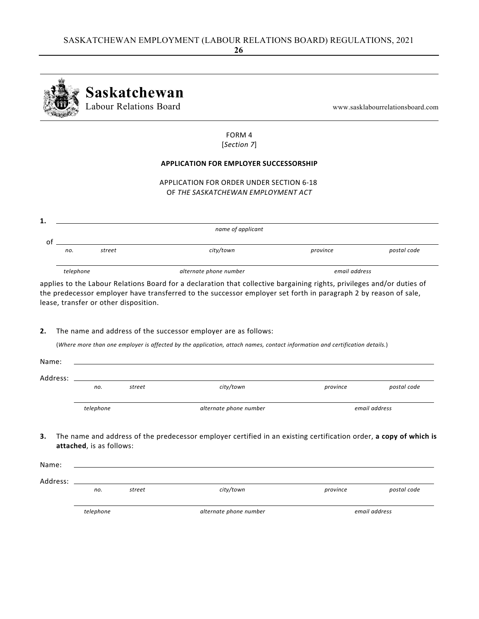

#### FORM 4 [*Section 7*]

#### **APPLICATION FOR EMPLOYER SUCCESSORSHIP**

APPLICATION FOR ORDER UNDER SECTION 6‐18 OF *THE SASKATCHEWAN EMPLOYMENT ACT*

|    | name of applicant |        |                        |               |             |  |  |  |
|----|-------------------|--------|------------------------|---------------|-------------|--|--|--|
| 01 |                   |        |                        |               |             |  |  |  |
|    | no.               | street | city/town              | province      | postal code |  |  |  |
|    |                   |        |                        |               |             |  |  |  |
|    | telephone         |        | alternate phone number | email address |             |  |  |  |

applies to the Labour Relations Board for a declaration that collective bargaining rights, privileges and/or duties of the predecessor employer have transferred to the successor employer set forth in paragraph 2 by reason of sale, lease, transfer or other disposition.

#### **2.** The name and address of the successor employer are as follows:

(Where more than one employer is affected by the application, attach names, contact information and certification details.)

| Name:    |           |        |                        |          |               |
|----------|-----------|--------|------------------------|----------|---------------|
| Address: |           |        |                        |          |               |
|          | no.       | street | city/town              | province | postal code   |
|          |           |        |                        |          |               |
|          | telephone |        | alternate phone number |          | email address |
|          |           |        |                        |          |               |

**3.** The name and address of the predecessor employer certified in an existing certification order, **a copy of which is attached**, is as follows:

|          | telephone |        | alternate phone number |          | email address |
|----------|-----------|--------|------------------------|----------|---------------|
| Address: | no.       | street | city/town              | province | postal code   |
|          |           |        |                        |          |               |
| Name:    |           |        |                        |          |               |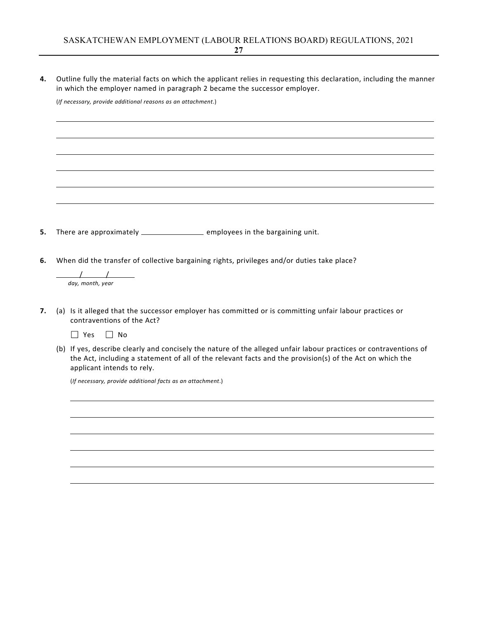**4.** Outline fully the material facts on which the applicant relies in requesting this declaration, including the manner in which the employer named in paragraph 2 became the successor employer.

(*If necessary, provide additional reasons as an attachment*.)

**5.** There are approximately \_\_\_\_\_\_\_\_\_\_\_\_\_\_\_\_\_\_\_\_ employees in the bargaining unit.

**6.** When did the transfer of collective bargaining rights, privileges and/or duties take place?

 $\overline{\phantom{a}}$  /  $\overline{\phantom{a}}$ *day, month, year*

**7.** (a) Is it alleged that the successor employer has committed or is committing unfair labour practices or contraventions of the Act?

 $\Box$  Yes  $\Box$  No

(b) If yes, describe clearly and concisely the nature of the alleged unfair labour practices or contraventions of the Act, including a statement of all of the relevant facts and the provision(s) of the Act on which the applicant intends to rely.

(*If necessary, provide additional facts as an attachment*.)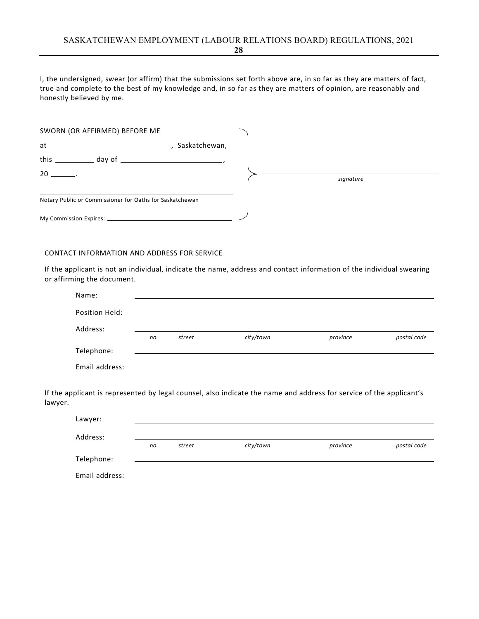I, the undersigned, swear (or affirm) that the submissions set forth above are, in so far as they are matters of fact, true and complete to the best of my knowledge and, in so far as they are matters of opinion, are reasonably and honestly believed by me.

| SWORN (OR AFFIRMED) BEFORE ME                            |               |  |           |  |
|----------------------------------------------------------|---------------|--|-----------|--|
|                                                          | Saskatchewan, |  |           |  |
|                                                          |               |  |           |  |
|                                                          |               |  | signature |  |
| Notary Public or Commissioner for Oaths for Saskatchewan |               |  |           |  |
|                                                          |               |  |           |  |

#### CONTACT INFORMATION AND ADDRESS FOR SERVICE

If the applicant is not an individual, indicate the name, address and contact information of the individual swearing or affirming the document.

| Name:          |     |        |           |          |             |
|----------------|-----|--------|-----------|----------|-------------|
| Position Held: |     |        |           |          |             |
| Address:       |     |        |           |          |             |
|                | no. | street | city/town | province | postal code |
| Telephone:     |     |        |           |          |             |
|                |     |        |           |          |             |

If the applicant is represented by legal counsel, also indicate the name and address for service of the applicant's lawyer.

| Lawyer:        |     |        |           |          |             |
|----------------|-----|--------|-----------|----------|-------------|
| Address:       |     |        |           |          |             |
|                | no. | street | city/town | province | postal code |
| Telephone:     |     |        |           |          |             |
| Email address: |     |        |           |          |             |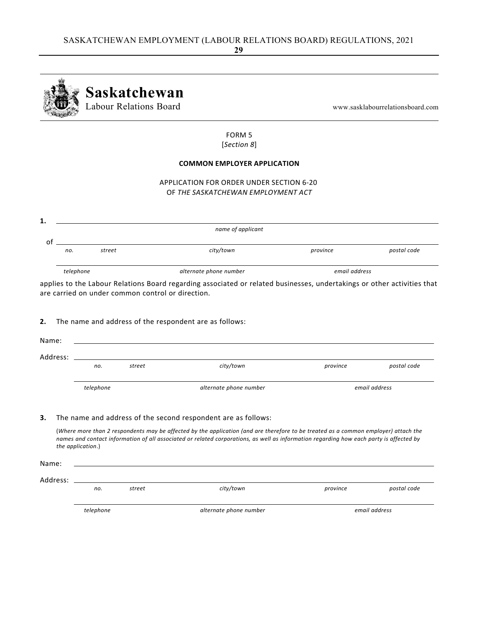

#### FORM 5 [*Section 8*]

#### **COMMON EMPLOYER APPLICATION**

APPLICATION FOR ORDER UNDER SECTION 6‐20 OF *THE SASKATCHEWAN EMPLOYMENT ACT*

|           |        | name of applicant      |               |             |
|-----------|--------|------------------------|---------------|-------------|
|           |        |                        |               |             |
| no.       | street | city/town              | province      | postal code |
|           |        |                        |               |             |
| telephone |        | alternate phone number | email address |             |

applies to the Labour Relations Board regarding associated or related businesses, undertakings or other activities that are carried on under common control or direction.

#### **2.** The name and address of the respondent are as follows:

| Name:    |           |        |                        |          |               |
|----------|-----------|--------|------------------------|----------|---------------|
| Address: |           |        |                        |          |               |
|          | no.       | street | city/town              | province | postal code   |
|          |           |        |                        |          |               |
|          | telephone |        | alternate phone number |          | email address |
|          |           |        |                        |          |               |

#### **3.** The name and address of the second respondent are as follows:

(Where more than 2 respondents may be affected by the application (and are therefore to be treated as a common employer) attach the names and contact information of all associated or related corporations, as well as information regarding how each party is affected by *the application*.)

Name:

Address:

 *no. street city/town province postal code*

 *telephone alternate phone number email address*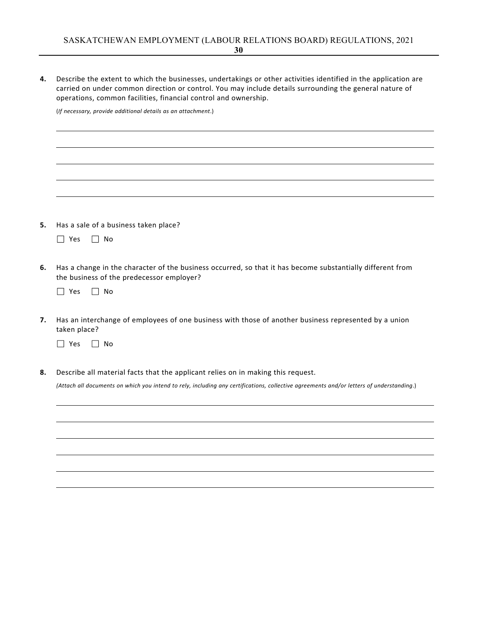**4.** Describe the extent to which the businesses, undertakings or other activities identified in the application are carried on under common direction or control. You may include details surrounding the general nature of operations, common facilities, financial control and ownership.

(*If necessary, provide additional details as an attachment*.)

**5.** Has a sale of a business taken place?

|  |  | N٥ |
|--|--|----|
|--|--|----|

- **6.** Has a change in the character of the business occurred, so that it has become substantially different from the business of the predecessor employer?
	- $\Box$  Yes  $\Box$  No
- **7.** Has an interchange of employees of one business with those of another business represented by a union taken place?

 $\Box$  Yes  $\Box$  No

**8.** Describe all material facts that the applicant relies on in making this request.

(Attach all documents on which you intend to rely, including any certifications, collective agreements and/or letters of understanding.)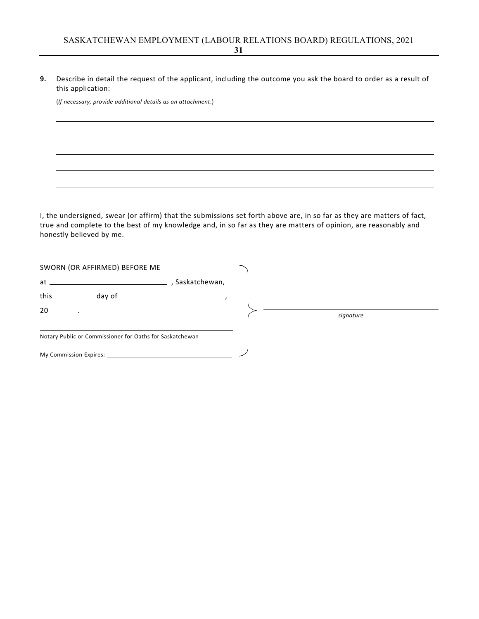**9.** Describe in detail the request of the applicant, including the outcome you ask the board to order as a result of this application:

(*If necessary, provide additional details as an attachment*.)

I, the undersigned, swear (or affirm) that the submissions set forth above are, in so far as they are matters of fact, true and complete to the best of my knowledge and, in so far as they are matters of opinion, are reasonably and honestly believed by me.

| SWORN (OR AFFIRMED) BEFORE ME                            |  |           |  |
|----------------------------------------------------------|--|-----------|--|
|                                                          |  |           |  |
|                                                          |  |           |  |
| $20 \ \_$ .                                              |  | signature |  |
| Notary Public or Commissioner for Oaths for Saskatchewan |  |           |  |
|                                                          |  |           |  |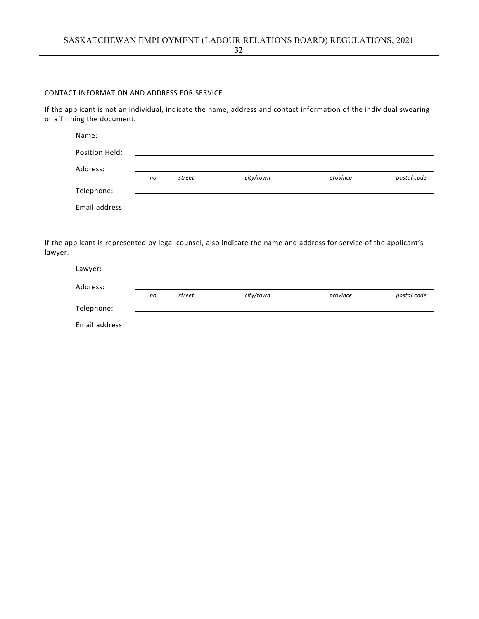#### CONTACT INFORMATION AND ADDRESS FOR SERVICE

If the applicant is not an individual, indicate the name, address and contact information of the individual swearing or affirming the document.

| Name:          |     |        |           |          |             |
|----------------|-----|--------|-----------|----------|-------------|
| Position Held: |     |        |           |          |             |
| Address:       | no. | street | city/town | province | postal code |
| Telephone:     |     |        |           |          |             |
| Email address: |     |        |           |          |             |

If the applicant is represented by legal counsel, also indicate the name and address for service of the applicant's lawyer.

| Lawyer:        |     |        |           |          |             |
|----------------|-----|--------|-----------|----------|-------------|
| Address:       |     |        |           |          |             |
|                | no. | street | city/town | province | postal code |
| Telephone:     |     |        |           |          |             |
| Email address: |     |        |           |          |             |

**32**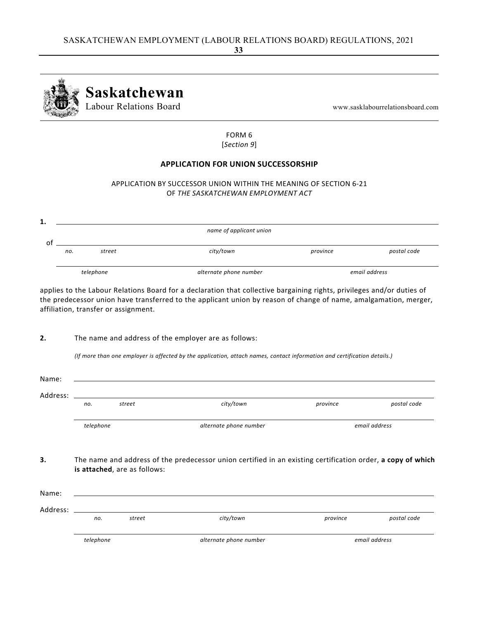

#### FORM 6 [*Section 9*]

## **APPLICATION FOR UNION SUCCESSORSHIP**

#### APPLICATION BY SUCCESSOR UNION WITHIN THE MEANING OF SECTION 6‐21 OF *THE SASKATCHEWAN EMPLOYMENT ACT*

|     |           | name of applicant union |          |               |
|-----|-----------|-------------------------|----------|---------------|
|     |           |                         |          |               |
| no. | street    | city/town               | province | postal code   |
|     |           |                         |          |               |
|     | telephone | alternate phone number  |          | email address |

applies to the Labour Relations Board for a declaration that collective bargaining rights, privileges and/or duties of the predecessor union have transferred to the applicant union by reason of change of name, amalgamation, merger, affiliation, transfer or assignment.

**2.** The name and address of the employer are as follows:

(If more than one employer is affected by the application, attach names, contact information and certification details.)

| Address: |           |                              |                                                                                                             |          |               |
|----------|-----------|------------------------------|-------------------------------------------------------------------------------------------------------------|----------|---------------|
|          | no.       | street                       | city/town                                                                                                   | province | postal code   |
|          | telephone |                              | alternate phone number                                                                                      |          | email address |
|          |           |                              |                                                                                                             |          |               |
|          |           | is attached, are as follows: | The name and address of the predecessor union certified in an existing certification order, a copy of which |          |               |
| Name:    |           |                              |                                                                                                             |          |               |
| Address: |           |                              |                                                                                                             |          |               |
|          | no.       | street                       | city/town                                                                                                   | province | postal code   |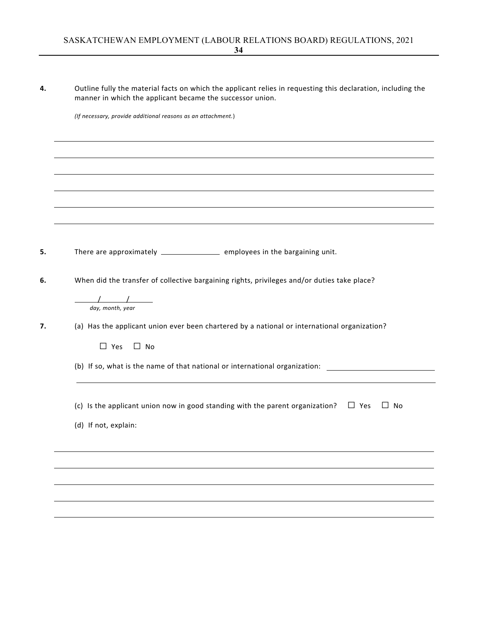| 4. | Outline fully the material facts on which the applicant relies in requesting this declaration, including the<br>manner in which the applicant became the successor union. |
|----|---------------------------------------------------------------------------------------------------------------------------------------------------------------------------|
|    | (If necessary, provide additional reasons as an attachment.)                                                                                                              |
|    |                                                                                                                                                                           |
|    |                                                                                                                                                                           |
|    |                                                                                                                                                                           |
|    |                                                                                                                                                                           |
|    |                                                                                                                                                                           |
| 5. | There are approximately ________________________ employees in the bargaining unit.                                                                                        |
| 6. | When did the transfer of collective bargaining rights, privileges and/or duties take place?                                                                               |
|    | $\frac{1}{\sqrt{2}}$<br>day, month, year                                                                                                                                  |
| 7. | (a) Has the applicant union ever been chartered by a national or international organization?                                                                              |
|    | $\Box$ Yes<br>$\square$ No                                                                                                                                                |
|    | (b) If so, what is the name of that national or international organization: ________________________                                                                      |
|    | (c) Is the applicant union now in good standing with the parent organization?<br>$\Box$ Yes<br>$\Box$ No                                                                  |
|    | (d) If not, explain:                                                                                                                                                      |
|    |                                                                                                                                                                           |
|    |                                                                                                                                                                           |
|    |                                                                                                                                                                           |
|    |                                                                                                                                                                           |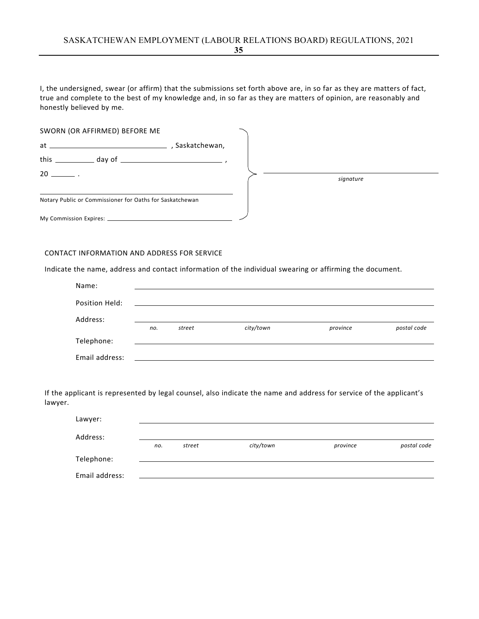I, the undersigned, swear (or affirm) that the submissions set forth above are, in so far as they are matters of fact, true and complete to the best of my knowledge and, in so far as they are matters of opinion, are reasonably and honestly believed by me.

| SWORN (OR AFFIRMED) BEFORE ME                            |  |           |
|----------------------------------------------------------|--|-----------|
|                                                          |  |           |
| this $\_\_$ day of $\_\_$                                |  |           |
| $20 \sim$                                                |  | signature |
| Notary Public or Commissioner for Oaths for Saskatchewan |  |           |
|                                                          |  |           |

#### CONTACT INFORMATION AND ADDRESS FOR SERVICE

Indicate the name, address and contact information of the individual swearing or affirming the document.

| Name:          |     |                                                                                                                       |           |          |             |
|----------------|-----|-----------------------------------------------------------------------------------------------------------------------|-----------|----------|-------------|
| Position Held: |     | <u> 1989 - Johann Stein, mars ann an t-Amhainn an t-Amhainn an t-Amhainn an t-Amhainn an t-Amhainn an t-Amhainn a</u> |           |          |             |
| Address:       |     |                                                                                                                       |           |          |             |
|                | no. | street                                                                                                                | city/town | province | postal code |
| Telephone:     |     |                                                                                                                       |           |          |             |
| Email address: |     |                                                                                                                       |           |          |             |

If the applicant is represented by legal counsel, also indicate the name and address for service of the applicant's lawyer.

| Lawyer:        |     |        |           |          |             |
|----------------|-----|--------|-----------|----------|-------------|
| Address:       |     |        |           |          |             |
|                | no. | street | city/town | province | postal code |
| Telephone:     |     |        |           |          |             |
| Email address: |     |        |           |          |             |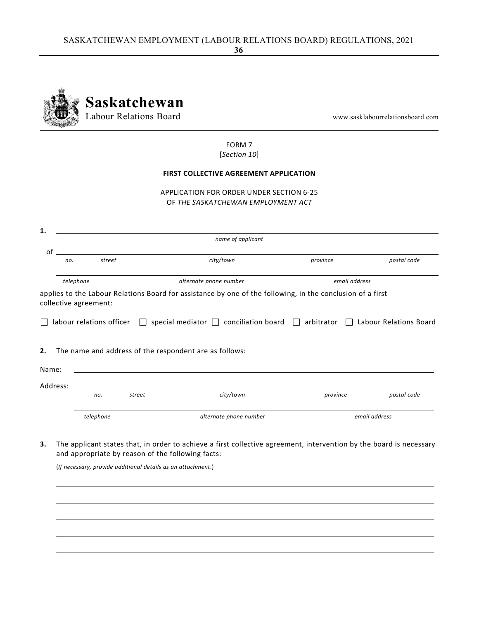|                         |                       | Saskatchewan<br>Labour Relations Board                 |                                                                                                                                                                                                                                                                    |          | www.sasklabourrelationsboard.com |
|-------------------------|-----------------------|--------------------------------------------------------|--------------------------------------------------------------------------------------------------------------------------------------------------------------------------------------------------------------------------------------------------------------------|----------|----------------------------------|
|                         |                       |                                                        | FORM 7<br>[Section 10]                                                                                                                                                                                                                                             |          |                                  |
|                         |                       |                                                        | <b>FIRST COLLECTIVE AGREEMENT APPLICATION</b>                                                                                                                                                                                                                      |          |                                  |
|                         |                       |                                                        | APPLICATION FOR ORDER UNDER SECTION 6-25<br>OF THE SASKATCHEWAN EMPLOYMENT ACT                                                                                                                                                                                     |          |                                  |
| 1.                      |                       |                                                        | name of applicant                                                                                                                                                                                                                                                  |          |                                  |
| οf<br>no.               | street                |                                                        | city/town                                                                                                                                                                                                                                                          | province | postal code                      |
| telephone               | collective agreement: |                                                        | alternate phone number<br>applies to the Labour Relations Board for assistance by one of the following, in the conclusion of a first<br>labour relations officer $\Box$ special mediator $\Box$ conciliation board $\Box$ arbitrator $\Box$ Labour Relations Board |          | email address                    |
| 2.<br>Name:<br>Address: |                       | The name and address of the respondent are as follows: |                                                                                                                                                                                                                                                                    |          |                                  |
|                         | no.                   | street                                                 | city/town                                                                                                                                                                                                                                                          | province | postal code                      |
|                         |                       |                                                        |                                                                                                                                                                                                                                                                    |          |                                  |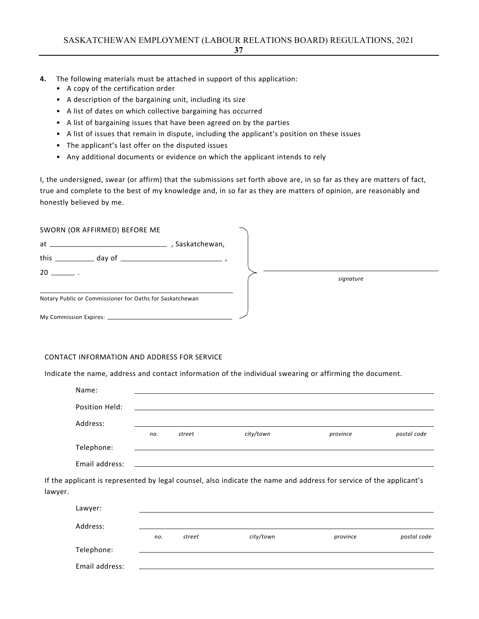- **4.** The following materials must be attached in support of this application:
	- A copy of the certification order
	- A description of the bargaining unit, including its size
	- A list of dates on which collective bargaining has occurred
	- A list of bargaining issues that have been agreed on by the parties
	- A list of issues that remain in dispute, including the applicant's position on these issues
	- The applicant's last offer on the disputed issues
	- Any additional documents or evidence on which the applicant intends to rely

I, the undersigned, swear (or affirm) that the submissions set forth above are, in so far as they are matters of fact, true and complete to the best of my knowledge and, in so far as they are matters of opinion, are reasonably and honestly believed by me.

| SWORN (OR AFFIRMED) BEFORE ME                            |           |
|----------------------------------------------------------|-----------|
| , Saskatchewan,                                          |           |
|                                                          |           |
| $20 \quad .$                                             | signature |
| Notary Public or Commissioner for Oaths for Saskatchewan |           |
|                                                          |           |

### CONTACT INFORMATION AND ADDRESS FOR SERVICE

Indicate the name, address and contact information of the individual swearing or affirming the document.

|         | Name:          |     |        |                                                                                                                     |          |             |
|---------|----------------|-----|--------|---------------------------------------------------------------------------------------------------------------------|----------|-------------|
|         | Position Held: |     |        |                                                                                                                     |          |             |
|         | Address:       |     |        |                                                                                                                     |          |             |
|         |                | no. | street | city/town                                                                                                           | province | postal code |
|         | Telephone:     |     |        |                                                                                                                     |          |             |
|         | Email address: |     |        |                                                                                                                     |          |             |
| lawyer. |                |     |        | If the applicant is represented by legal counsel, also indicate the name and address for service of the applicant's |          |             |
|         | Lawyer:        |     |        |                                                                                                                     |          |             |
|         | Address:       |     |        |                                                                                                                     |          |             |
|         |                | no. | street | city/town                                                                                                           | province | postal code |
|         | Telephone:     |     |        |                                                                                                                     |          |             |
|         | Email address: |     |        |                                                                                                                     |          |             |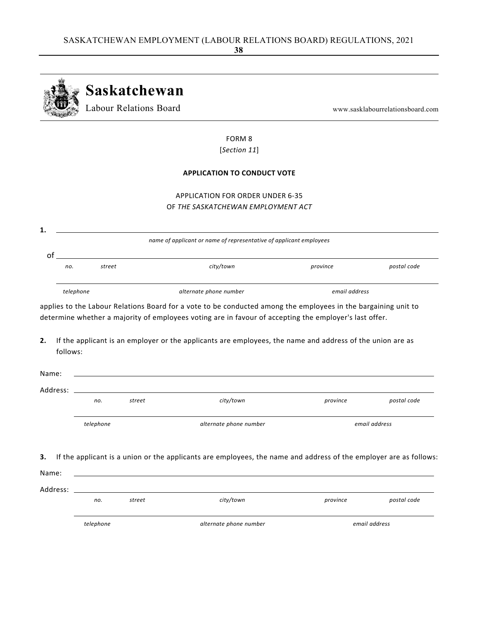|                               |           | Labour Relations Board |                                                                                                                                                                                                                                                                                                                                                                 |               | www.sasklabourrelationsboard.com |
|-------------------------------|-----------|------------------------|-----------------------------------------------------------------------------------------------------------------------------------------------------------------------------------------------------------------------------------------------------------------------------------------------------------------------------------------------------------------|---------------|----------------------------------|
|                               |           |                        | FORM <sub>8</sub>                                                                                                                                                                                                                                                                                                                                               |               |                                  |
|                               |           |                        | [Section 11]                                                                                                                                                                                                                                                                                                                                                    |               |                                  |
|                               |           |                        | <b>APPLICATION TO CONDUCT VOTE</b>                                                                                                                                                                                                                                                                                                                              |               |                                  |
|                               |           |                        | <b>APPLICATION FOR ORDER UNDER 6-35</b>                                                                                                                                                                                                                                                                                                                         |               |                                  |
|                               |           |                        | OF THE SASKATCHEWAN EMPLOYMENT ACT                                                                                                                                                                                                                                                                                                                              |               |                                  |
|                               |           |                        |                                                                                                                                                                                                                                                                                                                                                                 |               |                                  |
|                               |           |                        | name of applicant or name of representative of applicant employees                                                                                                                                                                                                                                                                                              |               |                                  |
|                               |           |                        |                                                                                                                                                                                                                                                                                                                                                                 |               |                                  |
| no.                           | street    |                        | city/town                                                                                                                                                                                                                                                                                                                                                       | province      |                                  |
| telephone                     |           |                        | alternate phone number<br>applies to the Labour Relations Board for a vote to be conducted among the employees in the bargaining unit to<br>determine whether a majority of employees voting are in favour of accepting the employer's last offer.<br>If the applicant is an employer or the applicants are employees, the name and address of the union are as | email address |                                  |
|                               |           |                        |                                                                                                                                                                                                                                                                                                                                                                 |               |                                  |
| follows:<br>Name:<br>Address: |           |                        |                                                                                                                                                                                                                                                                                                                                                                 |               |                                  |
|                               | no.       | street                 | city/town                                                                                                                                                                                                                                                                                                                                                       | province      |                                  |
|                               | telephone |                        | alternate phone number                                                                                                                                                                                                                                                                                                                                          |               | email address                    |
|                               |           |                        | If the applicant is a union or the applicants are employees, the name and address of the employer are as follows:                                                                                                                                                                                                                                               |               |                                  |
| Name:                         |           |                        |                                                                                                                                                                                                                                                                                                                                                                 |               | postal code<br>postal code       |
| Address:                      | no.       | street                 | city/town                                                                                                                                                                                                                                                                                                                                                       | province      | postal code                      |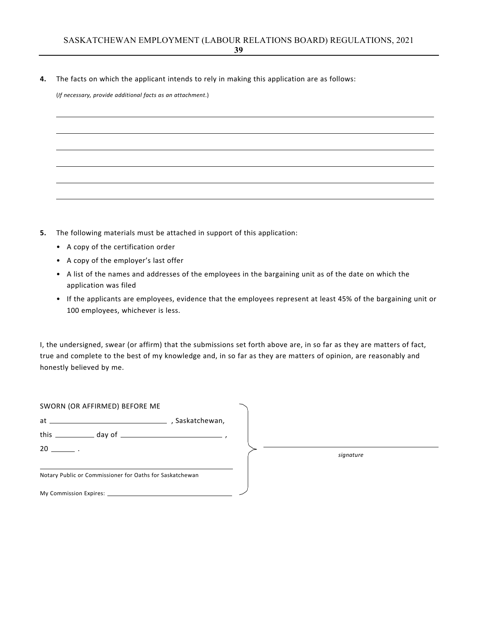**4.** The facts on which the applicant intends to rely in making this application are as follows:

(*If necessary, provide additional facts as an attachment*.)

- **5.** The following materials must be attached in support of this application:
	- A copy of the certification order
	- A copy of the employer's last offer
	- A list of the names and addresses of the employees in the bargaining unit as of the date on which the application was filed
	- If the applicants are employees, evidence that the employees represent at least 45% of the bargaining unit or 100 employees, whichever is less.

I, the undersigned, swear (or affirm) that the submissions set forth above are, in so far as they are matters of fact, true and complete to the best of my knowledge and, in so far as they are matters of opinion, are reasonably and honestly believed by me.

| SWORN (OR AFFIRMED) BEFORE ME                            |                 |           |
|----------------------------------------------------------|-----------------|-----------|
|                                                          | , Saskatchewan, |           |
|                                                          |                 |           |
| $20 \qquad \qquad .$                                     |                 | signature |
| Notary Public or Commissioner for Oaths for Saskatchewan |                 |           |
|                                                          |                 |           |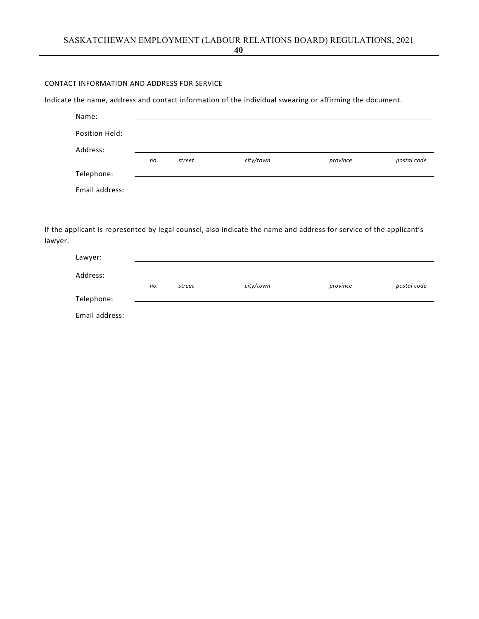# CONTACT INFORMATION AND ADDRESS FOR SERVICE

Indicate the name, address and contact information of the individual swearing or affirming the document.

| Name:          |     |        |           |          |             |
|----------------|-----|--------|-----------|----------|-------------|
| Position Held: |     |        |           |          |             |
| Address:       |     |        |           |          |             |
|                | no. | street | city/town | province | postal code |
| Telephone:     |     |        |           |          |             |
| Email address: |     |        |           |          |             |

| Lawyer:        |     |        |           |          |             |
|----------------|-----|--------|-----------|----------|-------------|
| Address:       |     |        |           |          |             |
|                | no. | street | city/town | province | postal code |
| Telephone:     |     |        |           |          |             |
| Email address: |     |        |           |          |             |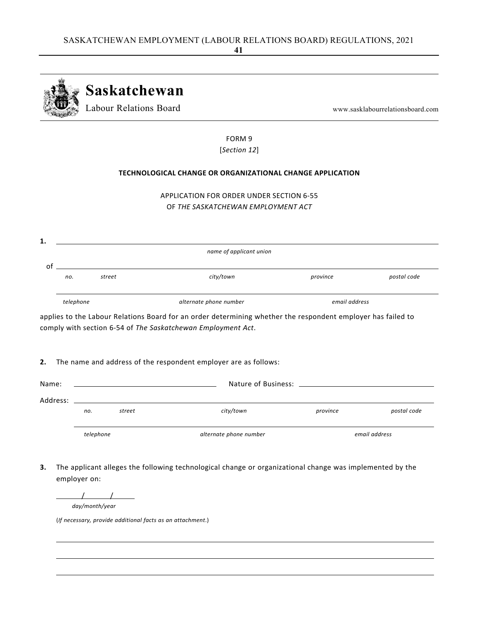

FORM 9 [*Section 12*]

# **TECHNOLOGICAL CHANGE OR ORGANIZATIONAL CHANGE APPLICATION**

| APPLICATION FOR ORDER UNDER SECTION 6-55 |
|------------------------------------------|
| OF THE SASKATCHEWAN EMPLOYMENT ACT       |

| 1. |           |        |                         |               |             |  |
|----|-----------|--------|-------------------------|---------------|-------------|--|
|    |           |        | name of applicant union |               |             |  |
|    |           |        |                         |               |             |  |
| οt |           |        |                         |               |             |  |
|    | no.       | street | city/town               | province      | postal code |  |
|    |           |        |                         |               |             |  |
|    | telephone |        | alternate phone number  | email address |             |  |
|    |           |        |                         |               |             |  |

applies to the Labour Relations Board for an order determining whether the respondent employer has failed to comply with section 6‐54 of *The Saskatchewan Employment Act*.

### **2.** The name and address of the respondent employer are as follows:

| Name:    | Nature of Business: Nature of Business: |        |                        |          |               |  |
|----------|-----------------------------------------|--------|------------------------|----------|---------------|--|
| Address: |                                         |        |                        |          |               |  |
|          | no.                                     | street | city/town              | province | postal code   |  |
|          | telephone                               |        | alternate phone number |          | email address |  |

**3.** The applicant alleges the following technological change or organizational change was implemented by the employer on:

 $\begin{array}{cccccccccccccc} & & & & & & & & \end{array}$ 

*day/month/year*

(*If necessary, provide additional facts as an attachment*.)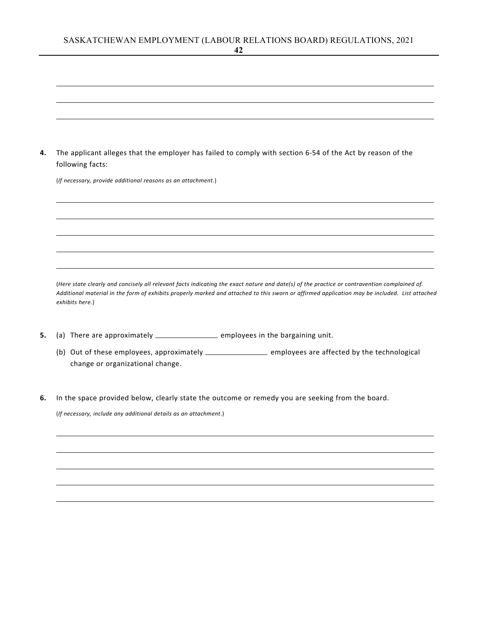| 4. | The applicant alleges that the employer has failed to comply with section 6-54 of the Act by reason of the<br>following facts: |
|----|--------------------------------------------------------------------------------------------------------------------------------|
|    | (If necessary, provide additional reasons as an attachment.)                                                                   |
|    |                                                                                                                                |

(Here state clearly and concisely all relevant facts indicating the exact nature and date(s) of the practice or contravention complained of. Additional material in the form of exhibits properly marked and attached to this sworn or affirmed application may be included. List attached *exhibits here.*)

- **5.** (a) There are approximately \_\_\_\_\_\_\_\_\_\_\_\_\_\_\_\_\_\_\_ employees in the bargaining unit.
	- (b) Out of these employees, approximately \_\_\_\_\_\_\_\_\_\_\_\_\_\_\_\_\_\_ employees are affected by the technological change or organizational change.
- **6.** In the space provided below, clearly state the outcome or remedy you are seeking from the board.

(*If necessary, include any additional details as an attachment*.)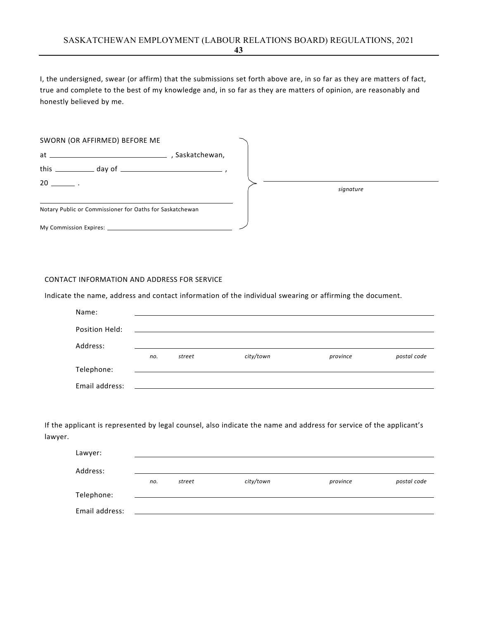I, the undersigned, swear (or affirm) that the submissions set forth above are, in so far as they are matters of fact, true and complete to the best of my knowledge and, in so far as they are matters of opinion, are reasonably and honestly believed by me.

| SWORN (OR AFFIRMED) BEFORE ME                            |                 |  |           |
|----------------------------------------------------------|-----------------|--|-----------|
|                                                          | , Saskatchewan, |  |           |
|                                                          |                 |  |           |
| $20 \qquad \qquad .$                                     |                 |  | signature |
| Notary Public or Commissioner for Oaths for Saskatchewan |                 |  |           |
|                                                          |                 |  |           |

#### CONTACT INFORMATION AND ADDRESS FOR SERVICE

Indicate the name, address and contact information of the individual swearing or affirming the document.

| Name:          |     |        |                                                                                                                       |          |             |
|----------------|-----|--------|-----------------------------------------------------------------------------------------------------------------------|----------|-------------|
| Position Held: |     |        | <u> 1989 - Jan Sterling von Berling von Berling von Berling von Berling von Berling von Berling von Berling von B</u> |          |             |
| Address:       |     |        |                                                                                                                       |          |             |
|                | no. | street | city/town                                                                                                             | province | postal code |
| Telephone:     |     |        |                                                                                                                       |          |             |
| Email address: |     |        |                                                                                                                       |          |             |

| Lawyer:        |     |        |           |          |             |
|----------------|-----|--------|-----------|----------|-------------|
| Address:       |     |        |           |          |             |
|                | no. | street | city/town | province | postal code |
| Telephone:     |     |        |           |          |             |
| Email address: |     |        |           |          |             |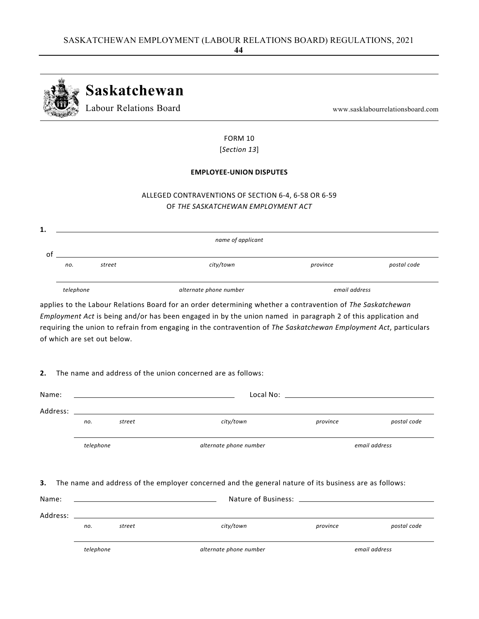

# FORM 10 [*Section 13*]

### **EMPLOYEE‐UNION DISPUTES**

# ALLEGED CONTRAVENTIONS OF SECTION 6‐4, 6‐58 OR 6‐59 OF *THE SASKATCHEWAN EMPLOYMENT ACT*

| 1. |           |        |                        |               |             |
|----|-----------|--------|------------------------|---------------|-------------|
|    |           |        | name of applicant      |               |             |
|    |           |        |                        |               |             |
|    | no.       | street | city/town              | province      | postal code |
|    | telephone |        | alternate phone number | email address |             |

applies to the Labour Relations Board for an order determining whether a contravention of *The Saskatchewan Employment Act* is being and/or has been engaged in by the union named in paragraph 2 of this application and requiring the union to refrain from engaging in the contravention of *The Saskatchewan Employment Act*, particulars of which are set out below.

# **2.** The name and address of the union concerned are as follows:

| Name:                                                                                                                                                                                                                          |           |        |                                                                                                                                                                                                                                             |                                         |               |  |  |  |  |
|--------------------------------------------------------------------------------------------------------------------------------------------------------------------------------------------------------------------------------|-----------|--------|---------------------------------------------------------------------------------------------------------------------------------------------------------------------------------------------------------------------------------------------|-----------------------------------------|---------------|--|--|--|--|
| Address: the contract of the contract of the contract of the contract of the contract of the contract of the contract of the contract of the contract of the contract of the contract of the contract of the contract of the c |           |        |                                                                                                                                                                                                                                             |                                         |               |  |  |  |  |
|                                                                                                                                                                                                                                | no.       | street | city/town                                                                                                                                                                                                                                   | province                                | postal code   |  |  |  |  |
|                                                                                                                                                                                                                                | telephone |        | alternate phone number                                                                                                                                                                                                                      |                                         | email address |  |  |  |  |
| 3.<br>Name:                                                                                                                                                                                                                    |           |        | The name and address of the employer concerned and the general nature of its business are as follows:                                                                                                                                       | Nature of Business: Nature of Business: |               |  |  |  |  |
|                                                                                                                                                                                                                                |           |        |                                                                                                                                                                                                                                             |                                         |               |  |  |  |  |
|                                                                                                                                                                                                                                | no.       | street | Address: the contract of the contract of the contract of the contract of the contract of the contract of the contract of the contract of the contract of the contract of the contract of the contract of the contract of the c<br>city/town | province                                | postal code   |  |  |  |  |
|                                                                                                                                                                                                                                | telephone |        | alternate phone number                                                                                                                                                                                                                      |                                         | email address |  |  |  |  |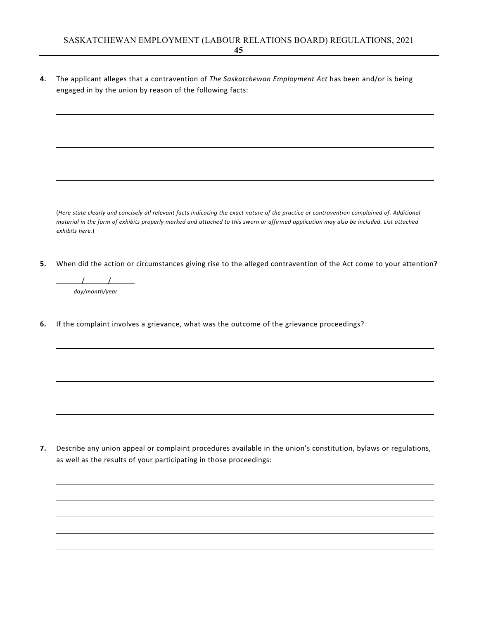**4.** The applicant alleges that a contravention of *The Saskatchewan Employment Act* has been and/or is being engaged in by the union by reason of the following facts:

(Here state clearly and concisely all relevant facts indicating the exact nature of the practice or contravention complained of. Additional material in the form of exhibits properly marked and attached to this sworn or affirmed application may also be included. List attached *exhibits here.*)

**5.** When did the action or circumstances giving rise to the alleged contravention of the Act come to your attention?

 $\begin{array}{c|c} \hline \end{array}$ *day/month/year*

**6.** If the complaint involves a grievance, what was the outcome of the grievance proceedings?

**7.** Describe any union appeal or complaint procedures available in the union's constitution, bylaws or regulations, as well as the results of your participating in those proceedings: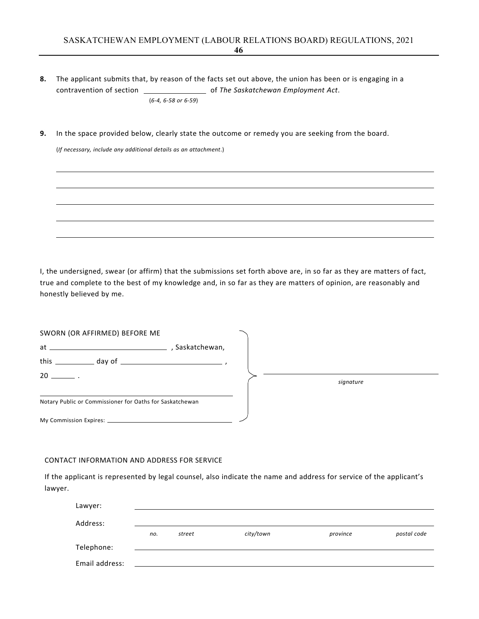- **8.** The applicant submits that, by reason of the facts set out above, the union has been or is engaging in a contravention of section of *The Saskatchewan Employment Act*. (*6‐4, 6‐58 or 6‐59*)
- **9.** In the space provided below, clearly state the outcome or remedy you are seeking from the board.

(*If necessary, include any additional details as an attachment*.)

I, the undersigned, swear (or affirm) that the submissions set forth above are, in so far as they are matters of fact, true and complete to the best of my knowledge and, in so far as they are matters of opinion, are reasonably and honestly believed by me.

| SWORN (OR AFFIRMED) BEFORE ME                            |               |           |  |
|----------------------------------------------------------|---------------|-----------|--|
| $at \underline{\hspace{2cm}}$                            | Saskatchewan, |           |  |
|                                                          |               |           |  |
| $20 \ \_ \ \_ \ .$                                       |               | signature |  |
| Notary Public or Commissioner for Oaths for Saskatchewan |               |           |  |
|                                                          |               |           |  |

#### CONTACT INFORMATION AND ADDRESS FOR SERVICE

| Lawyer:        |     |        |           |          |             |
|----------------|-----|--------|-----------|----------|-------------|
| Address:       |     |        |           |          |             |
|                | no. | street | city/town | province | postal code |
| Telephone:     |     |        |           |          |             |
| Email address: |     |        |           |          |             |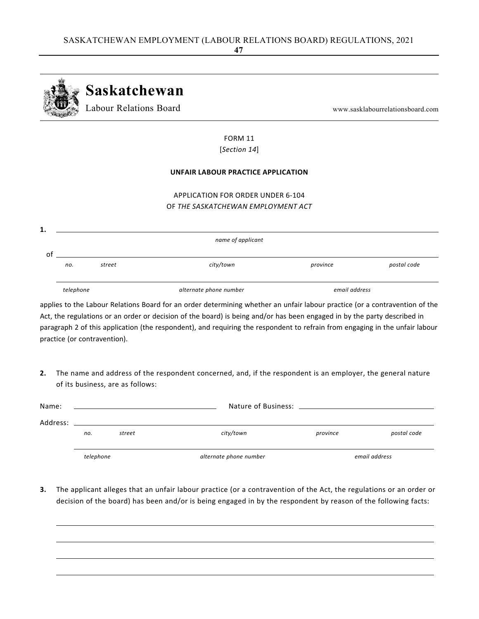

# FORM 11 [*Section 14*]

#### **UNFAIR LABOUR PRACTICE APPLICATION**

# APPLICATION FOR ORDER UNDER 6‐104 OF *THE SASKATCHEWAN EMPLOYMENT ACT*

|   |           |        | name of applicant      |               |             |
|---|-----------|--------|------------------------|---------------|-------------|
| O |           |        |                        |               |             |
|   | no.       | street | city/town              | province      | postal code |
|   |           |        |                        |               |             |
|   | telephone |        | alternate phone number | email address |             |

applies to the Labour Relations Board for an order determining whether an unfair labour practice (or a contravention of the Act, the regulations or an order or decision of the board) is being and/or has been engaged in by the party described in paragraph 2 of this application (the respondent), and requiring the respondent to refrain from engaging in the unfair labour practice (or contravention).

**2.** The name and address of the respondent concerned, and, if the respondent is an employer, the general nature of its business, are as follows:

| Name:    |           |                                                                                                     |                        |          |               |
|----------|-----------|-----------------------------------------------------------------------------------------------------|------------------------|----------|---------------|
| Address: |           | the contract of the contract of the contract of the contract of the contract of the contract of the |                        |          |               |
|          | no.       | street                                                                                              | city/town              | province | postal code   |
|          |           |                                                                                                     |                        |          |               |
|          | telephone |                                                                                                     | alternate phone number |          | email address |

**3.** The applicant alleges that an unfair labour practice (or a contravention of the Act, the regulations or an order or decision of the board) has been and/or is being engaged in by the respondent by reason of the following facts: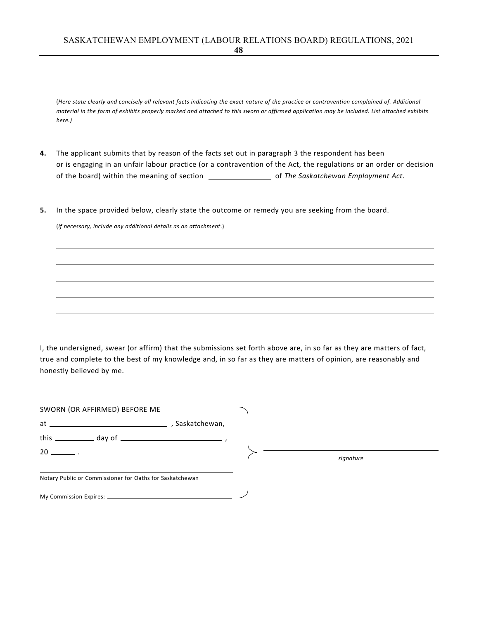(Here state clearly and concisely all relevant facts indicating the exact nature of the practice or contravention complained of. Additional material in the form of exhibits properly marked and attached to this sworn or affirmed application may be included. List attached exhibits *here.)*

- **4.** The applicant submits that by reason of the facts set out in paragraph 3 the respondent has been or is engaging in an unfair labour practice (or a contravention of the Act, the regulations or an order or decision of the board) within the meaning of section of *The Saskatchewan Employment Act*.
- **5.** In the space provided below, clearly state the outcome or remedy you are seeking from the board.

(*If necessary, include any additional details as an attachment*.)

I, the undersigned, swear (or affirm) that the submissions set forth above are, in so far as they are matters of fact, true and complete to the best of my knowledge and, in so far as they are matters of opinion, are reasonably and honestly believed by me.

| SWORN (OR AFFIRMED) BEFORE ME                            |               |  |           |  |
|----------------------------------------------------------|---------------|--|-----------|--|
| $at \underline{\hspace{1cm}}$                            | Saskatchewan, |  |           |  |
|                                                          |               |  |           |  |
| $20 \ \_ \ \_ \ .$                                       |               |  | signature |  |
| Notary Public or Commissioner for Oaths for Saskatchewan |               |  |           |  |
|                                                          |               |  |           |  |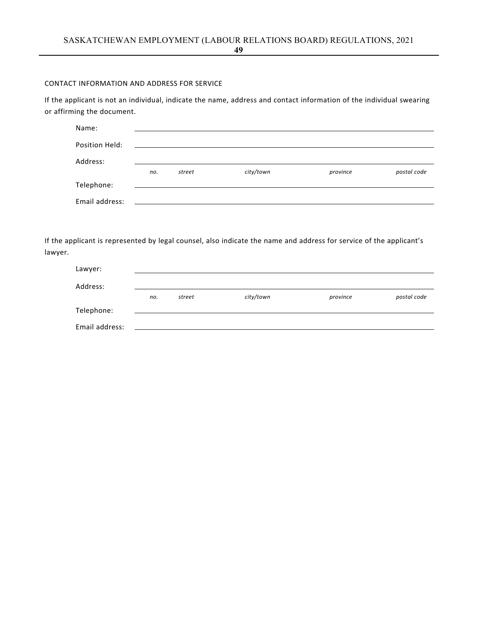CONTACT INFORMATION AND ADDRESS FOR SERVICE

If the applicant is not an individual, indicate the name, address and contact information of the individual swearing or affirming the document.

| Name:          |     |        |           |          |             |
|----------------|-----|--------|-----------|----------|-------------|
| Position Held: |     |        |           |          |             |
| Address:       |     |        |           |          |             |
|                | no. | street | city/town | province | postal code |
| Telephone:     |     |        |           |          |             |
| Email address: |     |        |           |          |             |

If the applicant is represented by legal counsel, also indicate the name and address for service of the applicant's lawyer.

| Lawyer:        |     |        |           |          |             |
|----------------|-----|--------|-----------|----------|-------------|
| Address:       |     |        |           |          |             |
|                | no. | street | city/town | province | postal code |
| Telephone:     |     |        |           |          |             |
| Email address: |     |        |           |          |             |

**49**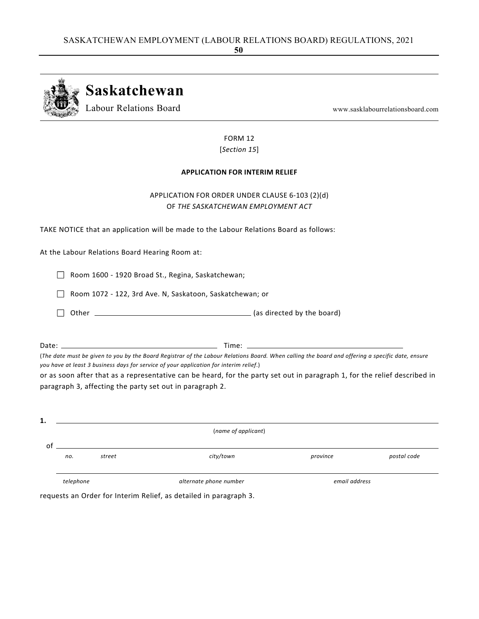

FORM 12 [*Section 15*]

### **APPLICATION FOR INTERIM RELIEF**

# APPLICATION FOR ORDER UNDER CLAUSE 6‐103 (2)(d) OF *THE SASKATCHEWAN EMPLOYMENT ACT*

TAKE NOTICE that an application will be made to the Labour Relations Board as follows:

At the Labour Relations Board Hearing Room at:

Room 1600 ‐ 1920 Broad St., Regina, Saskatchewan;

□ Room 1072 - 122, 3rd Ave. N, Saskatoon, Saskatchewan; or

Other (as directed by the board)

Date: Time:

(The date must be given to you by the Board Registrar of the Labour Relations Board. When calling the board and offering a specific date, ensure *you have at least 3 business days for service of your application for interim relief*.)

or as soon after that as a representative can be heard, for the party set out in paragraph 1, for the relief described in paragraph 3, affecting the party set out in paragraph 2.

| 1. |           |        |                        |               |             |
|----|-----------|--------|------------------------|---------------|-------------|
|    |           |        | (name of applicant)    |               |             |
| οt |           |        |                        |               |             |
|    | no.       | street | city/town              | province      | postal code |
|    |           |        |                        |               |             |
|    | telephone |        | alternate phone number | email address |             |

requests an Order for Interim Relief, as detailed in paragraph 3.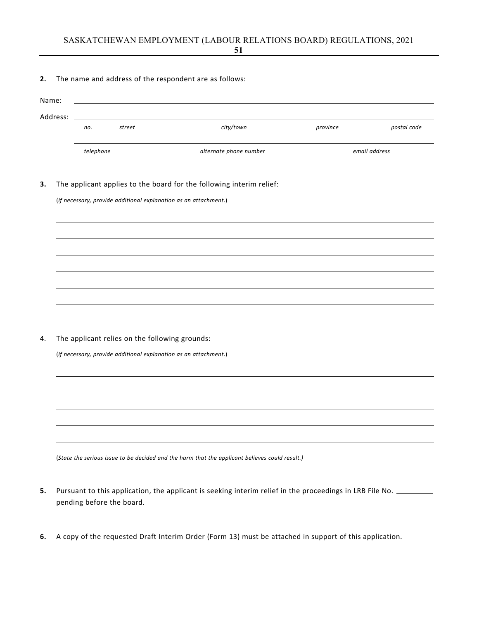**2.** The name and address of the respondent are as follows:

| Address: |           |                                                                  |                                                                      |          |               |
|----------|-----------|------------------------------------------------------------------|----------------------------------------------------------------------|----------|---------------|
|          | no.       | street                                                           | city/town                                                            | province | postal code   |
|          | telephone |                                                                  | alternate phone number                                               |          | email address |
|          |           | (If necessary, provide additional explanation as an attachment.) | The applicant applies to the board for the following interim relief: |          |               |
|          |           |                                                                  |                                                                      |          |               |
|          |           |                                                                  |                                                                      |          |               |
|          |           |                                                                  |                                                                      |          |               |
|          |           |                                                                  |                                                                      |          |               |
|          |           | The applicant relies on the following grounds:                   |                                                                      |          |               |
|          |           | (If necessary, provide additional explanation as an attachment.) |                                                                      |          |               |
|          |           |                                                                  |                                                                      |          |               |
|          |           |                                                                  |                                                                      |          |               |
|          |           |                                                                  |                                                                      |          |               |
|          |           |                                                                  |                                                                      |          |               |

- **5.** Pursuant to this application, the applicant is seeking interim relief in the proceedings in LRB File No. \_\_\_\_\_\_\_\_ pending before the board.
- **6.** A copy of the requested Draft Interim Order (Form 13) must be attached in support of this application.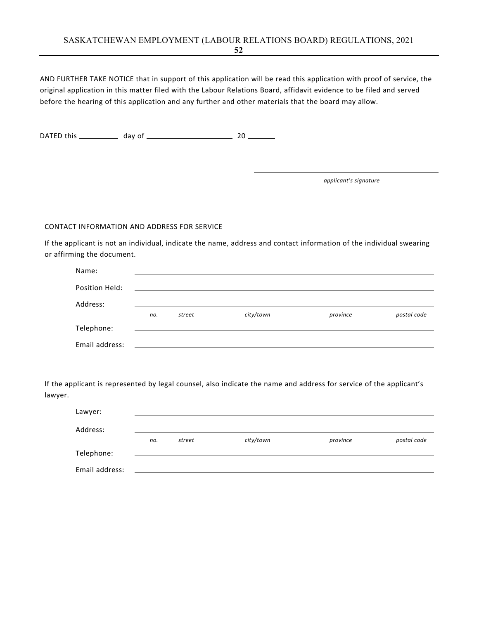AND FURTHER TAKE NOTICE that in support of this application will be read this application with proof of service, the original application in this matter filed with the Labour Relations Board, affidavit evidence to be filed and served before the hearing of this application and any further and other materials that the board may allow.

DATED this day of 20

*applicant's signature*

### CONTACT INFORMATION AND ADDRESS FOR SERVICE

If the applicant is not an individual, indicate the name, address and contact information of the individual swearing or affirming the document.

| Name:          |     |        |           |          |             |
|----------------|-----|--------|-----------|----------|-------------|
| Position Held: |     |        |           |          |             |
|                |     |        |           |          |             |
| Address:       | no. | street | city/town | province | postal code |
| Telephone:     |     |        |           |          |             |
|                |     |        |           |          |             |
| Email address: |     |        |           |          |             |

| Lawyer:        |     |        |           |          |             |
|----------------|-----|--------|-----------|----------|-------------|
| Address:       |     |        |           |          |             |
|                | no. | street | city/town | province | postal code |
| Telephone:     |     |        |           |          |             |
| Email address: |     |        |           |          |             |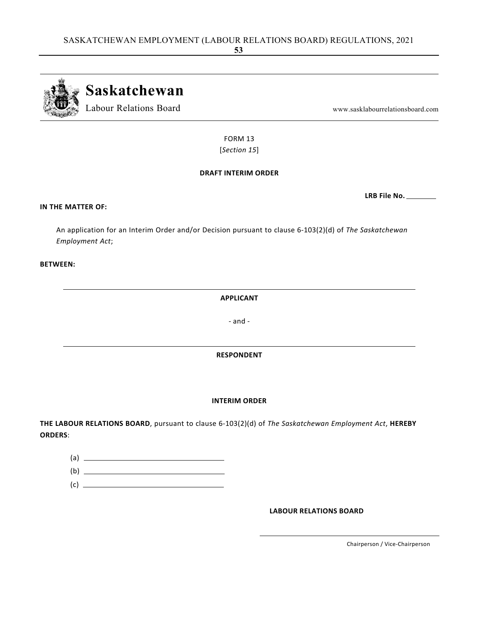**Saskatchewan** Labour Relations Board www.sasklabourrelationsboard.com

> FORM 13 [*Section 15*]

### **DRAFT INTERIM ORDER**

# **IN THE MATTER OF:**

An application for an Interim Order and/or Decision pursuant to clause 6‐103(2)(d) of *The Saskatchewan Employment Act*;

### **BETWEEN:**

**APPLICANT**

‐ and ‐

### **RESPONDENT**

### **INTERIM ORDER**

**THE LABOUR RELATIONS BOARD**, pursuant to clause 6‐103(2)(d) of *The Saskatchewan Employment Act*, **HEREBY ORDERS**:

| (a) |  |
|-----|--|
| (b) |  |
| (c) |  |

**LABOUR RELATIONS BOARD**

Chairperson / Vice‐Chairperson

**LRB File No.**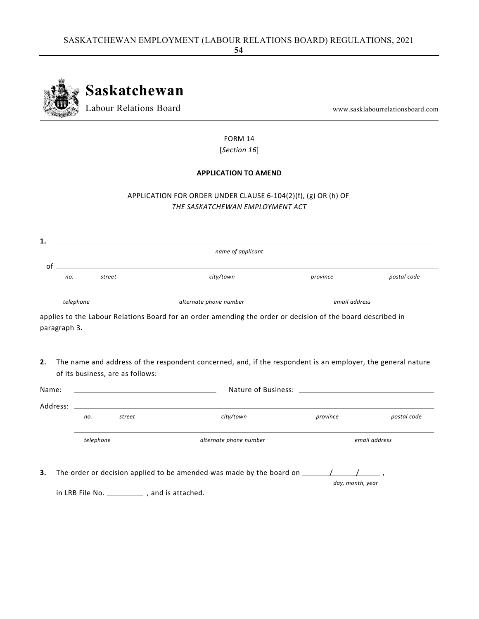

FORM 14 [*Section 16*]

## **APPLICATION TO AMEND**

# APPLICATION FOR ORDER UNDER CLAUSE 6‐104(2)(f), (g) OR (h) OF *THE SASKATCHEWAN EMPLOYMENT ACT*

| οf<br>no.<br>telephone<br>paragraph 3. | <u> 1980 - Jan Samuel Barbara, margaret e</u><br>street | city/town<br>alternate phone number<br>applies to the Labour Relations Board for an order amending the order or decision of the board described in | province<br>email address | postal code   |  |
|----------------------------------------|---------------------------------------------------------|----------------------------------------------------------------------------------------------------------------------------------------------------|---------------------------|---------------|--|
|                                        |                                                         |                                                                                                                                                    |                           |               |  |
|                                        |                                                         |                                                                                                                                                    |                           |               |  |
|                                        |                                                         |                                                                                                                                                    |                           |               |  |
|                                        |                                                         | The name and address of the respondent concerned, and, if the respondent is an employer, the general nature                                        |                           |               |  |
|                                        | of its business, are as follows:                        |                                                                                                                                                    |                           |               |  |
| Name:                                  |                                                         | <u> 1989 - Johann Stoff, amerikansk politiker (* 1908)</u>                                                                                         |                           |               |  |
| Address:                               |                                                         |                                                                                                                                                    |                           |               |  |
|                                        | street<br>no.                                           | city/town                                                                                                                                          | province                  | postal code   |  |
| telephone                              |                                                         | alternate phone number                                                                                                                             |                           | email address |  |
|                                        |                                                         |                                                                                                                                                    |                           |               |  |

in LRB File No. \_\_\_\_\_\_\_\_\_\_\_\_, and is attached.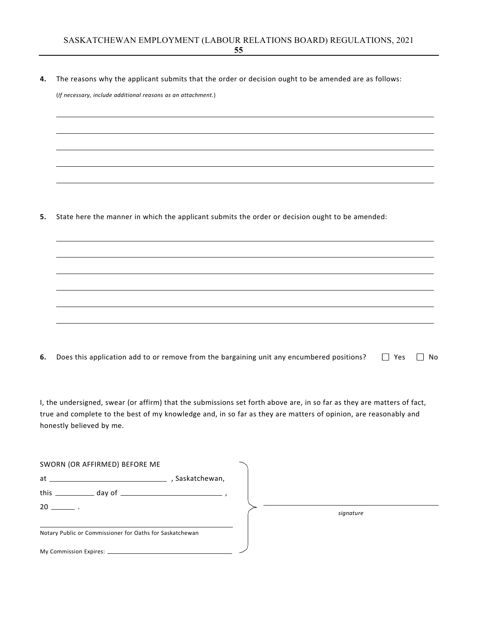**4.** The reasons why the applicant submits that the order or decision ought to be amended are as follows:

(*If necessary, include additional reasons as an attachment.*)

**5.** State here the manner in which the applicant submits the order or decision ought to be amended:

| 6. Does this application add to or remove from the bargaining unit any encumbered positions? $\Box$ Yes $\Box$ No |  |
|-------------------------------------------------------------------------------------------------------------------|--|
|-------------------------------------------------------------------------------------------------------------------|--|

I, the undersigned, swear (or affirm) that the submissions set forth above are, in so far as they are matters of fact, true and complete to the best of my knowledge and, in so far as they are matters of opinion, are reasonably and honestly believed by me.

| SWORN (OR AFFIRMED) BEFORE ME                               |  |           |
|-------------------------------------------------------------|--|-----------|
|                                                             |  |           |
| this $\frac{1}{\sqrt{2\pi}}$ day of $\frac{1}{\sqrt{2\pi}}$ |  |           |
| $20 \quad .$                                                |  | signature |
| Notary Public or Commissioner for Oaths for Saskatchewan    |  |           |
|                                                             |  |           |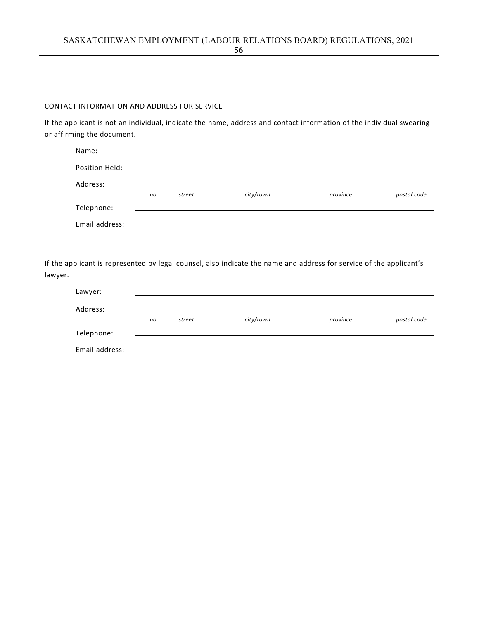### CONTACT INFORMATION AND ADDRESS FOR SERVICE

If the applicant is not an individual, indicate the name, address and contact information of the individual swearing or affirming the document.

| Name:          |     |        |           |          |             |
|----------------|-----|--------|-----------|----------|-------------|
| Position Held: |     |        |           |          |             |
| Address:       |     |        |           |          |             |
|                | no. | street | city/town | province | postal code |
| Telephone:     |     |        |           |          |             |
| Email address: |     |        |           |          |             |

| Lawyer:        |     |        |           |          |             |
|----------------|-----|--------|-----------|----------|-------------|
| Address:       |     |        |           |          |             |
|                | no. | street | city/town | province | postal code |
| Telephone:     |     |        |           |          |             |
| Email address: |     |        |           |          |             |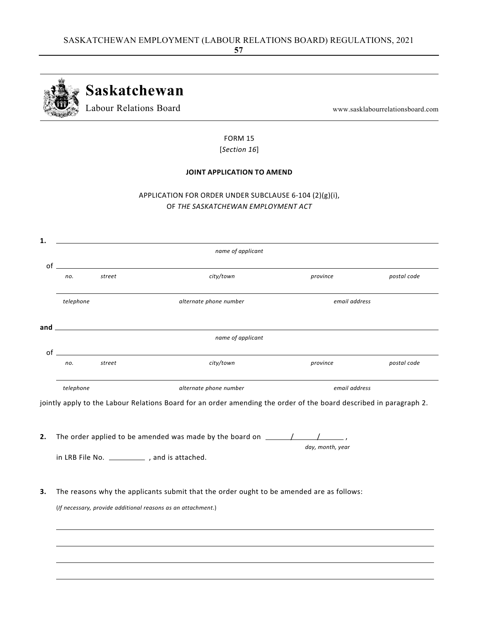

FORM 15 [*Section 16*]

### **JOINT APPLICATION TO AMEND**

# APPLICATION FOR ORDER UNDER SUBCLAUSE 6‐104 (2)(g)(i), OF *THE SASKATCHEWAN EMPLOYMENT ACT*



**2.** The order applied to be amended was made by the board on  $\frac{1}{\sqrt{1-\frac{1}{n}}$ 

in LRB File No. \_\_\_\_\_\_\_\_\_\_\_\_\_, and is attached.

*day, month, year*

**3.** The reasons why the applicants submit that the order ought to be amended are as follows:

(*If necessary, provide additional reasons as an attachment*.)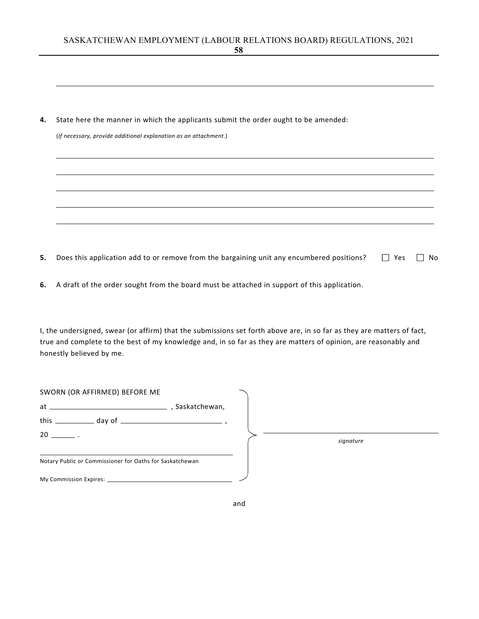**4.** State here the manner in which the applicants submit the order ought to be amended:

(*If necessary, provide additional explanation as an attachment*.)

- **5.** Does this application add to or remove from the bargaining unit any encumbered positions?  $\Box$  Yes  $\Box$  No
- **6.** A draft of the order sought from the board must be attached in support of this application.

I, the undersigned, swear (or affirm) that the submissions set forth above are, in so far as they are matters of fact, true and complete to the best of my knowledge and, in so far as they are matters of opinion, are reasonably and honestly believed by me.

| SWORN (OR AFFIRMED) BEFORE ME                            |                 |  |           |
|----------------------------------------------------------|-----------------|--|-----------|
|                                                          | , Saskatchewan, |  |           |
|                                                          |                 |  |           |
| $20 \sim$                                                |                 |  | signature |
| Notary Public or Commissioner for Oaths for Saskatchewan |                 |  |           |
|                                                          |                 |  |           |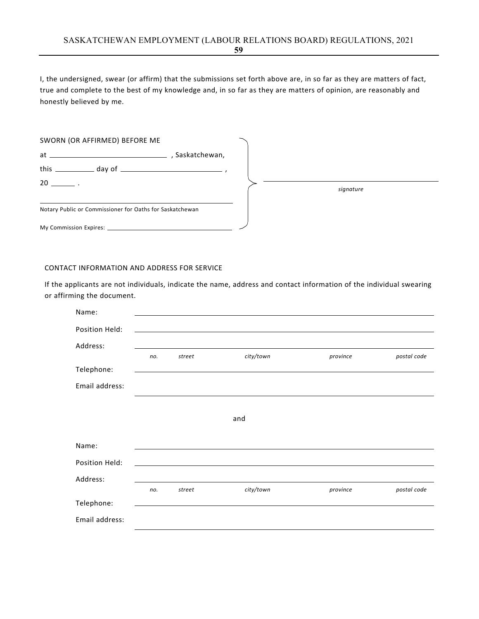I, the undersigned, swear (or affirm) that the submissions set forth above are, in so far as they are matters of fact, true and complete to the best of my knowledge and, in so far as they are matters of opinion, are reasonably and honestly believed by me.

| SWORN (OR AFFIRMED) BEFORE ME                            |           |  |
|----------------------------------------------------------|-----------|--|
| . Saskatchewan,                                          |           |  |
|                                                          |           |  |
| $20 \equiv$ .                                            | signature |  |
| Notary Public or Commissioner for Oaths for Saskatchewan |           |  |
|                                                          |           |  |

#### CONTACT INFORMATION AND ADDRESS FOR SERVICE

If the applicants are not individuals, indicate the name, address and contact information of the individual swearing or affirming the document.

| Name:          |     |        |           |          |             |
|----------------|-----|--------|-----------|----------|-------------|
| Position Held: |     |        |           |          |             |
| Address:       |     |        |           |          |             |
|                | no. | street | city/town | province | postal code |
| Telephone:     |     |        |           |          |             |
| Email address: |     |        |           |          |             |
|                |     |        |           |          |             |
|                |     |        | and       |          |             |
|                |     |        |           |          |             |
| Name:          |     |        |           |          |             |
| Position Held: |     |        |           |          |             |
| Address:       |     |        |           |          |             |
|                | no. | street | city/town | province | postal code |
| Telephone:     |     |        |           |          |             |
| Email address: |     |        |           |          |             |
|                |     |        |           |          |             |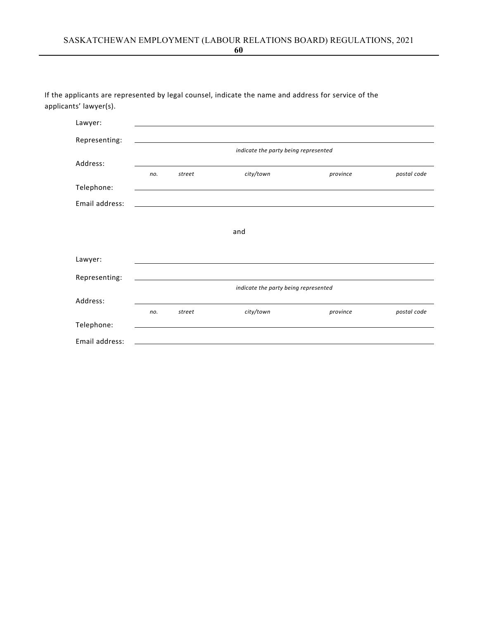| If the applicants are represented by legal counsel, indicate the name and address for service of the |  |  |  |
|------------------------------------------------------------------------------------------------------|--|--|--|
| applicants' lawyer(s).                                                                               |  |  |  |

| Lawyer:        |     |        |                                      |          |             |
|----------------|-----|--------|--------------------------------------|----------|-------------|
| Representing:  |     |        |                                      |          |             |
|                |     |        | indicate the party being represented |          |             |
| Address:       |     |        |                                      |          |             |
|                | no. | street | city/town                            | province | postal code |
| Telephone:     |     |        |                                      |          |             |
| Email address: |     |        |                                      |          |             |
|                |     |        |                                      |          |             |
|                |     |        | and                                  |          |             |
|                |     |        |                                      |          |             |
| Lawyer:        |     |        |                                      |          |             |
|                |     |        |                                      |          |             |
| Representing:  |     |        | indicate the party being represented |          |             |
| Address:       |     |        |                                      |          |             |
|                | no. | street | city/town                            | province | postal code |
| Telephone:     |     |        |                                      |          |             |
| Email address: |     |        |                                      |          |             |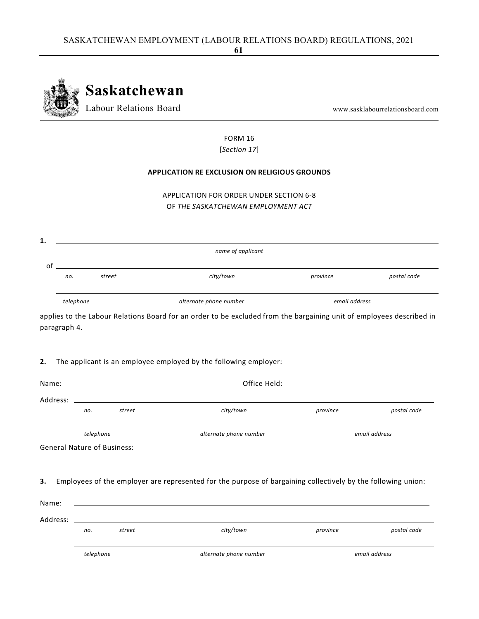

FORM 16 [*Section 17*]

### **APPLICATION RE EXCLUSION ON RELIGIOUS GROUNDS**

APPLICATION FOR ORDER UNDER SECTION 6‐8 OF *THE SASKATCHEWAN EMPLOYMENT ACT*

| no.<br>telephone | $\circ$ f<br>street | city/town<br>alternate phone number                                                                                  | province      | postal code   |
|------------------|---------------------|----------------------------------------------------------------------------------------------------------------------|---------------|---------------|
|                  |                     |                                                                                                                      |               |               |
|                  |                     |                                                                                                                      | email address |               |
| paragraph 4.     |                     | applies to the Labour Relations Board for an order to be excluded from the bargaining unit of employees described in |               |               |
| 2.               |                     | The applicant is an employee employed by the following employer:                                                     |               |               |
| Name:            |                     |                                                                                                                      |               |               |
|                  |                     |                                                                                                                      |               |               |
|                  | street<br>no.       | city/town                                                                                                            | province      | postal code   |
|                  | telephone           | alternate phone number                                                                                               |               | email address |
|                  |                     | General Nature of Business: Law March 2014 19:30 Australian Street Australian Street Australian Street Australian    |               |               |

|                      | telephone |        | alternate phone number |          | email address |
|----------------------|-----------|--------|------------------------|----------|---------------|
|                      | no.       | street | city/town              | province | postal code   |
| ivalije.<br>Address: |           |        |                        |          |               |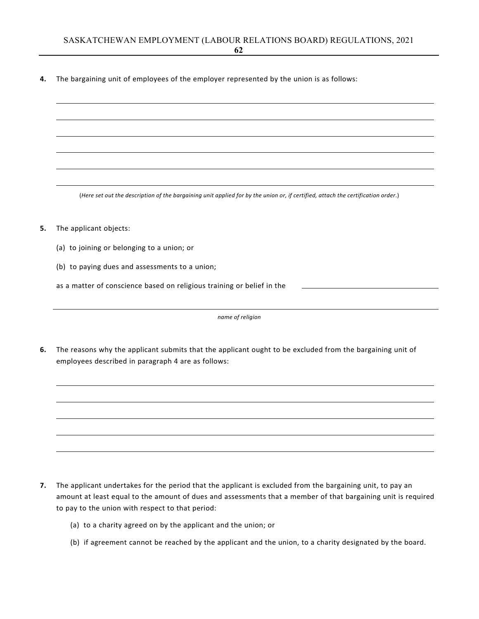**4.** The bargaining unit of employees of the employer represented by the union is as follows:

(Here set out the description of the bargaining unit applied for by the union or, if certified, attach the certification order.)

- **5.** The applicant objects:
	- (a) to joining or belonging to a union; or
	- (b) to paying dues and assessments to a union;

as a matter of conscience based on religious training or belief in the

*name of religion*

**6.** The reasons why the applicant submits that the applicant ought to be excluded from the bargaining unit of employees described in paragraph 4 are as follows:

- **7.** The applicant undertakes for the period that the applicant is excluded from the bargaining unit, to pay an amount at least equal to the amount of dues and assessments that a member of that bargaining unit is required to pay to the union with respect to that period:
	- (a) to a charity agreed on by the applicant and the union; or
	- (b) if agreement cannot be reached by the applicant and the union, to a charity designated by the board.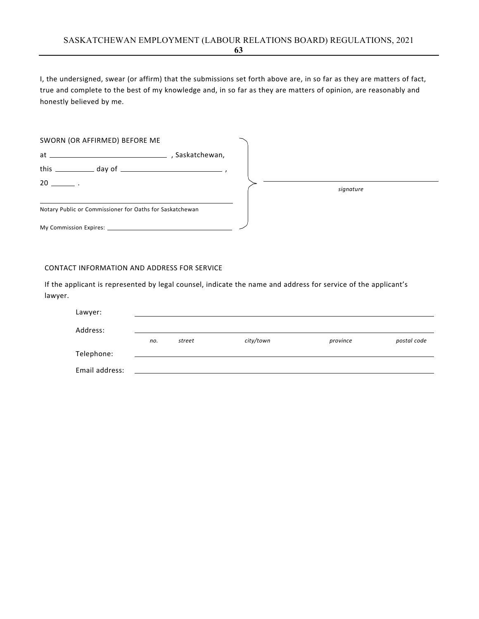I, the undersigned, swear (or affirm) that the submissions set forth above are, in so far as they are matters of fact, true and complete to the best of my knowledge and, in so far as they are matters of opinion, are reasonably and honestly believed by me.

| SWORN (OR AFFIRMED) BEFORE ME                            |               |  |           |  |
|----------------------------------------------------------|---------------|--|-----------|--|
|                                                          | Saskatchewan, |  |           |  |
|                                                          |               |  |           |  |
| $20 \qquad \qquad .$                                     |               |  | signature |  |
| Notary Public or Commissioner for Oaths for Saskatchewan |               |  |           |  |
|                                                          |               |  |           |  |

#### CONTACT INFORMATION AND ADDRESS FOR SERVICE

| Lawyer:        |     |        |           |          |             |
|----------------|-----|--------|-----------|----------|-------------|
| Address:       |     |        |           |          |             |
|                | no. | street | city/town | province | postal code |
| Telephone:     |     |        |           |          |             |
| Email address: |     |        |           |          |             |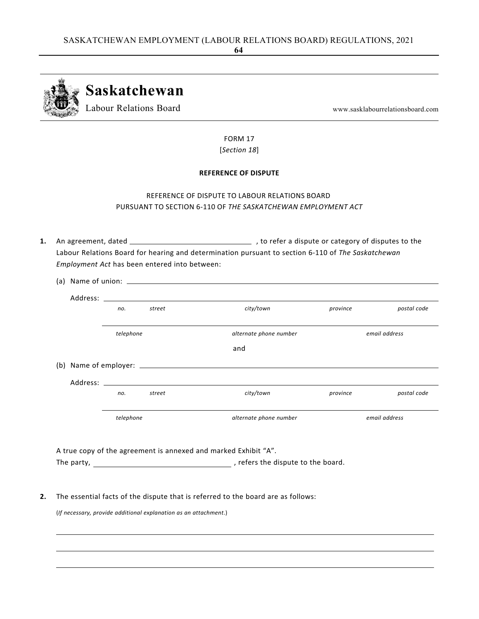

FORM 17 [*Section 18*]

### **REFERENCE OF DISPUTE**

# REFERENCE OF DISPUTE TO LABOUR RELATIONS BOARD PURSUANT TO SECTION 6‐110 OF *THE SASKATCHEWAN EMPLOYMENT ACT*

1. An agreement, dated <u>2000 Martin and the setting of the setting</u> and a dispute or category of disputes to the Labour Relations Board for hearing and determination pursuant to section 6‐110 of *The Saskatchewan Employment Act* has been entered into between:

|                                                                 |  |           |                                                                  | (a) Name of union: $\sqrt{2\pi}$ and $\sqrt{2\pi}$ and $\sqrt{2\pi}$ and $\sqrt{2\pi}$ and $\sqrt{2\pi}$ and $\sqrt{2\pi}$ and $\sqrt{2\pi}$ and $\sqrt{2\pi}$ and $\sqrt{2\pi}$ and $\sqrt{2\pi}$ and $\sqrt{2\pi}$ and $\sqrt{2\pi}$ and $\sqrt{2\pi}$ and $\sqrt{2\pi}$ and $\sqrt{2\$ |          |               |  |  |
|-----------------------------------------------------------------|--|-----------|------------------------------------------------------------------|-------------------------------------------------------------------------------------------------------------------------------------------------------------------------------------------------------------------------------------------------------------------------------------------|----------|---------------|--|--|
|                                                                 |  |           |                                                                  |                                                                                                                                                                                                                                                                                           |          |               |  |  |
|                                                                 |  | no.       | street                                                           | city/town                                                                                                                                                                                                                                                                                 | province | postal code   |  |  |
|                                                                 |  | telephone |                                                                  | alternate phone number                                                                                                                                                                                                                                                                    |          | email address |  |  |
|                                                                 |  |           |                                                                  | and                                                                                                                                                                                                                                                                                       |          |               |  |  |
|                                                                 |  |           |                                                                  |                                                                                                                                                                                                                                                                                           |          |               |  |  |
|                                                                 |  |           |                                                                  |                                                                                                                                                                                                                                                                                           |          |               |  |  |
|                                                                 |  | no.       | street                                                           | city/town                                                                                                                                                                                                                                                                                 | province | postal code   |  |  |
|                                                                 |  | telephone |                                                                  | alternate phone number                                                                                                                                                                                                                                                                    |          | email address |  |  |
|                                                                 |  |           |                                                                  |                                                                                                                                                                                                                                                                                           |          |               |  |  |
| A true copy of the agreement is annexed and marked Exhibit "A". |  |           |                                                                  |                                                                                                                                                                                                                                                                                           |          |               |  |  |
|                                                                 |  |           |                                                                  |                                                                                                                                                                                                                                                                                           |          |               |  |  |
|                                                                 |  |           |                                                                  |                                                                                                                                                                                                                                                                                           |          |               |  |  |
|                                                                 |  |           | (If necessary, provide additional explanation as an attachment.) | The essential facts of the dispute that is referred to the board are as follows:                                                                                                                                                                                                          |          |               |  |  |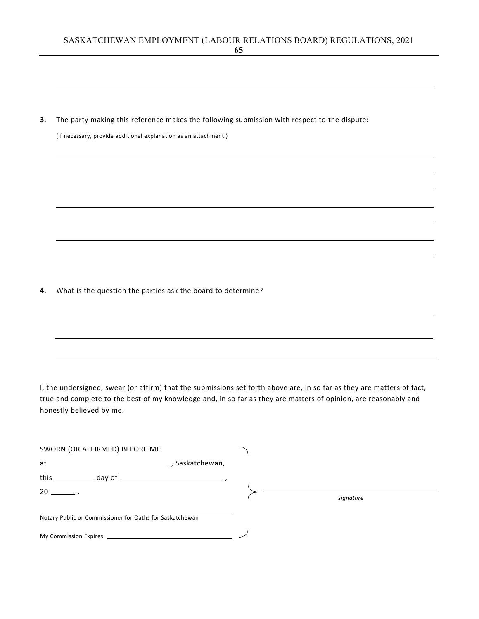**3.** The party making this reference makes the following submission with respect to the dispute:

(If necessary, provide additional explanation as an attachment.)

**4.** What is the question the parties ask the board to determine?

I, the undersigned, swear (or affirm) that the submissions set forth above are, in so far as they are matters of fact, true and complete to the best of my knowledge and, in so far as they are matters of opinion, are reasonably and honestly believed by me.

| SWORN (OR AFFIRMED) BEFORE ME |                                                          |           |
|-------------------------------|----------------------------------------------------------|-----------|
|                               | Saskatchewan,                                            |           |
|                               |                                                          |           |
| $20$ $\qquad$                 |                                                          | signature |
|                               | Notary Public or Commissioner for Oaths for Saskatchewan |           |
|                               |                                                          |           |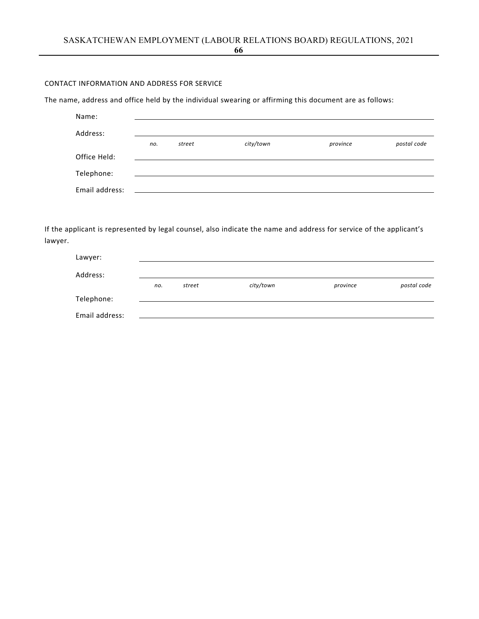# CONTACT INFORMATION AND ADDRESS FOR SERVICE

The name, address and office held by the individual swearing or affirming this document are as follows:

| Name:          |     |        |           |          |             |
|----------------|-----|--------|-----------|----------|-------------|
| Address:       |     |        |           |          |             |
|                | no. | street | city/town | province | postal code |
| Office Held:   |     |        |           |          |             |
| Telephone:     |     |        |           |          |             |
| Email address: |     |        |           |          |             |

| Lawyer:        |     |        |           |          |             |
|----------------|-----|--------|-----------|----------|-------------|
| Address:       |     |        |           |          |             |
|                | no. | street | city/town | province | postal code |
| Telephone:     |     |        |           |          |             |
| Email address: |     |        |           |          |             |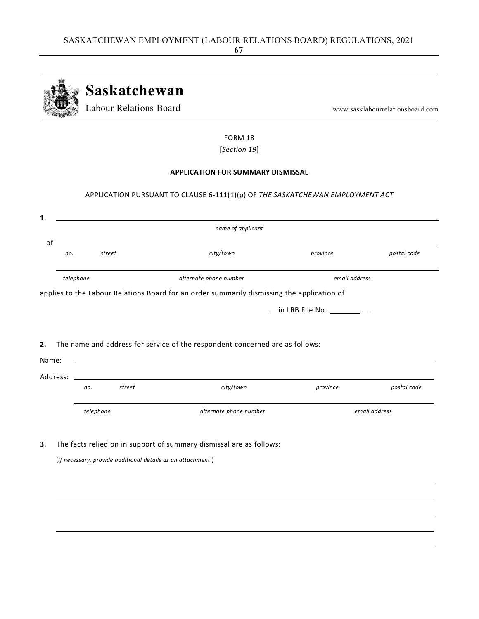

FORM 18 [*Section 19*]

### **APPLICATION FOR SUMMARY DISMISSAL**

## APPLICATION PURSUANT TO CLAUSE 6‐111(1)(p) OF *THE SASKATCHEWAN EMPLOYMENT ACT*

|           |                                                              | name of applicant                                                                          |               |               |
|-----------|--------------------------------------------------------------|--------------------------------------------------------------------------------------------|---------------|---------------|
|           |                                                              | $\circ$ of                                                                                 |               |               |
| no.       | street                                                       | city/town                                                                                  | province      | postal code   |
| telephone |                                                              | alternate phone number                                                                     | email address |               |
|           |                                                              | applies to the Labour Relations Board for an order summarily dismissing the application of |               |               |
|           |                                                              |                                                                                            |               |               |
|           |                                                              |                                                                                            |               |               |
|           |                                                              |                                                                                            |               |               |
|           |                                                              | The name and address for service of the respondent concerned are as follows:               |               |               |
| Name:     |                                                              |                                                                                            |               |               |
| Address:  |                                                              |                                                                                            |               |               |
|           | street<br>no.                                                | city/town                                                                                  | province      | postal code   |
|           | telephone                                                    | alternate phone number                                                                     |               | email address |
|           |                                                              | The facts relied on in support of summary dismissal are as follows:                        |               |               |
|           | (If necessary, provide additional details as an attachment.) |                                                                                            |               |               |
|           |                                                              |                                                                                            |               |               |
|           |                                                              |                                                                                            |               |               |
|           |                                                              |                                                                                            |               |               |
|           |                                                              |                                                                                            |               |               |
|           |                                                              |                                                                                            |               |               |
|           |                                                              |                                                                                            |               |               |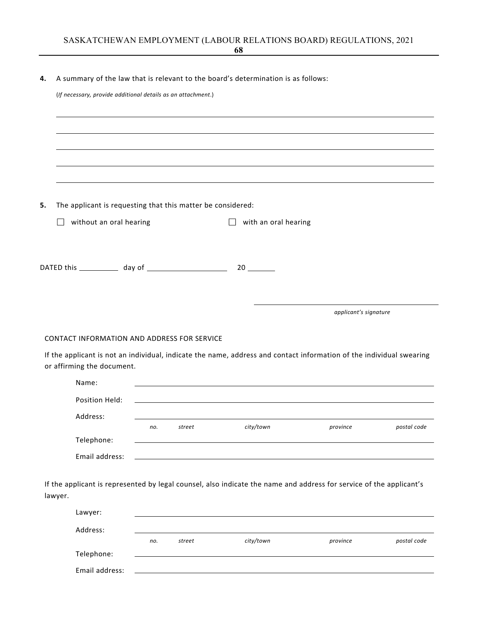| (If necessary, provide additional details as an attachment.) |     |        |                                                                                                                      |                       |             |
|--------------------------------------------------------------|-----|--------|----------------------------------------------------------------------------------------------------------------------|-----------------------|-------------|
|                                                              |     |        |                                                                                                                      |                       |             |
|                                                              |     |        |                                                                                                                      |                       |             |
|                                                              |     |        |                                                                                                                      |                       |             |
|                                                              |     |        |                                                                                                                      |                       |             |
|                                                              |     |        |                                                                                                                      |                       |             |
| The applicant is requesting that this matter be considered:  |     |        |                                                                                                                      |                       |             |
| without an oral hearing<br>$\Box$                            |     |        | with an oral hearing<br>$\perp$                                                                                      |                       |             |
|                                                              |     |        |                                                                                                                      |                       |             |
|                                                              |     |        |                                                                                                                      |                       |             |
|                                                              |     |        |                                                                                                                      |                       |             |
|                                                              |     |        |                                                                                                                      |                       |             |
|                                                              |     |        |                                                                                                                      |                       |             |
|                                                              |     |        |                                                                                                                      | applicant's signature |             |
|                                                              |     |        |                                                                                                                      |                       |             |
|                                                              |     |        |                                                                                                                      |                       |             |
| CONTACT INFORMATION AND ADDRESS FOR SERVICE                  |     |        |                                                                                                                      |                       |             |
|                                                              |     |        | If the applicant is not an individual, indicate the name, address and contact information of the individual swearing |                       |             |
| or affirming the document.<br>Name:                          |     |        |                                                                                                                      |                       |             |
|                                                              |     |        |                                                                                                                      |                       |             |
| Position Held:                                               |     |        |                                                                                                                      |                       |             |
| Address:                                                     | no. | street | city/town                                                                                                            | province              | postal code |
| Telephone:                                                   |     |        |                                                                                                                      |                       |             |
| Email address:                                               |     |        |                                                                                                                      |                       |             |
|                                                              |     |        |                                                                                                                      |                       |             |
|                                                              |     |        | If the applicant is represented by legal counsel, also indicate the name and address for service of the applicant's  |                       |             |

| Address:       |     |        |           |          |             |
|----------------|-----|--------|-----------|----------|-------------|
|                | no. | street | city/town | province | postal code |
| Telephone:     |     |        |           |          |             |
| Email address: |     |        |           |          |             |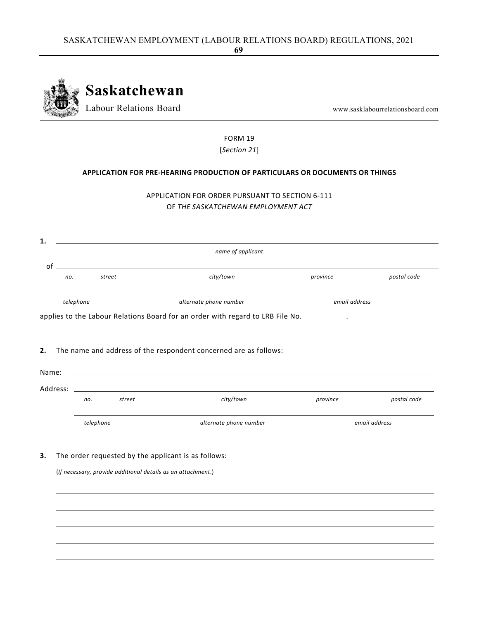

FORM 19 [*Section 21*]

## **APPLICATION FOR PRE‐HEARING PRODUCTION OF PARTICULARS OR DOCUMENTS OR THINGS**

|  | APPLICATION FOR ORDER PURSUANT TO SECTION 6-111 |  |
|--|-------------------------------------------------|--|
|  | OF THE SASKATCHEWAN EMPLOYMENT ACT              |  |

|          |                                                              | name of applicant                                                                              |          |               |  |
|----------|--------------------------------------------------------------|------------------------------------------------------------------------------------------------|----------|---------------|--|
| of       |                                                              |                                                                                                |          |               |  |
| no.      | street                                                       | city/town                                                                                      | province | postal code   |  |
|          | alternate phone number<br>telephone                          |                                                                                                |          | email address |  |
|          |                                                              | applies to the Labour Relations Board for an order with regard to LRB File No. ______________. |          |               |  |
|          |                                                              |                                                                                                |          |               |  |
|          |                                                              |                                                                                                |          |               |  |
|          |                                                              |                                                                                                |          |               |  |
|          |                                                              | The name and address of the respondent concerned are as follows:                               |          |               |  |
|          |                                                              |                                                                                                |          |               |  |
| Name:    |                                                              | ,我们也不会有一个人的人,我们也不会有一个人的人,我们也不会有一个人的人。""我们,我们也不会有一个人的人,我们也不会有一个人的人。""我们,我们也不会有一个人               |          |               |  |
|          |                                                              |                                                                                                |          |               |  |
| Address: |                                                              | <u> 1980 - Johann Stein, fransk politik (f. 1980)</u>                                          |          |               |  |
|          |                                                              |                                                                                                |          |               |  |
|          | street<br>no.                                                | city/town                                                                                      | province | postal code   |  |
|          |                                                              |                                                                                                |          |               |  |
|          |                                                              |                                                                                                |          |               |  |
|          |                                                              |                                                                                                |          |               |  |
|          | telephone                                                    | alternate phone number                                                                         |          | email address |  |
|          |                                                              |                                                                                                |          |               |  |
|          |                                                              |                                                                                                |          |               |  |
|          |                                                              |                                                                                                |          |               |  |
|          |                                                              | The order requested by the applicant is as follows:                                            |          |               |  |
|          |                                                              |                                                                                                |          |               |  |
|          | (If necessary, provide additional details as an attachment.) |                                                                                                |          |               |  |
|          |                                                              |                                                                                                |          |               |  |
|          |                                                              |                                                                                                |          |               |  |
|          |                                                              |                                                                                                |          |               |  |
|          |                                                              |                                                                                                |          |               |  |
|          |                                                              |                                                                                                |          |               |  |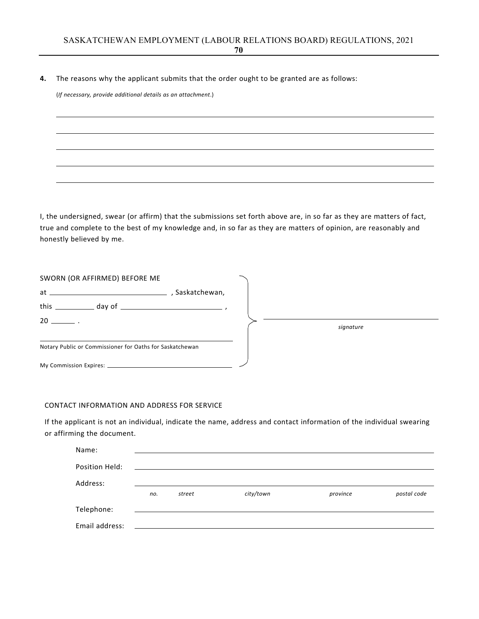### **4.** The reasons why the applicant submits that the order ought to be granted are as follows:

(*If necessary, provide additional details as an attachment*.)

I, the undersigned, swear (or affirm) that the submissions set forth above are, in so far as they are matters of fact, true and complete to the best of my knowledge and, in so far as they are matters of opinion, are reasonably and honestly believed by me.

| SWORN (OR AFFIRMED) BEFORE ME                            |               |  |           |
|----------------------------------------------------------|---------------|--|-----------|
|                                                          | Saskatchewan, |  |           |
|                                                          |               |  |           |
| $20 \sim$                                                |               |  | signature |
| Notary Public or Commissioner for Oaths for Saskatchewan |               |  |           |
|                                                          |               |  |           |

#### CONTACT INFORMATION AND ADDRESS FOR SERVICE

If the applicant is not an individual, indicate the name, address and contact information of the individual swearing or affirming the document.

| Name:          |     |        |           |          |             |
|----------------|-----|--------|-----------|----------|-------------|
| Position Held: |     |        |           |          |             |
| Address:       |     |        |           |          |             |
|                | no. | street | city/town | province | postal code |
| Telephone:     |     |        |           |          |             |
| Email address: |     |        |           |          |             |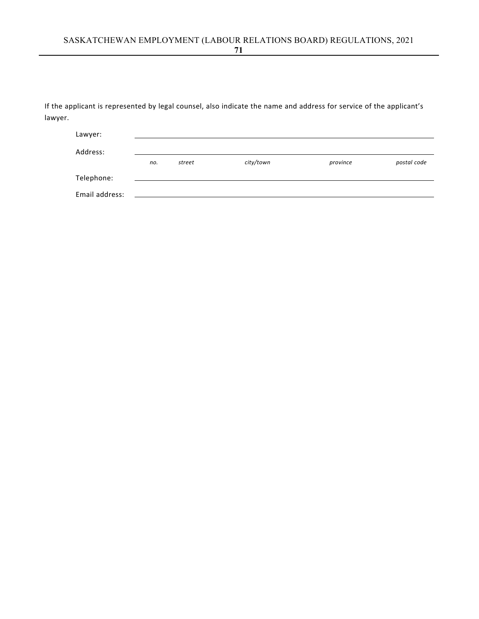| Lawyer:        |     |        |           |          |             |
|----------------|-----|--------|-----------|----------|-------------|
| Address:       |     |        |           |          |             |
|                | no. | street | city/town | province | postal code |
| Telephone:     |     |        |           |          |             |
| Email address: |     |        |           |          |             |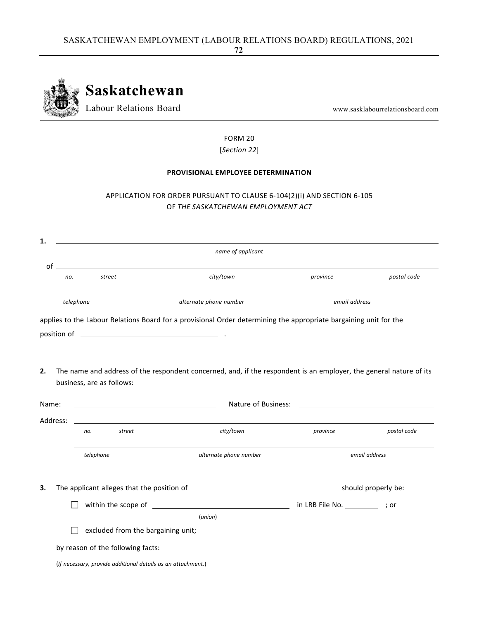

FORM 20 [*Section 22*]

# **PROVISIONAL EMPLOYEE DETERMINATION**

# APPLICATION FOR ORDER PURSUANT TO CLAUSE 6‐104(2)(i) AND SECTION 6‐105 OF *THE SASKATCHEWAN EMPLOYMENT ACT*

| 1.                   |                                   |                                                                                                                      |               |               |
|----------------------|-----------------------------------|----------------------------------------------------------------------------------------------------------------------|---------------|---------------|
|                      |                                   | name of applicant                                                                                                    |               |               |
| $of$ $\qquad$<br>no. | street                            | city/town                                                                                                            | province      | postal code   |
|                      | telephone                         | alternate phone number                                                                                               | email address |               |
|                      |                                   | applies to the Labour Relations Board for a provisional Order determining the appropriate bargaining unit for the    |               |               |
|                      |                                   |                                                                                                                      |               |               |
| 2.                   | business, are as follows:         | The name and address of the respondent concerned, and, if the respondent is an employer, the general nature of its   |               |               |
| Name:                |                                   | <u> 1989 - Johann Barbara, martin amerikan basar dan basa dan basa dan basa dalam basa dalam basa dalam basa dan</u> |               |               |
| Address:             |                                   |                                                                                                                      |               |               |
|                      | street<br>no.                     | city/town                                                                                                            | province      | postal code   |
|                      | telephone                         | alternate phone number                                                                                               |               | email address |
|                      |                                   |                                                                                                                      |               |               |
|                      |                                   |                                                                                                                      |               |               |
|                      |                                   | (union)                                                                                                              |               |               |
|                      |                                   | excluded from the bargaining unit;                                                                                   |               |               |
|                      | by reason of the following facts: |                                                                                                                      |               |               |
|                      |                                   | (If necessary, provide additional details as an attachment.)                                                         |               |               |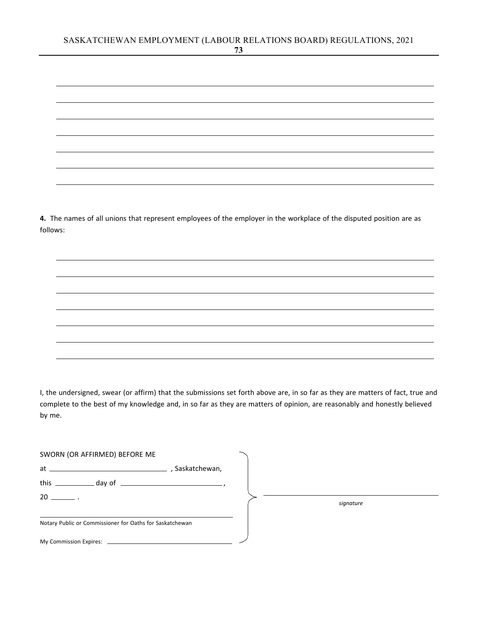**4.** The names of all unions that represent employees of the employer in the workplace of the disputed position are as follows:

I, the undersigned, swear (or affirm) that the submissions set forth above are, in so far as they are matters of fact, true and complete to the best of my knowledge and, in so far as they are matters of opinion, are reasonably and honestly believed by me.

| SWORN (OR AFFIRMED) BEFORE ME                            |               |  |           |
|----------------------------------------------------------|---------------|--|-----------|
| $at \underline{\hspace{2cm}}$                            | Saskatchewan, |  |           |
|                                                          |               |  |           |
| $20 \qquad \qquad .$                                     |               |  | signature |
| Notary Public or Commissioner for Oaths for Saskatchewan |               |  |           |
|                                                          |               |  |           |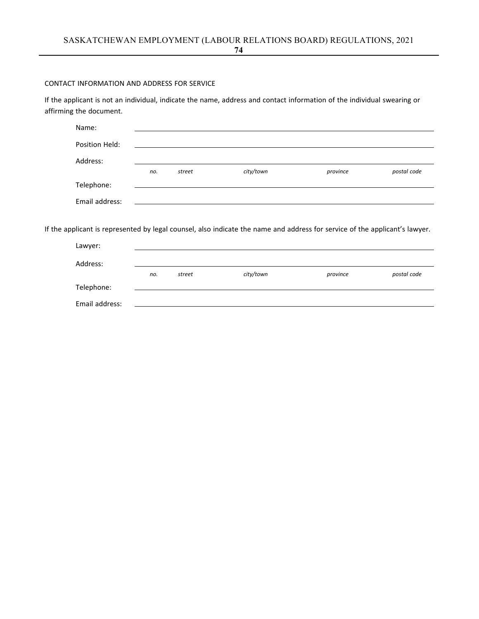# CONTACT INFORMATION AND ADDRESS FOR SERVICE

If the applicant is not an individual, indicate the name, address and contact information of the individual swearing or affirming the document.

| Name:          |     |        |           |          |             |
|----------------|-----|--------|-----------|----------|-------------|
| Position Held: |     |        |           |          |             |
| Address:       |     |        |           |          |             |
|                | no. | street | city/town | province | postal code |
| Telephone:     |     |        |           |          |             |
| Email address: |     |        |           |          |             |

If the applicant is represented by legal counsel, also indicate the name and address for service of the applicant's lawyer.

| Lawyer:        |     |        |           |          |             |
|----------------|-----|--------|-----------|----------|-------------|
| Address:       |     |        |           |          |             |
|                | no. | street | city/town | province | postal code |
| Telephone:     |     |        |           |          |             |
| Email address: |     |        |           |          |             |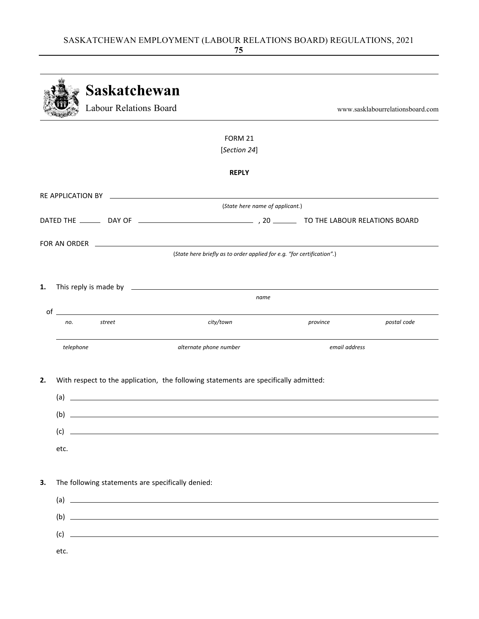|    |               | <b>Saskatchewan</b><br>Labour Relations Board                                                                        |                                                                        |               | www.sasklabourrelationsboard.com |
|----|---------------|----------------------------------------------------------------------------------------------------------------------|------------------------------------------------------------------------|---------------|----------------------------------|
|    |               |                                                                                                                      | FORM 21                                                                |               |                                  |
|    |               |                                                                                                                      | [Section 24]                                                           |               |                                  |
|    |               |                                                                                                                      | <b>REPLY</b>                                                           |               |                                  |
|    |               |                                                                                                                      |                                                                        |               |                                  |
|    |               |                                                                                                                      | (State here name of applicant.)                                        |               |                                  |
|    |               |                                                                                                                      |                                                                        |               |                                  |
|    |               |                                                                                                                      |                                                                        |               |                                  |
|    |               |                                                                                                                      | (State here briefly as to order applied for e.g. "for certification".) |               |                                  |
|    |               |                                                                                                                      |                                                                        |               |                                  |
| 1. |               |                                                                                                                      | name                                                                   |               |                                  |
|    |               | $\circ$ f $\qquad$                                                                                                   |                                                                        |               |                                  |
|    | street<br>no. |                                                                                                                      | city/town                                                              | province      | postal code                      |
|    | telephone     | alternate phone number                                                                                               |                                                                        | email address |                                  |
|    |               |                                                                                                                      |                                                                        |               |                                  |
| 2. | (a)           | With respect to the application, the following statements are specifically admitted:                                 |                                                                        |               |                                  |
|    |               |                                                                                                                      |                                                                        |               |                                  |
|    | (b)           | <u> 1980 - Johann Stoff, deutscher Stoff, der Stoff, deutscher Stoff, der Stoff, der Stoff, der Stoff, der Stoff</u> |                                                                        |               |                                  |
|    |               |                                                                                                                      |                                                                        |               |                                  |
|    | etc.          |                                                                                                                      |                                                                        |               |                                  |
| 3. |               | The following statements are specifically denied:                                                                    |                                                                        |               |                                  |
|    |               | $\left( a\right)$ $\qquad$                                                                                           |                                                                        |               |                                  |
|    |               | $\left( b\right)$ $\qquad \qquad$                                                                                    |                                                                        |               |                                  |
|    |               |                                                                                                                      |                                                                        |               |                                  |
|    |               |                                                                                                                      |                                                                        |               |                                  |
|    | etc.          |                                                                                                                      |                                                                        |               |                                  |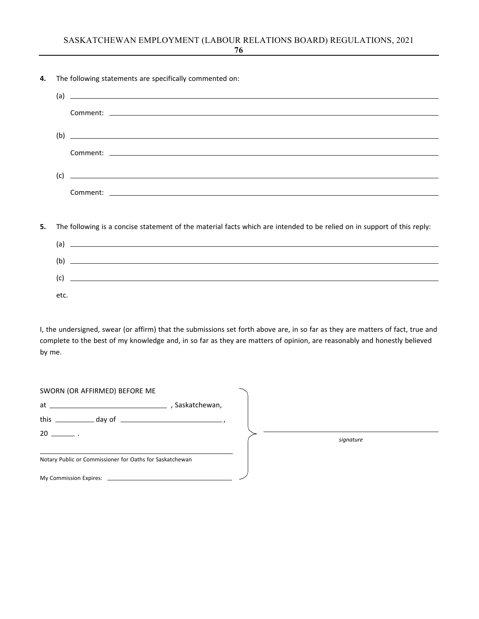**4.** The following statements are specifically commented on:

| (a) | <u> 1989 - Andrea Santa Andrea Andrea Andrea Andrea Andrea Andrea Andrea Andrea Andrea Andrea Andrea Andrea Andr</u> |
|-----|----------------------------------------------------------------------------------------------------------------------|
|     |                                                                                                                      |
|     |                                                                                                                      |
| (b) | <u> Andreas Andreas Andreas Andreas Andreas Andreas Andreas Andreas Andreas Andreas Andreas Andreas Andreas Andr</u> |
|     |                                                                                                                      |
|     |                                                                                                                      |
| (c) | <u> Alexandria de la contrada de la contrada de la contrada de la contrada de la contrada de la contrada de la c</u> |
|     | Comment: the comment of the comment of the comment of the comment of the comment of the comment of the comment       |

**5.** The following is a concise statement of the material facts which are intended to be relied on in support of this reply:

| (a)  | <u> 1999 - Johann John Stein, markin sanadi sa masa na matsayin sa markin sa markin sa markin sa markin sa markin</u> |
|------|-----------------------------------------------------------------------------------------------------------------------|
| (b)  |                                                                                                                       |
|      |                                                                                                                       |
| (c)  |                                                                                                                       |
| etc. |                                                                                                                       |

I, the undersigned, swear (or affirm) that the submissions set forth above are, in so far as they are matters of fact, true and complete to the best of my knowledge and, in so far as they are matters of opinion, are reasonably and honestly believed by me.

| SWORN (OR AFFIRMED) BEFORE ME                            |  |           |
|----------------------------------------------------------|--|-----------|
|                                                          |  |           |
| this $\_\_\_\_$ day of $\_\_\_\_\_\_\_$                  |  |           |
| $20 \quad \qquad$                                        |  | signature |
| Notary Public or Commissioner for Oaths for Saskatchewan |  |           |
|                                                          |  |           |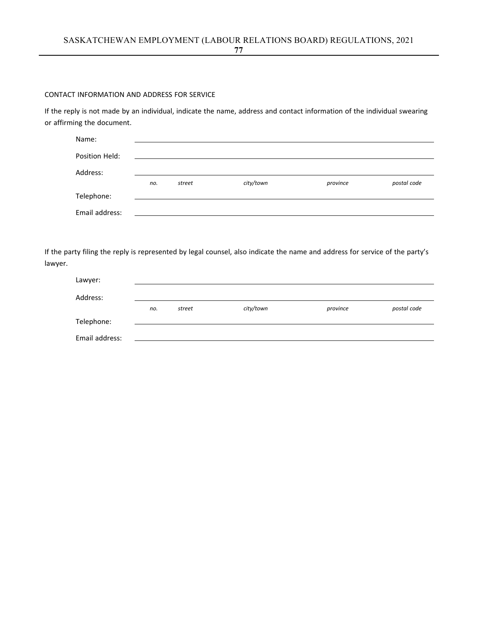### CONTACT INFORMATION AND ADDRESS FOR SERVICE

If the reply is not made by an individual, indicate the name, address and contact information of the individual swearing or affirming the document.

| Name:          |     |        |           |          |             |
|----------------|-----|--------|-----------|----------|-------------|
| Position Held: |     |        |           |          |             |
| Address:       |     |        |           |          |             |
|                | no. | street | city/town | province | postal code |
| Telephone:     |     |        |           |          |             |
| Email address: |     |        |           |          |             |

If the party filing the reply is represented by legal counsel, also indicate the name and address for service of the party's lawyer.

| Lawyer:        |     |        |           |          |             |
|----------------|-----|--------|-----------|----------|-------------|
| Address:       |     |        |           |          |             |
|                | no. | street | city/town | province | postal code |
| Telephone:     |     |        |           |          |             |
| Email address: |     |        |           |          |             |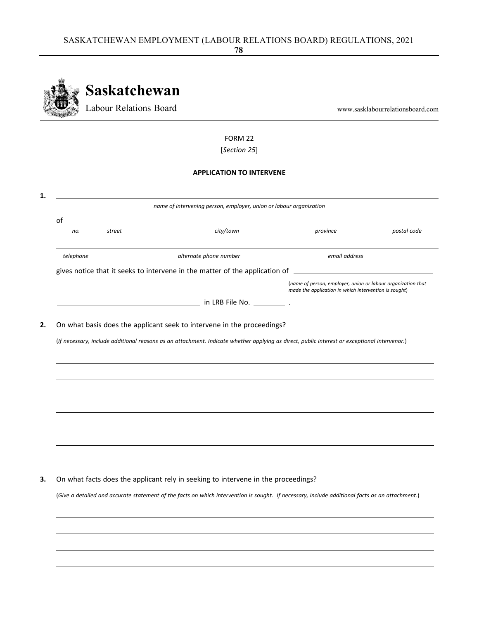|           | <b>Saskatchewan</b>           |                                                                                                                                              |                                                                                                                       |                                  |
|-----------|-------------------------------|----------------------------------------------------------------------------------------------------------------------------------------------|-----------------------------------------------------------------------------------------------------------------------|----------------------------------|
|           | <b>Labour Relations Board</b> |                                                                                                                                              |                                                                                                                       | www.sasklabourrelationsboard.com |
|           |                               | FORM 22                                                                                                                                      |                                                                                                                       |                                  |
|           |                               | [Section 25]                                                                                                                                 |                                                                                                                       |                                  |
|           |                               | <b>APPLICATION TO INTERVENE</b>                                                                                                              |                                                                                                                       |                                  |
|           |                               | name of intervening person, employer, union or labour organization                                                                           |                                                                                                                       |                                  |
| of        |                               |                                                                                                                                              |                                                                                                                       |                                  |
| no.       | street                        | city/town                                                                                                                                    | province                                                                                                              | postal code                      |
| telephone |                               | alternate phone number                                                                                                                       | email address                                                                                                         |                                  |
|           |                               |                                                                                                                                              |                                                                                                                       |                                  |
|           |                               |                                                                                                                                              | (name of person, employer, union or labour organization that<br>made the application in which intervention is sought) |                                  |
|           |                               |                                                                                                                                              |                                                                                                                       |                                  |
|           |                               |                                                                                                                                              |                                                                                                                       |                                  |
|           |                               |                                                                                                                                              |                                                                                                                       |                                  |
|           |                               | On what basis does the applicant seek to intervene in the proceedings?                                                                       |                                                                                                                       |                                  |
|           |                               | (If necessary, include additional reasons as an attachment. Indicate whether applying as direct, public interest or exceptional intervenor.) |                                                                                                                       |                                  |
|           |                               |                                                                                                                                              |                                                                                                                       |                                  |
|           |                               |                                                                                                                                              |                                                                                                                       |                                  |
|           |                               |                                                                                                                                              |                                                                                                                       |                                  |
|           |                               |                                                                                                                                              |                                                                                                                       |                                  |
|           |                               |                                                                                                                                              |                                                                                                                       |                                  |
|           |                               |                                                                                                                                              |                                                                                                                       |                                  |
|           |                               |                                                                                                                                              |                                                                                                                       |                                  |
|           |                               | On what facts does the applicant rely in seeking to intervene in the proceedings?                                                            |                                                                                                                       |                                  |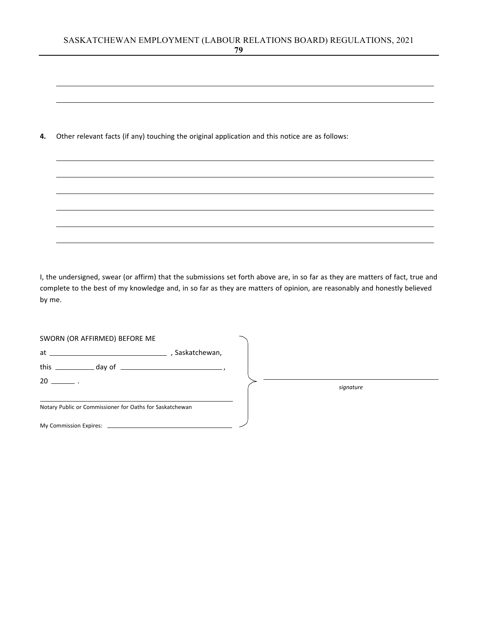**4.** Other relevant facts (if any) touching the original application and this notice are as follows:

I, the undersigned, swear (or affirm) that the submissions set forth above are, in so far as they are matters of fact, true and complete to the best of my knowledge and, in so far as they are matters of opinion, are reasonably and honestly believed by me.

| SWORN (OR AFFIRMED) BEFORE ME                            |  |           |  |
|----------------------------------------------------------|--|-----------|--|
|                                                          |  |           |  |
|                                                          |  |           |  |
| $20 \quad \qquad$                                        |  | signature |  |
| Notary Public or Commissioner for Oaths for Saskatchewan |  |           |  |
|                                                          |  |           |  |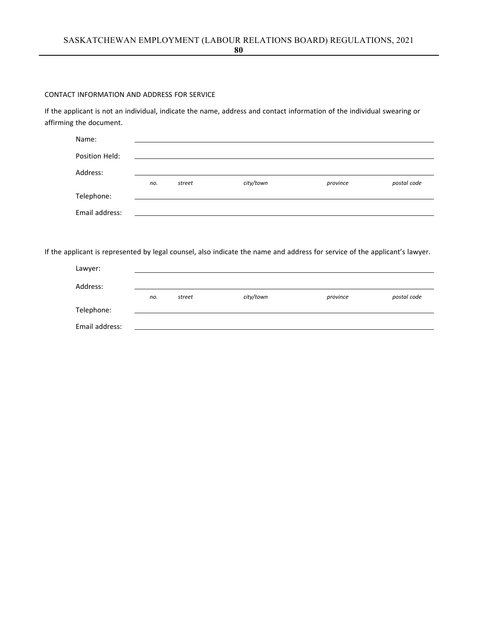### CONTACT INFORMATION AND ADDRESS FOR SERVICE

If the applicant is not an individual, indicate the name, address and contact information of the individual swearing or affirming the document.

| Name:          |     |        |           |          |             |
|----------------|-----|--------|-----------|----------|-------------|
| Position Held: |     |        |           |          |             |
| Address:       |     |        |           |          |             |
|                | no. | street | city/town | province | postal code |
| Telephone:     |     |        |           |          |             |
| Email address: |     |        |           |          |             |

If the applicant is represented by legal counsel, also indicate the name and address for service of the applicant's lawyer.

| Lawyer:        |     |        |           |          |             |
|----------------|-----|--------|-----------|----------|-------------|
| Address:       |     |        |           |          |             |
|                | no. | street | city/town | province | postal code |
| Telephone:     |     |        |           |          |             |
| Email address: |     |        |           |          |             |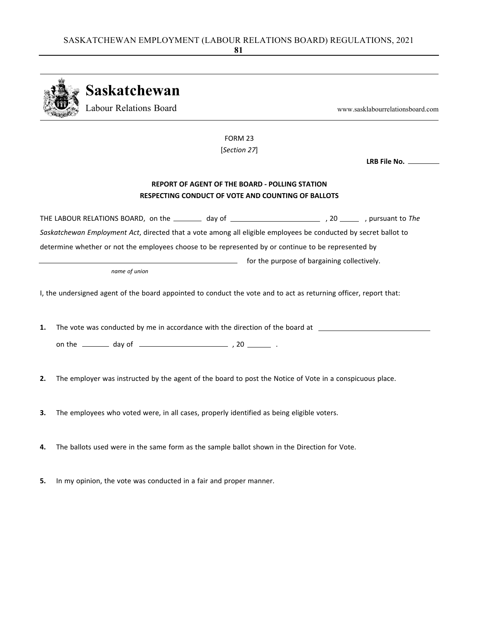|    | Saskatchewan<br><b>Labour Relations Board</b>                                                                     |                                                                                                                    | www.sasklabourrelationsboard.com |
|----|-------------------------------------------------------------------------------------------------------------------|--------------------------------------------------------------------------------------------------------------------|----------------------------------|
|    |                                                                                                                   | FORM 23                                                                                                            |                                  |
|    |                                                                                                                   | [Section 27]                                                                                                       |                                  |
|    |                                                                                                                   |                                                                                                                    | LRB File No. _____               |
|    |                                                                                                                   | <b>REPORT OF AGENT OF THE BOARD - POLLING STATION</b><br><b>RESPECTING CONDUCT OF VOTE AND COUNTING OF BALLOTS</b> |                                  |
|    | THE LABOUR RELATIONS BOARD, on the ________ day of ______________________________, pursuant to The                |                                                                                                                    |                                  |
|    | Saskatchewan Employment Act, directed that a vote among all eligible employees be conducted by secret ballot to   |                                                                                                                    |                                  |
|    | determine whether or not the employees choose to be represented by or continue to be represented by               |                                                                                                                    |                                  |
|    |                                                                                                                   | and the purpose of bargaining collectively.                                                                        |                                  |
|    | name of union                                                                                                     |                                                                                                                    |                                  |
|    | I, the undersigned agent of the board appointed to conduct the vote and to act as returning officer, report that: |                                                                                                                    |                                  |
| 1. | The vote was conducted by me in accordance with the direction of the board at ______________________              |                                                                                                                    |                                  |
|    |                                                                                                                   |                                                                                                                    |                                  |
|    |                                                                                                                   |                                                                                                                    |                                  |
| 2. | The employer was instructed by the agent of the board to post the Notice of Vote in a conspicuous place.          |                                                                                                                    |                                  |
| 3. | The employees who voted were, in all cases, properly identified as being eligible voters.                         |                                                                                                                    |                                  |
| 4. | The ballots used were in the same form as the sample ballot shown in the Direction for Vote.                      |                                                                                                                    |                                  |
|    |                                                                                                                   |                                                                                                                    |                                  |

**5.** In my opinion, the vote was conducted in a fair and proper manner.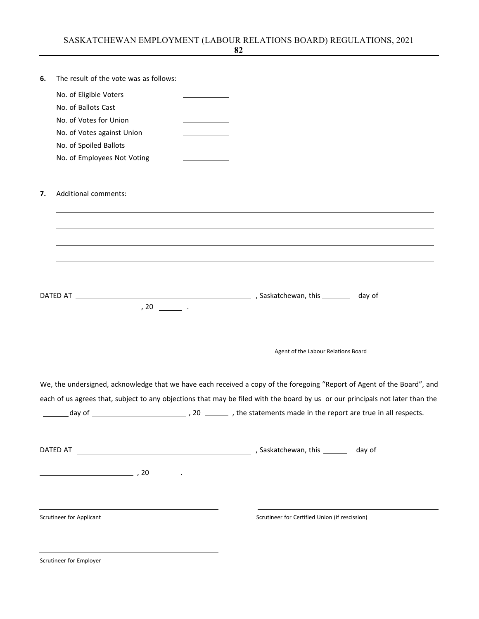| 6. | The result of the vote was as follows:                                                                                        |                                                |  |
|----|-------------------------------------------------------------------------------------------------------------------------------|------------------------------------------------|--|
|    | No. of Eligible Voters                                                                                                        |                                                |  |
|    | No. of Ballots Cast                                                                                                           |                                                |  |
|    | No. of Votes for Union                                                                                                        |                                                |  |
|    | No. of Votes against Union                                                                                                    |                                                |  |
|    | No. of Spoiled Ballots                                                                                                        |                                                |  |
|    | No. of Employees Not Voting                                                                                                   |                                                |  |
|    |                                                                                                                               |                                                |  |
| 7. | <b>Additional comments:</b>                                                                                                   |                                                |  |
|    |                                                                                                                               |                                                |  |
|    |                                                                                                                               |                                                |  |
|    |                                                                                                                               |                                                |  |
|    |                                                                                                                               |                                                |  |
|    |                                                                                                                               |                                                |  |
|    | $\overline{\phantom{a}}$ , 20 $\overline{\phantom{a}}$ .                                                                      |                                                |  |
|    |                                                                                                                               |                                                |  |
|    |                                                                                                                               | Agent of the Labour Relations Board            |  |
|    | We, the undersigned, acknowledge that we have each received a copy of the foregoing "Report of Agent of the Board", and       |                                                |  |
|    | each of us agrees that, subject to any objections that may be filed with the board by us or our principals not later than the |                                                |  |
|    |                                                                                                                               |                                                |  |
|    |                                                                                                                               |                                                |  |
|    |                                                                                                                               |                                                |  |
|    |                                                                                                                               |                                                |  |
|    | Scrutineer for Applicant                                                                                                      | Scrutineer for Certified Union (if rescission) |  |
|    |                                                                                                                               |                                                |  |
|    | Scrutineer for Employer                                                                                                       |                                                |  |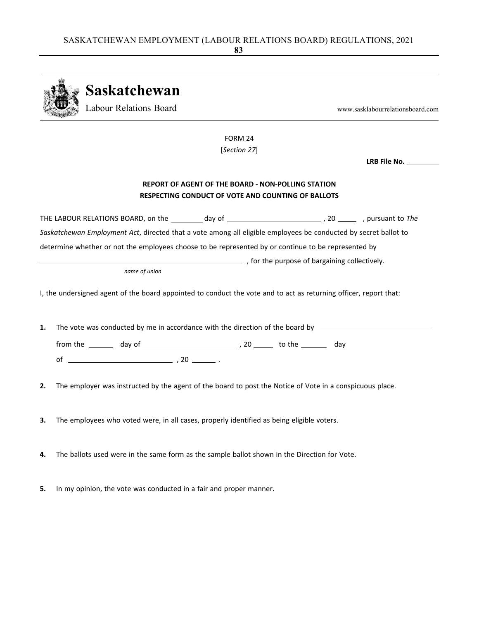|    |  | Saskatchewan                                                                                                      |                                                                                                                 |  |                                  |
|----|--|-------------------------------------------------------------------------------------------------------------------|-----------------------------------------------------------------------------------------------------------------|--|----------------------------------|
|    |  | Labour Relations Board                                                                                            |                                                                                                                 |  | www.sasklabourrelationsboard.com |
|    |  |                                                                                                                   | FORM 24                                                                                                         |  |                                  |
|    |  |                                                                                                                   | [Section 27]                                                                                                    |  |                                  |
|    |  |                                                                                                                   |                                                                                                                 |  | LRB File No. _________           |
|    |  |                                                                                                                   | <b>REPORT OF AGENT OF THE BOARD - NON-POLLING STATION</b><br>RESPECTING CONDUCT OF VOTE AND COUNTING OF BALLOTS |  |                                  |
|    |  | THE LABOUR RELATIONS BOARD, on the _________ day of _____________________________, 20 _________, pursuant to The  |                                                                                                                 |  |                                  |
|    |  | Saskatchewan Employment Act, directed that a vote among all eligible employees be conducted by secret ballot to   |                                                                                                                 |  |                                  |
|    |  | determine whether or not the employees choose to be represented by or continue to be represented by               |                                                                                                                 |  |                                  |
|    |  |                                                                                                                   | for the purpose of bargaining collectively.                                                                     |  |                                  |
|    |  | name of union                                                                                                     |                                                                                                                 |  |                                  |
|    |  | I, the undersigned agent of the board appointed to conduct the vote and to act as returning officer, report that: |                                                                                                                 |  |                                  |
| 1. |  | The vote was conducted by me in accordance with the direction of the board by ______________________              |                                                                                                                 |  |                                  |
|    |  |                                                                                                                   |                                                                                                                 |  |                                  |
|    |  |                                                                                                                   |                                                                                                                 |  |                                  |
| 2. |  | The employer was instructed by the agent of the board to post the Notice of Vote in a conspicuous place.          |                                                                                                                 |  |                                  |
| 3. |  | The employees who voted were, in all cases, properly identified as being eligible voters.                         |                                                                                                                 |  |                                  |
| 4. |  | The ballots used were in the same form as the sample ballot shown in the Direction for Vote.                      |                                                                                                                 |  |                                  |

**5.** In my opinion, the vote was conducted in a fair and proper manner.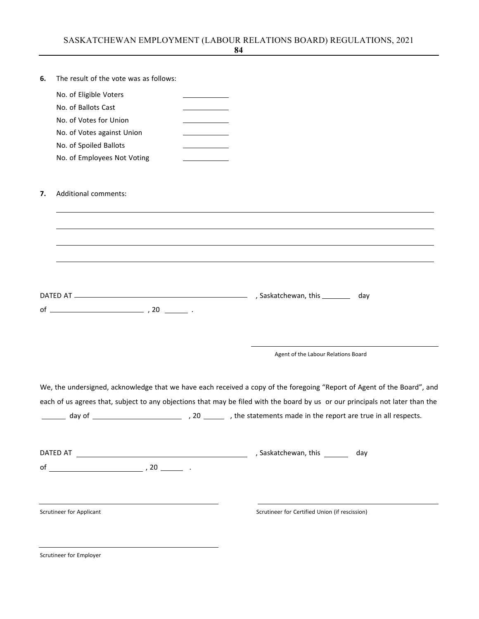| 6. | The result of the vote was as follows:                                                                                        |  |                                                |                                     |     |
|----|-------------------------------------------------------------------------------------------------------------------------------|--|------------------------------------------------|-------------------------------------|-----|
|    | No. of Eligible Voters                                                                                                        |  |                                                |                                     |     |
|    | No. of Ballots Cast                                                                                                           |  |                                                |                                     |     |
|    | No. of Votes for Union                                                                                                        |  |                                                |                                     |     |
|    | No. of Votes against Union                                                                                                    |  |                                                |                                     |     |
|    | No. of Spoiled Ballots                                                                                                        |  |                                                |                                     |     |
|    | No. of Employees Not Voting                                                                                                   |  |                                                |                                     |     |
| 7. | Additional comments:                                                                                                          |  |                                                |                                     |     |
|    |                                                                                                                               |  |                                                |                                     | day |
|    |                                                                                                                               |  |                                                | Agent of the Labour Relations Board |     |
|    | We, the undersigned, acknowledge that we have each received a copy of the foregoing "Report of Agent of the Board", and       |  |                                                |                                     |     |
|    | each of us agrees that, subject to any objections that may be filed with the board by us or our principals not later than the |  |                                                |                                     |     |
|    |                                                                                                                               |  |                                                |                                     |     |
|    |                                                                                                                               |  | , Saskatchewan, this _______ day               |                                     |     |
|    |                                                                                                                               |  |                                                |                                     |     |
|    | Scrutineer for Applicant                                                                                                      |  | Scrutineer for Certified Union (if rescission) |                                     |     |
|    |                                                                                                                               |  |                                                |                                     |     |

Scrutineer for Employer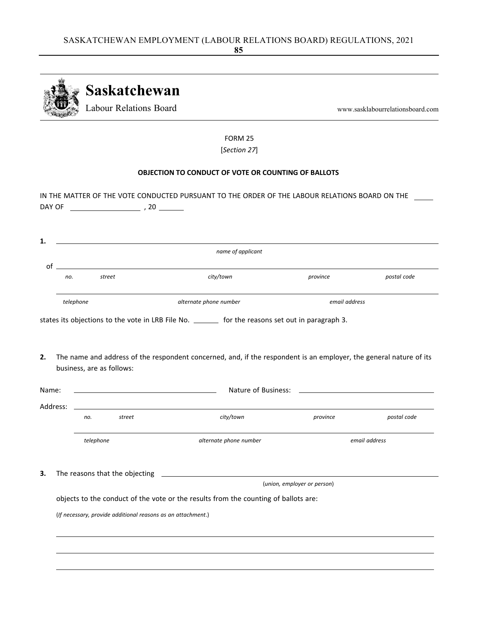

FORM 25 [*Section 27*]

### **OBJECTION TO CONDUCT OF VOTE OR COUNTING OF BALLOTS**

| DAY OF |                                                                                                                        | $, 20$ $\_$                                                  | IN THE MATTER OF THE VOTE CONDUCTED PURSUANT TO THE ORDER OF THE LABOUR RELATIONS BOARD ON THE                     |                             |               |
|--------|------------------------------------------------------------------------------------------------------------------------|--------------------------------------------------------------|--------------------------------------------------------------------------------------------------------------------|-----------------------------|---------------|
| 1.     |                                                                                                                        |                                                              |                                                                                                                    |                             |               |
|        |                                                                                                                        |                                                              | name of applicant                                                                                                  |                             |               |
|        | of the contract of the contract of the contract of the contract of the contract of the contract of the contract<br>no. | street                                                       | city/town                                                                                                          | province                    | postal code   |
|        | telephone                                                                                                              |                                                              | alternate phone number                                                                                             | email address               |               |
|        |                                                                                                                        |                                                              | states its objections to the vote in LRB File No. _______ for the reasons set out in paragraph 3.                  |                             |               |
| 2.     |                                                                                                                        | business, are as follows:                                    | The name and address of the respondent concerned, and, if the respondent is an employer, the general nature of its |                             |               |
| Name:  |                                                                                                                        |                                                              |                                                                                                                    |                             |               |
|        | Address:                                                                                                               |                                                              |                                                                                                                    |                             |               |
|        | no.                                                                                                                    | street                                                       | city/town                                                                                                          | province                    | postal code   |
|        |                                                                                                                        | telephone                                                    | alternate phone number                                                                                             |                             | email address |
| 3.     |                                                                                                                        |                                                              |                                                                                                                    | (union, employer or person) |               |
|        |                                                                                                                        |                                                              | objects to the conduct of the vote or the results from the counting of ballots are:                                |                             |               |
|        |                                                                                                                        | (If necessary, provide additional reasons as an attachment.) |                                                                                                                    |                             |               |
|        |                                                                                                                        |                                                              |                                                                                                                    |                             |               |
|        |                                                                                                                        |                                                              |                                                                                                                    |                             |               |
|        |                                                                                                                        |                                                              |                                                                                                                    |                             |               |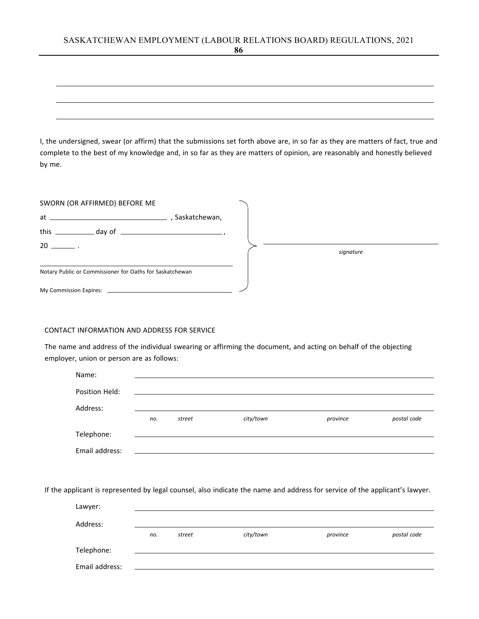# SASKATCHEWAN EMPLOYMENT (LABOUR RELATIONS BOARD) REGULATIONS, 2021

I, the undersigned, swear (or affirm) that the submissions set forth above are, in so far as they are matters of fact, true and complete to the best of my knowledge and, in so far as they are matters of opinion, are reasonably and honestly believed by me.

| SWORN (OR AFFIRMED) BEFORE ME                            |                                                             |           |
|----------------------------------------------------------|-------------------------------------------------------------|-----------|
| $at$ $\overline{\phantom{a}}$                            | Saskatchewan,                                               |           |
|                                                          | this $\frac{1}{\sqrt{2\pi}}$ day of $\frac{1}{\sqrt{2\pi}}$ |           |
| $20 \ \_$ .                                              |                                                             | signature |
| Notary Public or Commissioner for Oaths for Saskatchewan |                                                             |           |
|                                                          |                                                             |           |

### CONTACT INFORMATION AND ADDRESS FOR SERVICE

The name and address of the individual swearing or affirming the document, and acting on behalf of the objecting employer, union or person are as follows:

| Name:          |     |        |           |          |             |
|----------------|-----|--------|-----------|----------|-------------|
| Position Held: |     |        |           |          |             |
| Address:       |     |        |           |          |             |
|                | no. | street | city/town | province | postal code |
| Telephone:     |     |        |           |          |             |
| Email address: |     |        |           |          |             |

If the applicant is represented by legal counsel, also indicate the name and address for service of the applicant's lawyer.

| Lawyer:        |     |        |           |          |             |
|----------------|-----|--------|-----------|----------|-------------|
| Address:       |     |        |           |          |             |
|                | no. | street | city/town | province | postal code |
| Telephone:     |     |        |           |          |             |
| Email address: |     |        |           |          |             |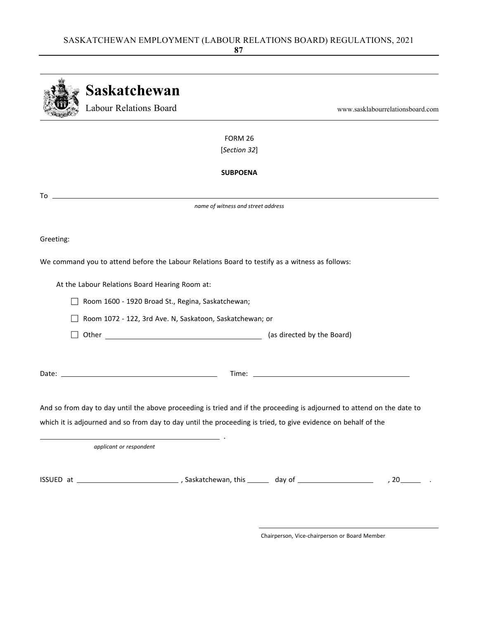|           | Saskatchewan                                                                                                                                                                                                                                                                                                                                                                                                                                                                                                                     |                                  |
|-----------|----------------------------------------------------------------------------------------------------------------------------------------------------------------------------------------------------------------------------------------------------------------------------------------------------------------------------------------------------------------------------------------------------------------------------------------------------------------------------------------------------------------------------------|----------------------------------|
|           | Labour Relations Board                                                                                                                                                                                                                                                                                                                                                                                                                                                                                                           | www.sasklabourrelationsboard.com |
|           | FORM 26                                                                                                                                                                                                                                                                                                                                                                                                                                                                                                                          |                                  |
|           | [Section 32]                                                                                                                                                                                                                                                                                                                                                                                                                                                                                                                     |                                  |
|           | <b>SUBPOENA</b>                                                                                                                                                                                                                                                                                                                                                                                                                                                                                                                  |                                  |
|           | $\begin{tabular}{c} \hline \textbf{To} & \textbf{---} & \textbf{---} & \textbf{---} & \textbf{---} & \textbf{---} & \textbf{---} & \textbf{---} & \textbf{---} & \textbf{---} & \textbf{---} & \textbf{---} & \textbf{---} & \textbf{---} & \textbf{---} & \textbf{---} & \textbf{---} & \textbf{---} & \textbf{---} & \textbf{---} & \textbf{---} & \textbf{---} & \textbf{---} & \textbf{---} & \textbf{---} & \textbf{---} & \textbf{---} & \textbf{---} & \textbf{---} & \textbf{---}$<br>name of witness and street address |                                  |
|           |                                                                                                                                                                                                                                                                                                                                                                                                                                                                                                                                  |                                  |
| Greeting: |                                                                                                                                                                                                                                                                                                                                                                                                                                                                                                                                  |                                  |
|           | We command you to attend before the Labour Relations Board to testify as a witness as follows:                                                                                                                                                                                                                                                                                                                                                                                                                                   |                                  |
|           | At the Labour Relations Board Hearing Room at:                                                                                                                                                                                                                                                                                                                                                                                                                                                                                   |                                  |
|           | Room 1600 - 1920 Broad St., Regina, Saskatchewan;                                                                                                                                                                                                                                                                                                                                                                                                                                                                                |                                  |
|           | Room 1072 - 122, 3rd Ave. N, Saskatoon, Saskatchewan; or                                                                                                                                                                                                                                                                                                                                                                                                                                                                         |                                  |
|           |                                                                                                                                                                                                                                                                                                                                                                                                                                                                                                                                  |                                  |
|           |                                                                                                                                                                                                                                                                                                                                                                                                                                                                                                                                  |                                  |
|           | And so from day to day until the above proceeding is tried and if the proceeding is adjourned to attend on the date to                                                                                                                                                                                                                                                                                                                                                                                                           |                                  |
|           | which it is adjourned and so from day to day until the proceeding is tried, to give evidence on behalf of the                                                                                                                                                                                                                                                                                                                                                                                                                    |                                  |
|           | applicant or respondent                                                                                                                                                                                                                                                                                                                                                                                                                                                                                                          |                                  |
|           |                                                                                                                                                                                                                                                                                                                                                                                                                                                                                                                                  | $,20$ $\qquad \qquad$            |
|           |                                                                                                                                                                                                                                                                                                                                                                                                                                                                                                                                  |                                  |
|           |                                                                                                                                                                                                                                                                                                                                                                                                                                                                                                                                  |                                  |

Chairperson, Vice‐chairperson or Board Member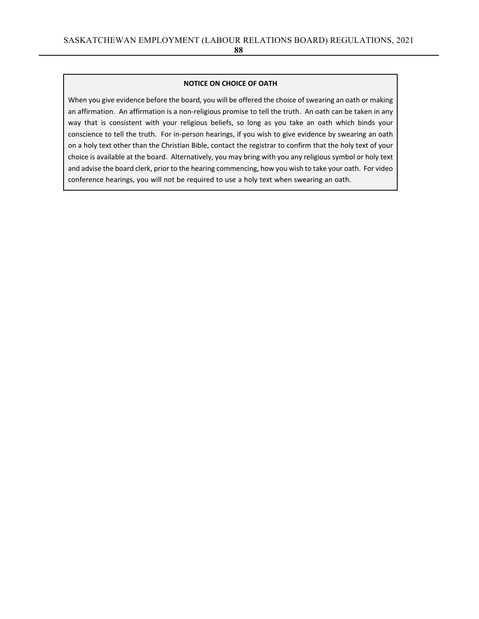#### **NOTICE ON CHOICE OF OATH**

When you give evidence before the board, you will be offered the choice of swearing an oath or making an affirmation. An affirmation is a non-religious promise to tell the truth. An oath can be taken in any way that is consistent with your religious beliefs, so long as you take an oath which binds your conscience to tell the truth. For in-person hearings, if you wish to give evidence by swearing an oath on a holy text other than the Christian Bible, contact the registrar to confirm that the holy text of your choice is available at the board. Alternatively, you may bring with you any religious symbol or holy text and advise the board clerk, prior to the hearing commencing, how you wish to take your oath. For video conference hearings, you will not be required to use a holy text when swearing an oath.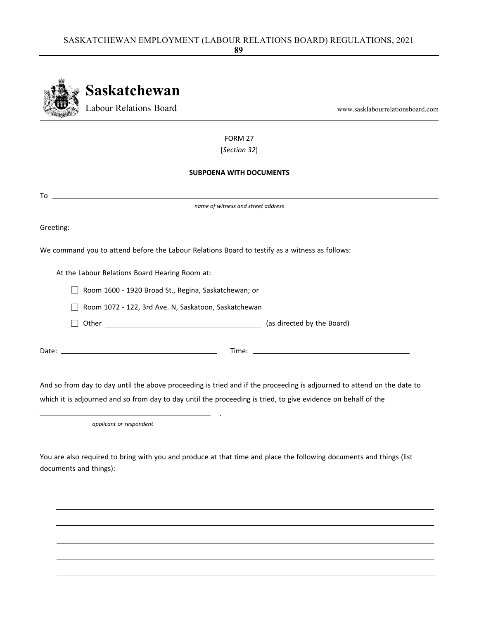|           | Saskatchewan                                                                                                           |                                  |
|-----------|------------------------------------------------------------------------------------------------------------------------|----------------------------------|
|           | <b>Labour Relations Board</b>                                                                                          | www.sasklabourrelationsboard.com |
|           | FORM 27                                                                                                                |                                  |
|           | [Section 32]                                                                                                           |                                  |
|           | <b>SUBPOENA WITH DOCUMENTS</b>                                                                                         |                                  |
|           | $To \begin{tabular}{l} \hline \rule[1mm]{4mm}{6mm} \multicolumn{3}{c}{\textbf{To}} \end{tabular}$                      |                                  |
|           | name of witness and street address                                                                                     |                                  |
| Greeting: |                                                                                                                        |                                  |
|           | We command you to attend before the Labour Relations Board to testify as a witness as follows:                         |                                  |
|           | At the Labour Relations Board Hearing Room at:                                                                         |                                  |
|           | Room 1600 - 1920 Broad St., Regina, Saskatchewan; or                                                                   |                                  |
|           | Room 1072 - 122, 3rd Ave. N, Saskatoon, Saskatchewan                                                                   |                                  |
|           |                                                                                                                        |                                  |
|           |                                                                                                                        |                                  |
|           | And so from day to day until the above proceeding is tried and if the proceeding is adjourned to attend on the date to |                                  |
|           | which it is adjourned and so from day to day until the proceeding is tried, to give evidence on behalf of the          |                                  |

*applicant or respondent*

You are also required to bring with you and produce at that time and place the following documents and things (list documents and things):